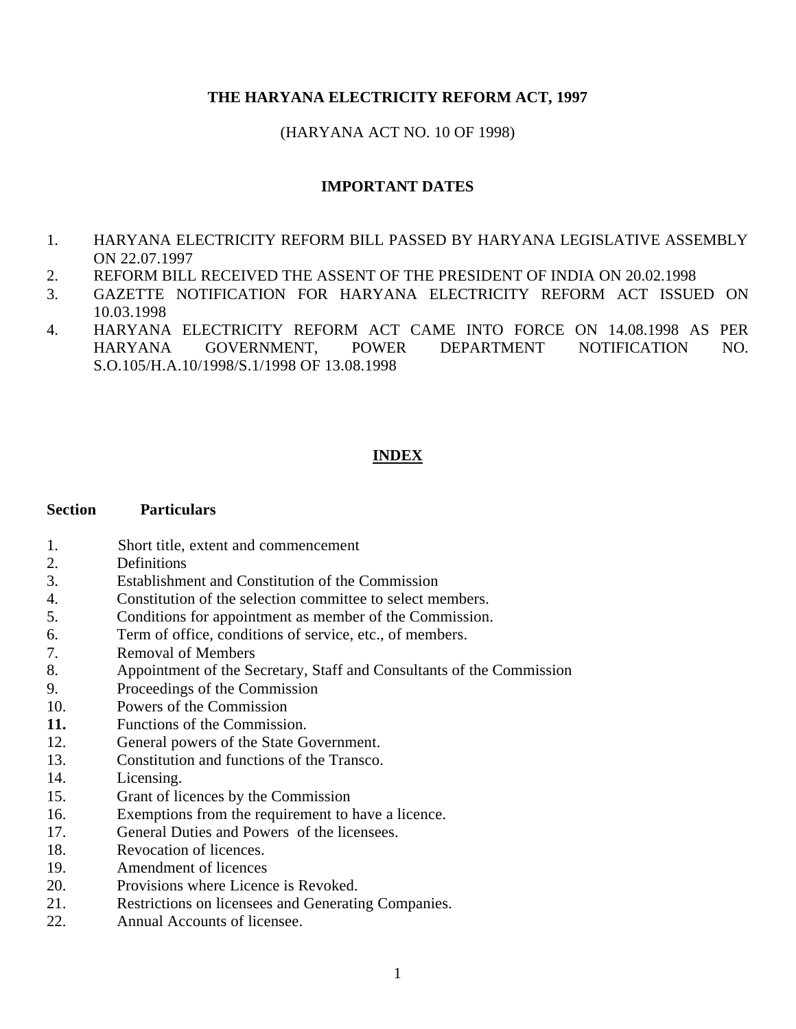# **THE HARYANA ELECTRICITY REFORM ACT, 1997**

# (HARYANA ACT NO. 10 OF 1998)

# **IMPORTANT DATES**

- 1. HARYANA ELECTRICITY REFORM BILL PASSED BY HARYANA LEGISLATIVE ASSEMBLY ON 22.07.1997
- 2. REFORM BILL RECEIVED THE ASSENT OF THE PRESIDENT OF INDIA ON 20.02.1998
- 3. GAZETTE NOTIFICATION FOR HARYANA ELECTRICITY REFORM ACT ISSUED ON 10.03.1998
- 4. HARYANA ELECTRICITY REFORM ACT CAME INTO FORCE ON 14.08.1998 AS PER HARYANA GOVERNMENT, POWER DEPARTMENT NOTIFICATION NO. S.O.105/H.A.10/1998/S.1/1998 OF 13.08.1998

# **INDEX**

## **Section Particulars**

- 1. Short title, extent and commencement
- 2. Definitions
- 3. Establishment and Constitution of the Commission
- 4. Constitution of the selection committee to select members.
- 5. Conditions for appointment as member of the Commission.
- 6. Term of office, conditions of service, etc., of members.
- 7. Removal of Members
- 8. Appointment of the Secretary, Staff and Consultants of the Commission
- 9. Proceedings of the Commission
- 10. Powers of the Commission
- **11.** Functions of the Commission.
- 12. General powers of the State Government.
- 13. Constitution and functions of the Transco.
- 14. Licensing.
- 15. Grant of licences by the Commission
- 16. Exemptions from the requirement to have a licence.
- 17. General Duties and Powers of the licensees.
- 18. Revocation of licences.
- 19. Amendment of licences
- 20. Provisions where Licence is Revoked.
- 21. Restrictions on licensees and Generating Companies.
- 22. Annual Accounts of licensee.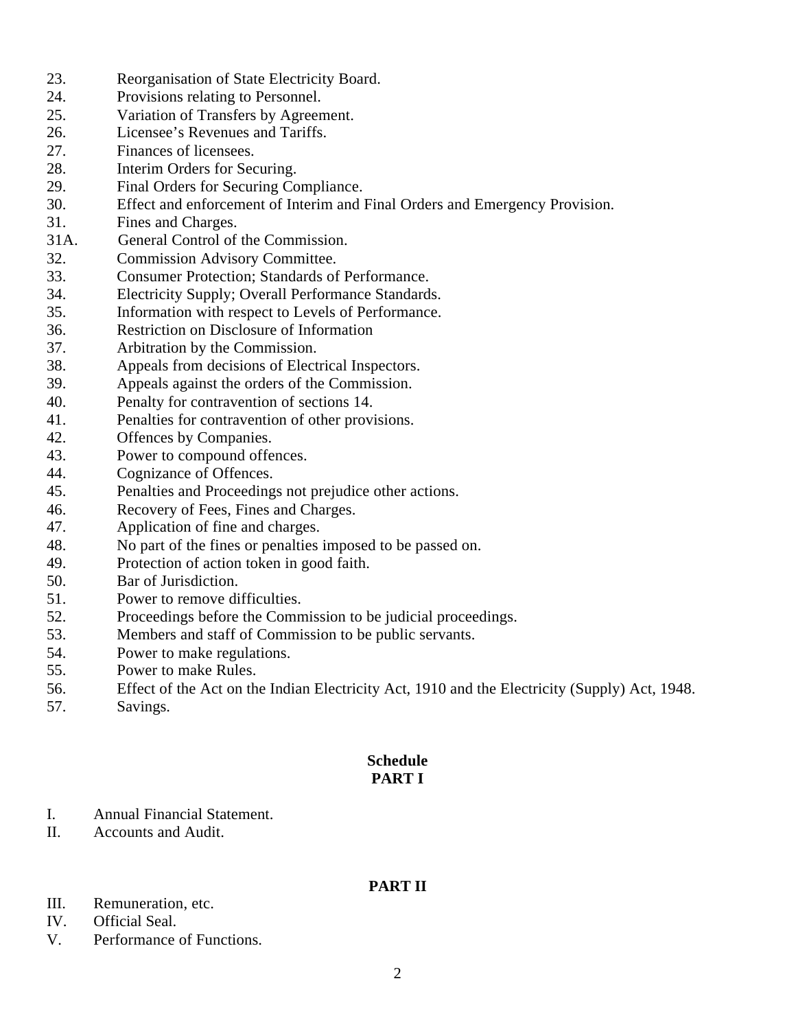- 23. Reorganisation of State Electricity Board.
- 24. Provisions relating to Personnel.
- 25. Variation of Transfers by Agreement.
- 26. Licensee's Revenues and Tariffs.
- 27. Finances of licensees.
- 28. Interim Orders for Securing.
- 29. Final Orders for Securing Compliance.
- 30. Effect and enforcement of Interim and Final Orders and Emergency Provision.
- 31. Fines and Charges.
- 31A. General Control of the Commission.
- 32. Commission Advisory Committee.
- 33. Consumer Protection; Standards of Performance.
- 34. Electricity Supply; Overall Performance Standards.
- 35. Information with respect to Levels of Performance.
- 36. Restriction on Disclosure of Information
- 37. Arbitration by the Commission.
- 38. Appeals from decisions of Electrical Inspectors.
- 39. Appeals against the orders of the Commission.
- 40. Penalty for contravention of sections 14.
- 41. Penalties for contravention of other provisions.
- 42. Offences by Companies.
- 43. Power to compound offences.
- 44. Cognizance of Offences.
- 45. Penalties and Proceedings not prejudice other actions.
- 46. Recovery of Fees, Fines and Charges.
- 47. Application of fine and charges.
- 48. No part of the fines or penalties imposed to be passed on.
- 49. Protection of action token in good faith.
- 50. Bar of Jurisdiction.
- 51. Power to remove difficulties.
- 52. Proceedings before the Commission to be judicial proceedings.
- 53. Members and staff of Commission to be public servants.
- 54. Power to make regulations.
- 55. Power to make Rules.
- 56. Effect of the Act on the Indian Electricity Act, 1910 and the Electricity (Supply) Act, 1948.
- 57. Savings.

# **Schedule PART I**

- I. Annual Financial Statement.
- II. Accounts and Audit.

# **PART II**

- III. Remuneration, etc.
- IV. Official Seal.
- V. Performance of Functions.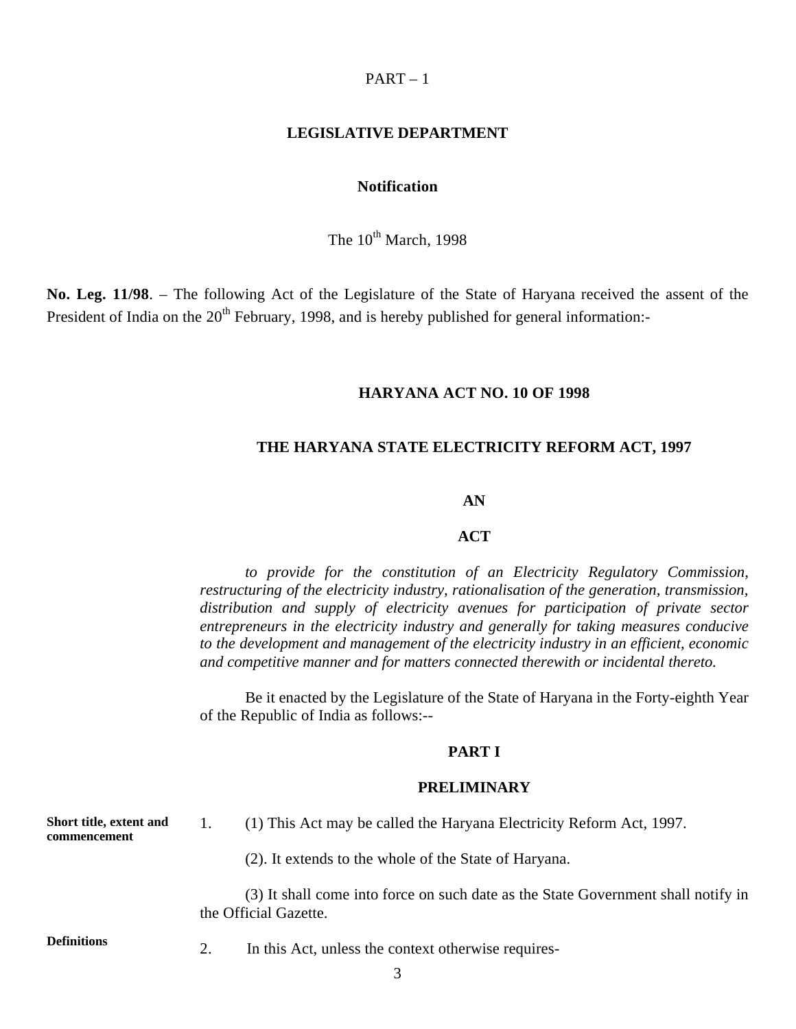## $PART - 1$

#### **LEGISLATIVE DEPARTMENT**

# **Notification**

The  $10^{th}$  March, 1998

**No. Leg. 11/98**. – The following Act of the Legislature of the State of Haryana received the assent of the President of India on the  $20<sup>th</sup>$  February, 1998, and is hereby published for general information:-

# **HARYANA ACT NO. 10 OF 1998**

## **THE HARYANA STATE ELECTRICITY REFORM ACT, 1997**

#### **AN**

## **ACT**

*to provide for the constitution of an Electricity Regulatory Commission, restructuring of the electricity industry, rationalisation of the generation, transmission, distribution and supply of electricity avenues for participation of private sector entrepreneurs in the electricity industry and generally for taking measures conducive to the development and management of the electricity industry in an efficient, economic and competitive manner and for matters connected therewith or incidental thereto.* 

Be it enacted by the Legislature of the State of Haryana in the Forty-eighth Year of the Republic of India as follows:-

#### **PART I**

#### **PRELIMINARY**

| Short title, extent and<br>commencement |    | (1) This Act may be called the Haryana Electricity Reform Act, 1997.                                       |
|-----------------------------------------|----|------------------------------------------------------------------------------------------------------------|
|                                         |    | (2). It extends to the whole of the State of Haryana.                                                      |
|                                         |    | (3) It shall come into force on such date as the State Government shall notify in<br>the Official Gazette. |
| Definitions                             | 2. | In this Act, unless the context otherwise requires-                                                        |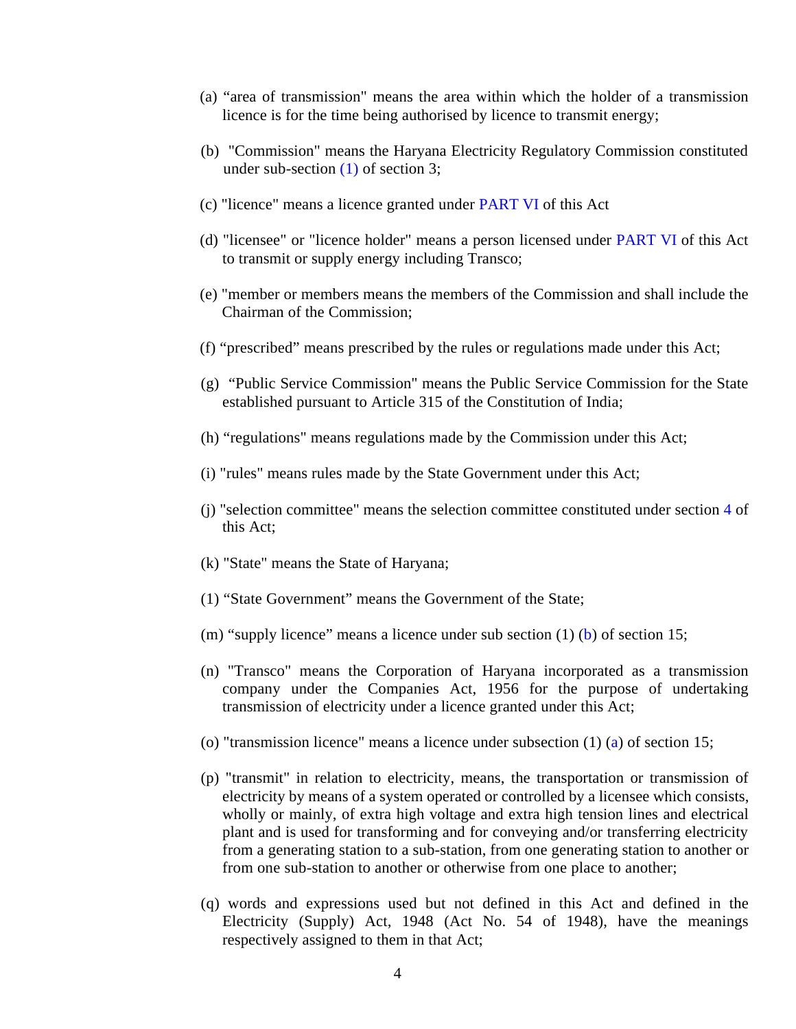- (a) "area of transmission" means the area within which the holder of a transmission licence is for the time being authorised by licence to transmit energy;
- (b) "Commission" means the Haryana Electricity Regulatory Commission constituted under sub-section (1) of section 3;
- (c) "licence" means a licence granted under PART VI of this Act
- (d) "licensee" or "licence holder" means a person licensed under PART VI of this Act to transmit or supply energy including Transco;
- (e) "member or members means the members of the Commission and shall include the Chairman of the Commission;
- (f) "prescribed" means prescribed by the rules or regulations made under this Act;
- (g) "Public Service Commission" means the Public Service Commission for the State established pursuant to Article 315 of the Constitution of India;
- (h) "regulations" means regulations made by the Commission under this Act;
- (i) "rules" means rules made by the State Government under this Act;
- (j) "selection committee" means the selection committee constituted under section 4 of this Act;
- (k) "State" means the State of Haryana;
- (1) "State Government" means the Government of the State;
- (m) "supply licence" means a licence under sub section  $(1)$  (b) of section 15;
- (n) "Transco" means the Corporation of Haryana incorporated as a transmission company under the Companies Act, 1956 for the purpose of undertaking transmission of electricity under a licence granted under this Act;
- (o) "transmission licence" means a licence under subsection (1) (a) of section 15;
- (p) "transmit" in relation to electricity, means, the transportation or transmission of electricity by means of a system operated or controlled by a licensee which consists, wholly or mainly, of extra high voltage and extra high tension lines and electrical plant and is used for transforming and for conveying and/or transferring electricity from a generating station to a sub-station, from one generating station to another or from one sub-station to another or otherwise from one place to another;
- (q) words and expressions used but not defined in this Act and defined in the Electricity (Supply) Act, 1948 (Act No. 54 of 1948), have the meanings respectively assigned to them in that Act;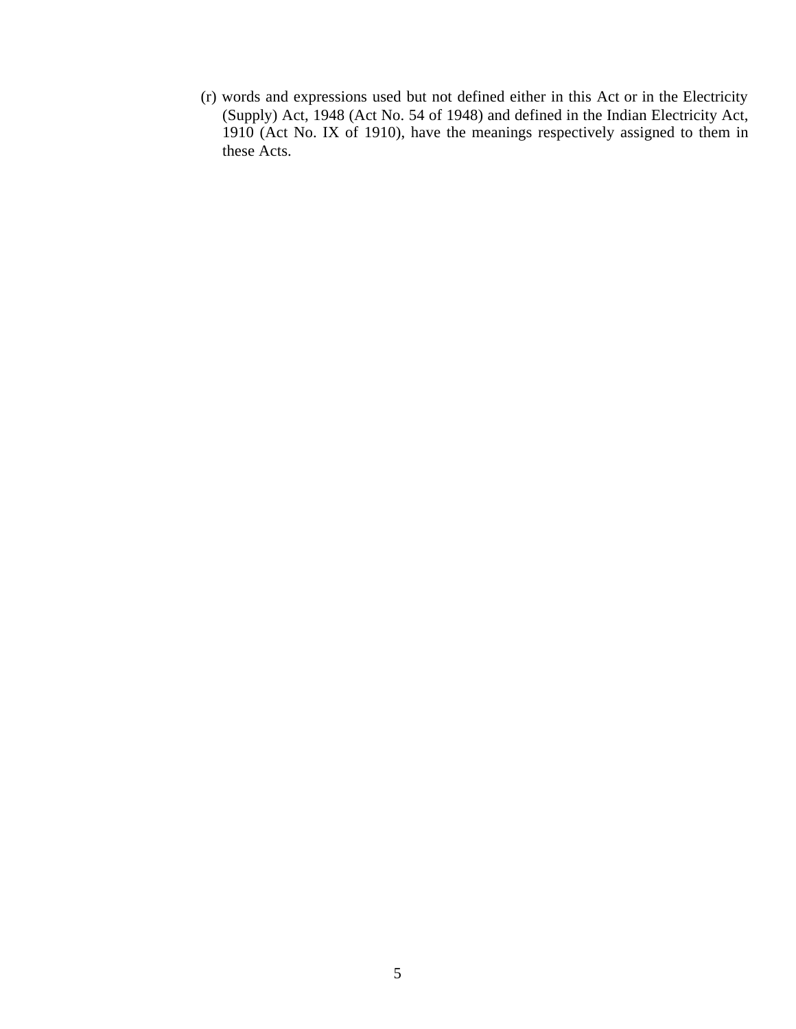(r) words and expressions used but not defined either in this Act or in the Electricity (Supply) Act, 1948 (Act No. 54 of 1948) and defined in the Indian Electricity Act, 1910 (Act No. IX of 1910), have the meanings respectively assigned to them in these Acts.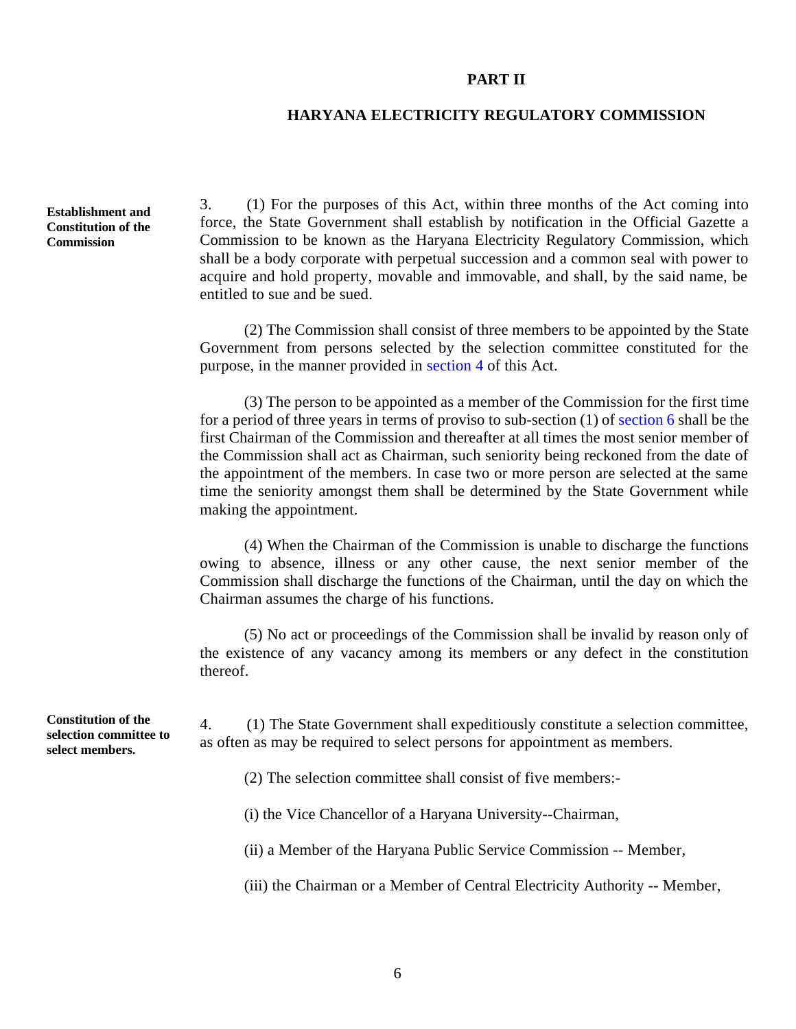#### **PART II**

# **HARYANA ELECTRICITY REGULATORY COMMISSION**

**Establishment and Constitution of the Commission** 

3. (1) For the purposes of this Act, within three months of the Act coming into force, the State Government shall establish by notification in the Official Gazette a Commission to be known as the Haryana Electricity Regulatory Commission, which shall be a body corporate with perpetual succession and a common seal with power to acquire and hold property, movable and immovable, and shall, by the said name, be entitled to sue and be sued.

(2) The Commission shall consist of three members to be appointed by the State Government from persons selected by the selection committee constituted for the purpose, in the manner provided in section 4 of this Act.

(3) The person to be appointed as a member of the Commission for the first time for a period of three years in terms of proviso to sub-section (1) of section 6 shall be the first Chairman of the Commission and thereafter at all times the most senior member of the Commission shall act as Chairman, such seniority being reckoned from the date of the appointment of the members. In case two or more person are selected at the same time the seniority amongst them shall be determined by the State Government while making the appointment.

(4) When the Chairman of the Commission is unable to discharge the functions owing to absence, illness or any other cause, the next senior member of the Commission shall discharge the functions of the Chairman, until the day on which the Chairman assumes the charge of his functions.

(5) No act or proceedings of the Commission shall be invalid by reason only of the existence of any vacancy among its members or any defect in the constitution thereof.

4. (1) The State Government shall expeditiously constitute a selection committee, as often as may be required to select persons for appointment as members.

(2) The selection committee shall consist of five members:

(i) the Vice Chancellor of a Haryana University--Chairman,

(ii) a Member of the Haryana Public Service Commission -- Member,

(iii) the Chairman or a Member of Central Electricity Authority -- Member,

**Constitution of the selection committee to select members.**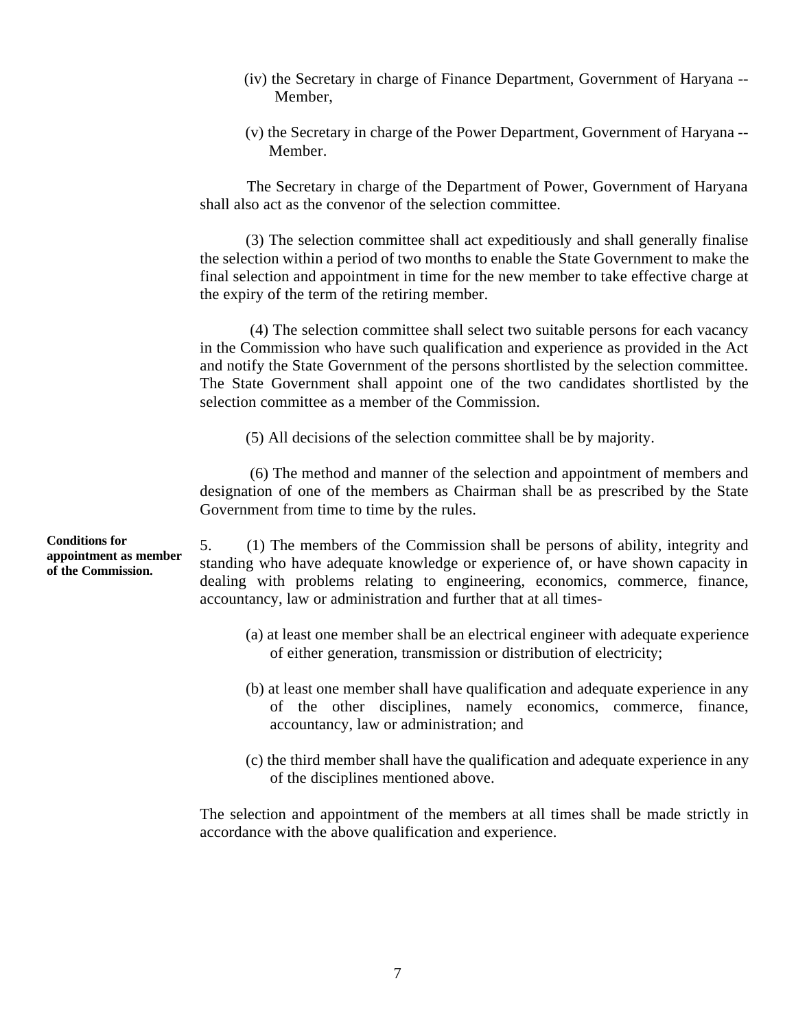- (iv) the Secretary in charge of Finance Department, Government of Haryana Member,
- (v) the Secretary in charge of the Power Department, Government of Haryana Member.

The Secretary in charge of the Department of Power, Government of Haryana shall also act as the convenor of the selection committee.

(3) The selection committee shall act expeditiously and shall generally finalise the selection within a period of two months to enable the State Government to make the final selection and appointment in time for the new member to take effective charge at the expiry of the term of the retiring member.

 (4) The selection committee shall select two suitable persons for each vacancy in the Commission who have such qualification and experience as provided in the Act and notify the State Government of the persons shortlisted by the selection committee. The State Government shall appoint one of the two candidates shortlisted by the selection committee as a member of the Commission.

(5) All decisions of the selection committee shall be by majority.

 (6) The method and manner of the selection and appointment of members and designation of one of the members as Chairman shall be as prescribed by the State Government from time to time by the rules.

5. (1) The members of the Commission shall be persons of ability, integrity and standing who have adequate knowledge or experience of, or have shown capacity in dealing with problems relating to engineering, economics, commerce, finance, accountancy, law or administration and further that at all times

- (a) at least one member shall be an electrical engineer with adequate experience of either generation, transmission or distribution of electricity;
- (b) at least one member shall have qualification and adequate experience in any of the other disciplines, namely economics, commerce, finance, accountancy, law or administration; and
- (c) the third member shall have the qualification and adequate experience in any of the disciplines mentioned above.

The selection and appointment of the members at all times shall be made strictly in accordance with the above qualification and experience.

**Conditions for appointment as member of the Commission.**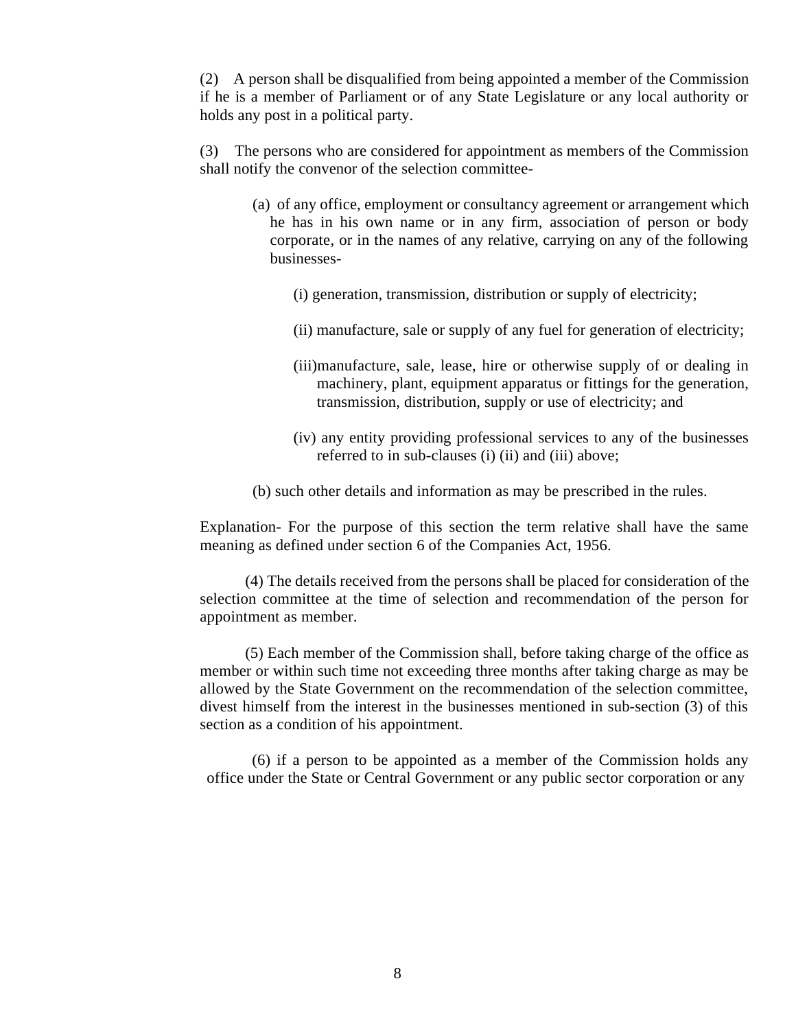(2) A person shall be disqualified from being appointed a member of the Commission if he is a member of Parliament or of any State Legislature or any local authority or holds any post in a political party.

 (3) The persons who are considered for appointment as members of the Commission shall notify the convenor of the selection committee

- (a) of any office, employment or consultancy agreement or arrangement which he has in his own name or in any firm, association of person or body corporate, or in the names of any relative, carrying on any of the following businesses
	- (i) generation, transmission, distribution or supply of electricity;
	- (ii) manufacture, sale or supply of any fuel for generation of electricity;
	- (iii)manufacture, sale, lease, hire or otherwise supply of or dealing in machinery, plant, equipment apparatus or fittings for the generation, transmission, distribution, supply or use of electricity; and
	- (iv) any entity providing professional services to any of the businesses referred to in sub-clauses (i) (ii) and (iii) above;

(b) such other details and information as may be prescribed in the rules.

Explanation- For the purpose of this section the term relative shall have the same meaning as defined under section 6 of the Companies Act, 1956.

(4) The details received from the persons shall be placed for consideration of the selection committee at the time of selection and recommendation of the person for appointment as member.

(5) Each member of the Commission shall, before taking charge of the office as member or within such time not exceeding three months after taking charge as may be allowed by the State Government on the recommendation of the selection committee, divest himself from the interest in the businesses mentioned in sub-section (3) of this section as a condition of his appointment.

(6) if a person to be appointed as a member of the Commission holds any office under the State or Central Government or any public sector corporation or any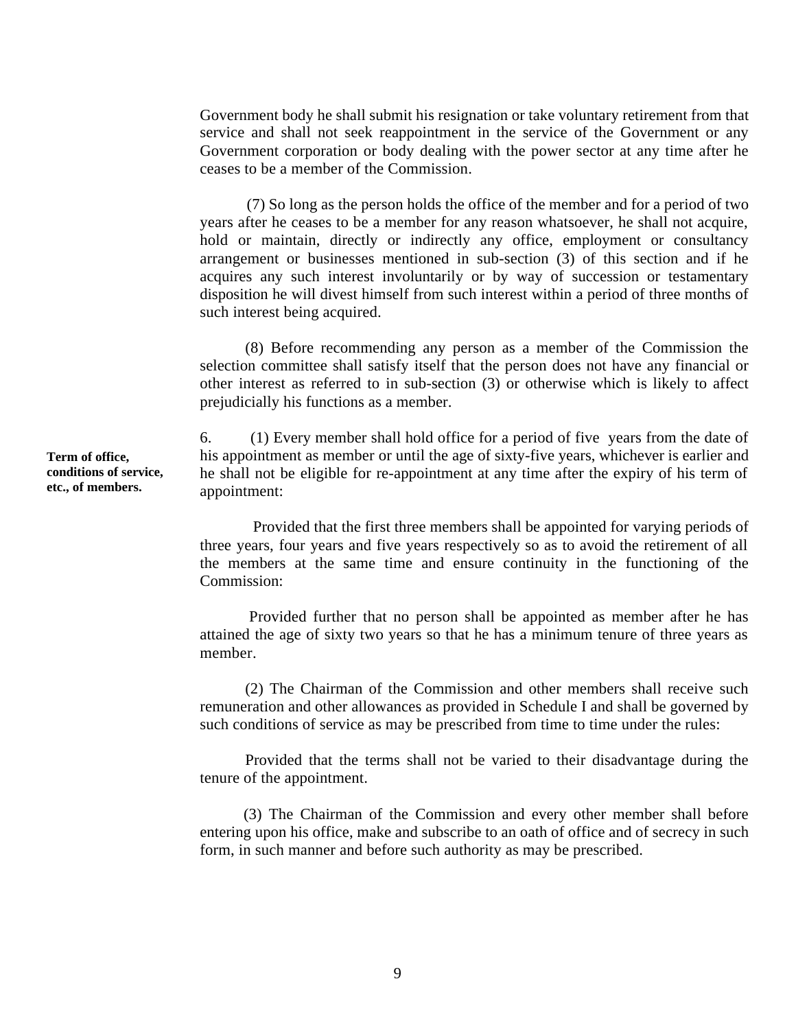Government body he shall submit his resignation or take voluntary retirement from that service and shall not seek reappointment in the service of the Government or any Government corporation or body dealing with the power sector at any time after he ceases to be a member of the Commission.

(7) So long as the person holds the office of the member and for a period of two years after he ceases to be a member for any reason whatsoever, he shall not acquire, hold or maintain, directly or indirectly any office, employment or consultancy arrangement or businesses mentioned in sub-section (3) of this section and if he acquires any such interest involuntarily or by way of succession or testamentary disposition he will divest himself from such interest within a period of three months of such interest being acquired.

(8) Before recommending any person as a member of the Commission the selection committee shall satisfy itself that the person does not have any financial or other interest as referred to in sub-section (3) or otherwise which is likely to affect prejudicially his functions as a member.

6. (1) Every member shall hold office for a period of five years from the date of his appointment as member or until the age of sixty-five years, whichever is earlier and he shall not be eligible for re-appointment at any time after the expiry of his term of appointment:

 Provided that the first three members shall be appointed for varying periods of three years, four years and five years respectively so as to avoid the retirement of all the members at the same time and ensure continuity in the functioning of the Commission:

 Provided further that no person shall be appointed as member after he has attained the age of sixty two years so that he has a minimum tenure of three years as member.

(2) The Chairman of the Commission and other members shall receive such remuneration and other allowances as provided in Schedule I and shall be governed by such conditions of service as may be prescribed from time to time under the rules:

Provided that the terms shall not be varied to their disadvantage during the tenure of the appointment.

(3) The Chairman of the Commission and every other member shall before entering upon his office, make and subscribe to an oath of office and of secrecy in such form, in such manner and before such authority as may be prescribed.

**Term of office, conditions of service, etc., of members.**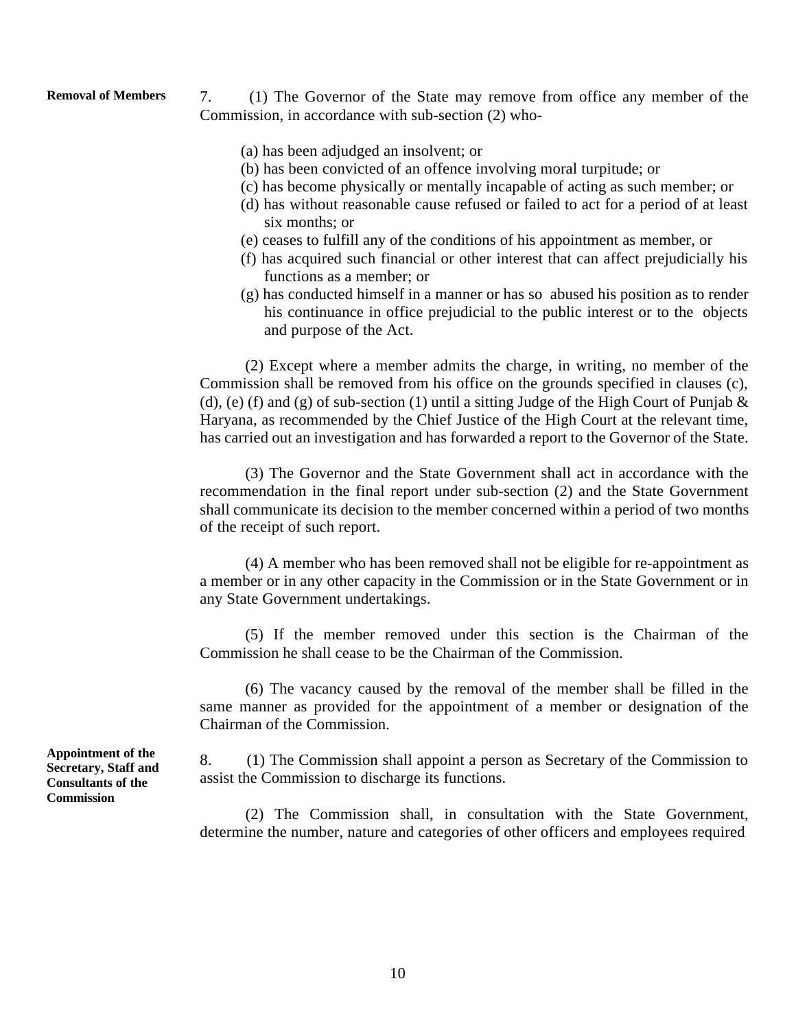**Removal of Members** 7. (1) The Governor of the State may remove from office any member of the Commission, in accordance with sub-section (2) who

- (a) has been adjudged an insolvent; or
- (b) has been convicted of an offence involving moral turpitude; or
- (c) has become physically or mentally incapable of acting as such member; or
- (d) has without reasonable cause refused or failed to act for a period of at least six months; or
- (e) ceases to fulfill any of the conditions of his appointment as member, or
- (f) has acquired such financial or other interest that can affect prejudicially his functions as a member; or
- (g) has conducted himself in a manner or has so abused his position as to render his continuance in office prejudicial to the public interest or to the objects and purpose of the Act.

(2) Except where a member admits the charge, in writing, no member of the Commission shall be removed from his office on the grounds specified in clauses (c), (d), (e) (f) and (g) of sub-section (1) until a sitting Judge of the High Court of Punjab  $\&$ Haryana, as recommended by the Chief Justice of the High Court at the relevant time, has carried out an investigation and has forwarded a report to the Governor of the State.

(3) The Governor and the State Government shall act in accordance with the recommendation in the final report under sub-section (2) and the State Government shall communicate its decision to the member concerned within a period of two months of the receipt of such report.

(4) A member who has been removed shall not be eligible for re-appointment as a member or in any other capacity in the Commission or in the State Government or in any State Government undertakings.

(5) If the member removed under this section is the Chairman of the Commission he shall cease to be the Chairman of the Commission.

(6) The vacancy caused by the removal of the member shall be filled in the same manner as provided for the appointment of a member or designation of the Chairman of the Commission.

8. (1) The Commission shall appoint a person as Secretary of the Commission to assist the Commission to discharge its functions.

(2) The Commission shall, in consultation with the State Government, determine the number, nature and categories of other officers and employees required

**Appointment of the Secretary, Staff and Consultants of the Commission**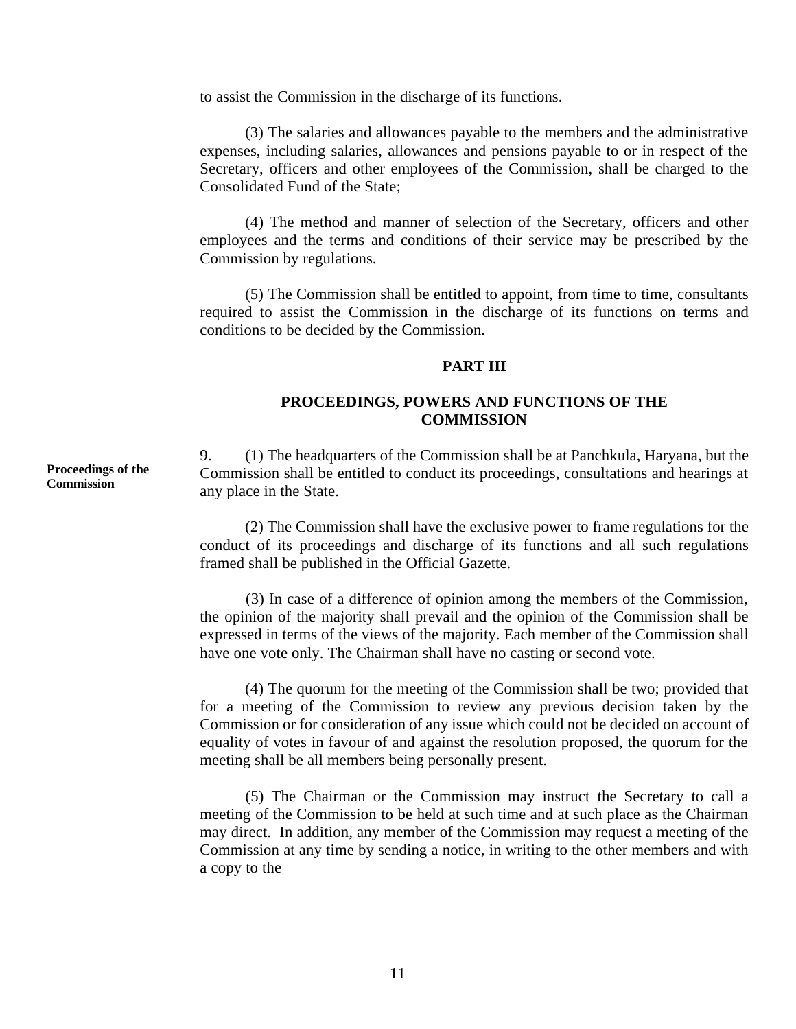to assist the Commission in the discharge of its functions.

(3) The salaries and allowances payable to the members and the administrative expenses, including salaries, allowances and pensions payable to or in respect of the Secretary, officers and other employees of the Commission, shall be charged to the Consolidated Fund of the State;

(4) The method and manner of selection of the Secretary, officers and other employees and the terms and conditions of their service may be prescribed by the Commission by regulations.

(5) The Commission shall be entitled to appoint, from time to time, consultants required to assist the Commission in the discharge of its functions on terms and conditions to be decided by the Commission.

# **PART III**

# **PROCEEDINGS, POWERS AND FUNCTIONS OF THE COMMISSION**

9. (1) The headquarters of the Commission shall be at Panchkula, Haryana, but the Commission shall be entitled to conduct its proceedings, consultations and hearings at any place in the State.

(2) The Commission shall have the exclusive power to frame regulations for the conduct of its proceedings and discharge of its functions and all such regulations framed shall be published in the Official Gazette.

(3) In case of a difference of opinion among the members of the Commission, the opinion of the majority shall prevail and the opinion of the Commission shall be expressed in terms of the views of the majority. Each member of the Commission shall have one vote only. The Chairman shall have no casting or second vote.

(4) The quorum for the meeting of the Commission shall be two; provided that for a meeting of the Commission to review any previous decision taken by the Commission or for consideration of any issue which could not be decided on account of equality of votes in favour of and against the resolution proposed, the quorum for the meeting shall be all members being personally present.

(5) The Chairman or the Commission may instruct the Secretary to call a meeting of the Commission to be held at such time and at such place as the Chairman may direct. In addition, any member of the Commission may request a meeting of the Commission at any time by sending a notice, in writing to the other members and with a copy to the

**Proceedings of the Commission**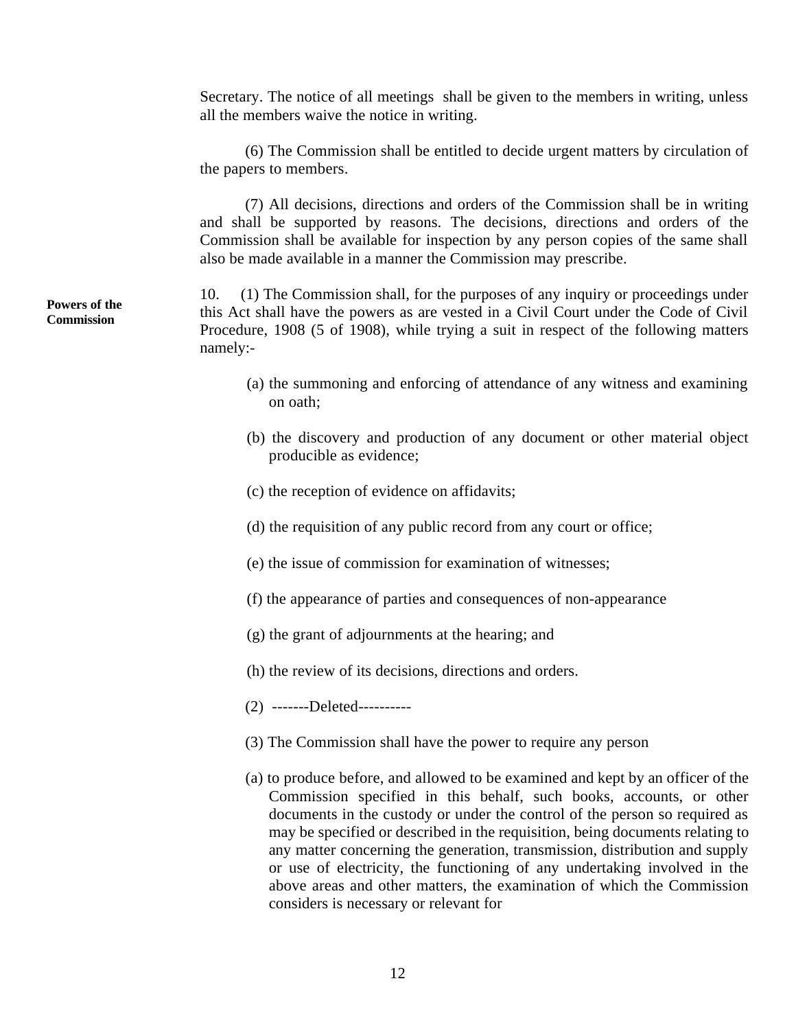Secretary. The notice of all meetings shall be given to the members in writing, unless all the members waive the notice in writing.

(6) The Commission shall be entitled to decide urgent matters by circulation of the papers to members.

(7) All decisions, directions and orders of the Commission shall be in writing and shall be supported by reasons. The decisions, directions and orders of the Commission shall be available for inspection by any person copies of the same shall also be made available in a manner the Commission may prescribe.

10. (1) The Commission shall, for the purposes of any inquiry or proceedings under this Act shall have the powers as are vested in a Civil Court under the Code of Civil Procedure, 1908 (5 of 1908), while trying a suit in respect of the following matters namely:

- (a) the summoning and enforcing of attendance of any witness and examining on oath;
- (b) the discovery and production of any document or other material object producible as evidence;
- (c) the reception of evidence on affidavits;
- (d) the requisition of any public record from any court or office;
- (e) the issue of commission for examination of witnesses;
- (f) the appearance of parties and consequences of non-appearance
- (g) the grant of adjournments at the hearing; and
- (h) the review of its decisions, directions and orders.
- (2) -------Deleted---------
- (3) The Commission shall have the power to require any person
- (a) to produce before, and allowed to be examined and kept by an officer of the Commission specified in this behalf, such books, accounts, or other documents in the custody or under the control of the person so required as may be specified or described in the requisition, being documents relating to any matter concerning the generation, transmission, distribution and supply or use of electricity, the functioning of any undertaking involved in the above areas and other matters, the examination of which the Commission considers is necessary or relevant for

# **Powers of the**  10. **Commission**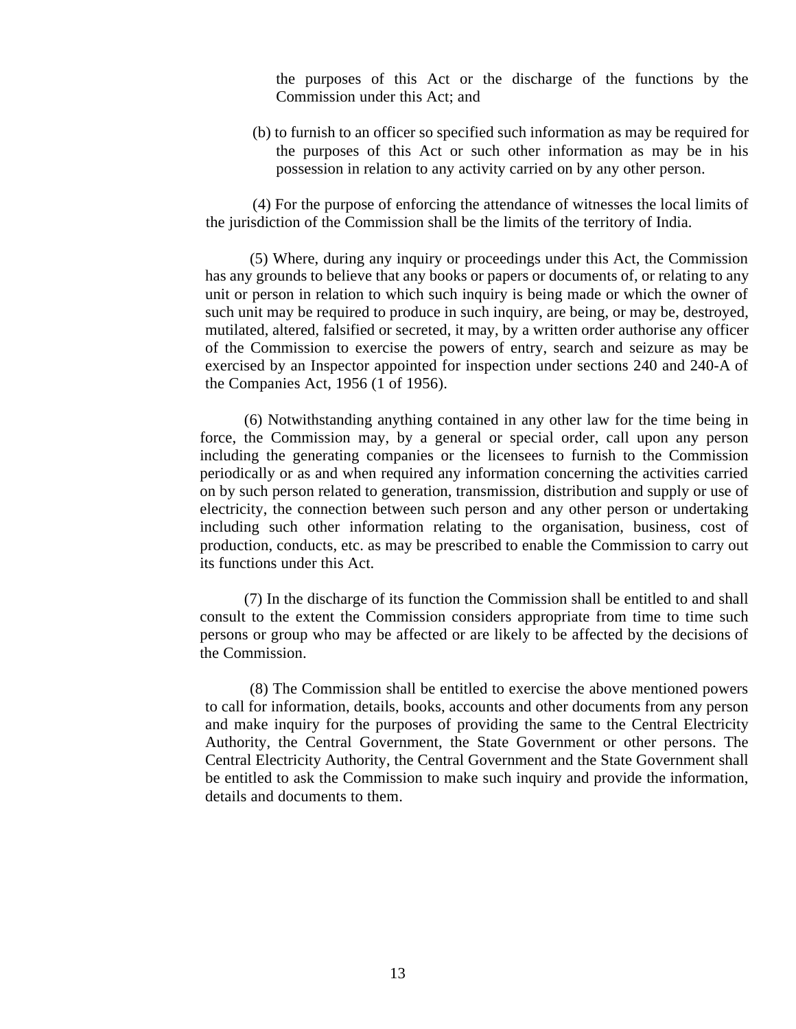the purposes of this Act or the discharge of the functions by the Commission under this Act; and

(b) to furnish to an officer so specified such information as may be required for the purposes of this Act or such other information as may be in his possession in relation to any activity carried on by any other person.

(4) For the purpose of enforcing the attendance of witnesses the local limits of the jurisdiction of the Commission shall be the limits of the territory of India.

(5) Where, during any inquiry or proceedings under this Act, the Commission has any grounds to believe that any books or papers or documents of, or relating to any unit or person in relation to which such inquiry is being made or which the owner of such unit may be required to produce in such inquiry, are being, or may be, destroyed, mutilated, altered, falsified or secreted, it may, by a written order authorise any officer of the Commission to exercise the powers of entry, search and seizure as may be exercised by an Inspector appointed for inspection under sections 240 and 240-A of the Companies Act, 1956 (1 of 1956).

(6) Notwithstanding anything contained in any other law for the time being in force, the Commission may, by a general or special order, call upon any person including the generating companies or the licensees to furnish to the Commission periodically or as and when required any information concerning the activities carried on by such person related to generation, transmission, distribution and supply or use of electricity, the connection between such person and any other person or undertaking including such other information relating to the organisation, business, cost of production, conducts, etc. as may be prescribed to enable the Commission to carry out its functions under this Act.

(7) In the discharge of its function the Commission shall be entitled to and shall consult to the extent the Commission considers appropriate from time to time such persons or group who may be affected or are likely to be affected by the decisions of the Commission.

(8) The Commission shall be entitled to exercise the above mentioned powers to call for information, details, books, accounts and other documents from any person and make inquiry for the purposes of providing the same to the Central Electricity Authority, the Central Government, the State Government or other persons. The Central Electricity Authority, the Central Government and the State Government shall be entitled to ask the Commission to make such inquiry and provide the information, details and documents to them.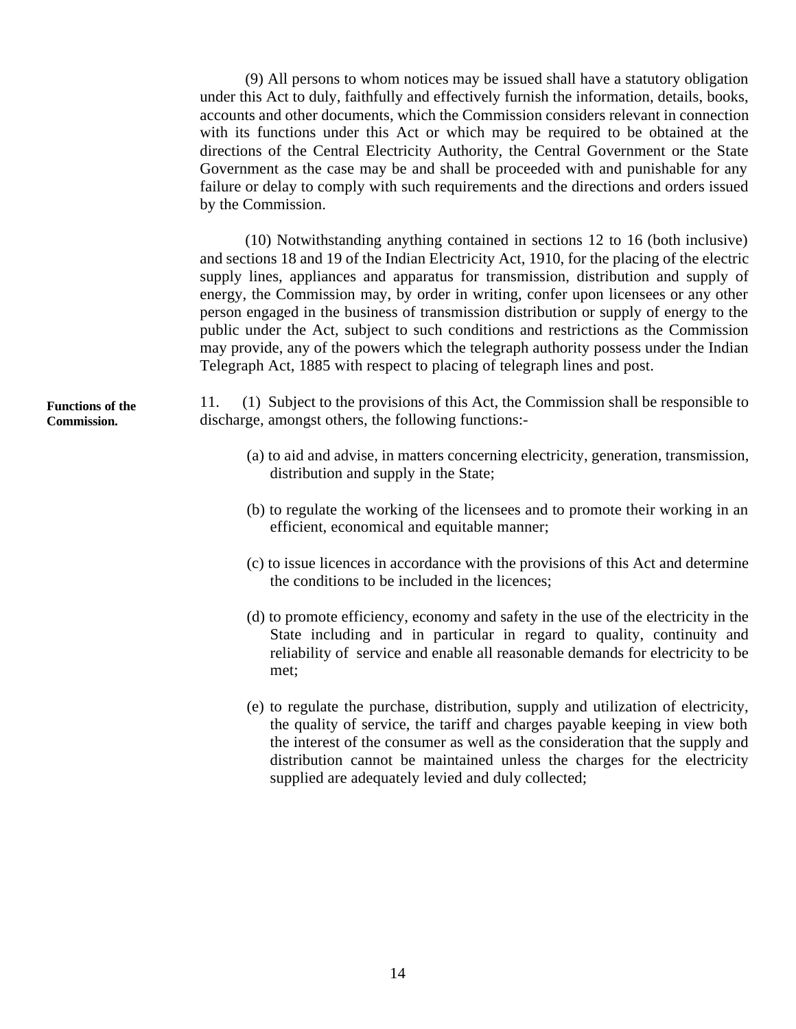(9) All persons to whom notices may be issued shall have a statutory obligation under this Act to duly, faithfully and effectively furnish the information, details, books, accounts and other documents, which the Commission considers relevant in connection with its functions under this Act or which may be required to be obtained at the directions of the Central Electricity Authority, the Central Government or the State Government as the case may be and shall be proceeded with and punishable for any failure or delay to comply with such requirements and the directions and orders issued by the Commission.

(10) Notwithstanding anything contained in sections 12 to 16 (both inclusive) and sections 18 and 19 of the Indian Electricity Act, 1910, for the placing of the electric supply lines, appliances and apparatus for transmission, distribution and supply of energy, the Commission may, by order in writing, confer upon licensees or any other person engaged in the business of transmission distribution or supply of energy to the public under the Act, subject to such conditions and restrictions as the Commission may provide, any of the powers which the telegraph authority possess under the Indian Telegraph Act, 1885 with respect to placing of telegraph lines and post.

11. (1) Subject to the provisions of this Act, the Commission shall be responsible to discharge, amongst others, the following functions:

- (a) to aid and advise, in matters concerning electricity, generation, transmission, distribution and supply in the State;
- (b) to regulate the working of the licensees and to promote their working in an efficient, economical and equitable manner;
- (c) to issue licences in accordance with the provisions of this Act and determine the conditions to be included in the licences;
- (d) to promote efficiency, economy and safety in the use of the electricity in the State including and in particular in regard to quality, continuity and reliability of service and enable all reasonable demands for electricity to be met;
- (e) to regulate the purchase, distribution, supply and utilization of electricity, the quality of service, the tariff and charges payable keeping in view both the interest of the consumer as well as the consideration that the supply and distribution cannot be maintained unless the charges for the electricity supplied are adequately levied and duly collected;

**Functions of the Commission.**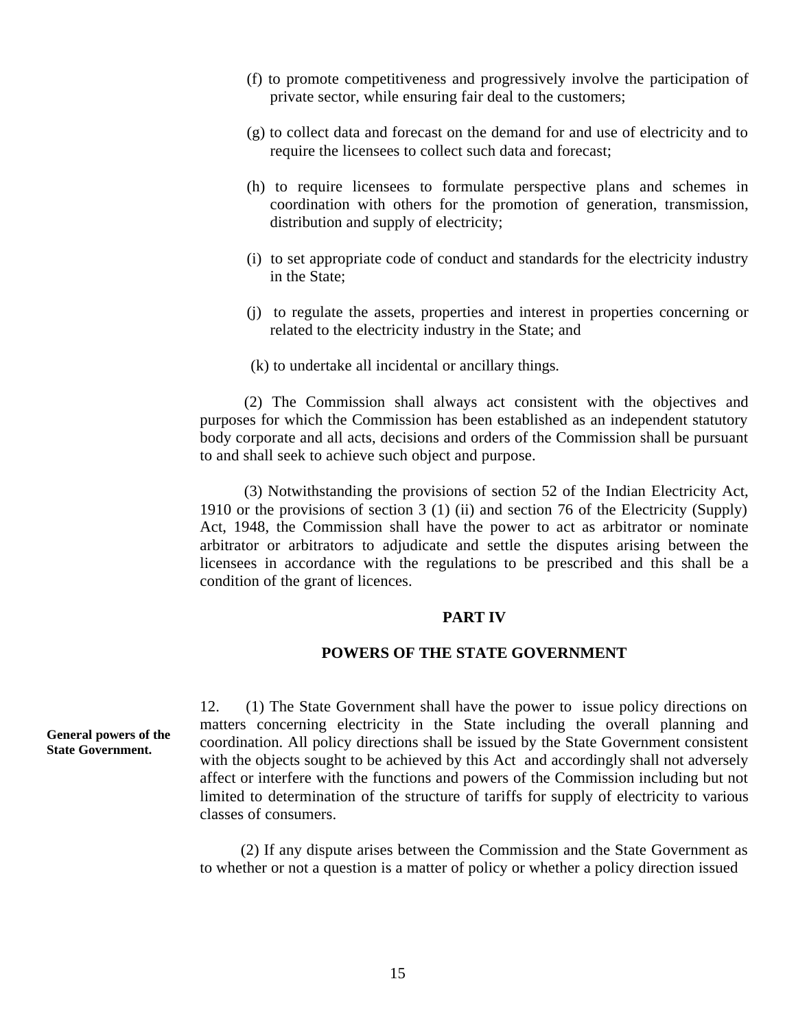- (f) to promote competitiveness and progressively involve the participation of private sector, while ensuring fair deal to the customers;
- (g) to collect data and forecast on the demand for and use of electricity and to require the licensees to collect such data and forecast;
- (h) to require licensees to formulate perspective plans and schemes in coordination with others for the promotion of generation, transmission, distribution and supply of electricity;
- (i) to set appropriate code of conduct and standards for the electricity industry in the State;
- (j) to regulate the assets, properties and interest in properties concerning or related to the electricity industry in the State; and
- (k) to undertake all incidental or ancillary things.

(2) The Commission shall always act consistent with the objectives and purposes for which the Commission has been established as an independent statutory body corporate and all acts, decisions and orders of the Commission shall be pursuant to and shall seek to achieve such object and purpose.

(3) Notwithstanding the provisions of section 52 of the Indian Electricity Act, 1910 or the provisions of section 3 (1) (ii) and section 76 of the Electricity (Supply) Act, 1948, the Commission shall have the power to act as arbitrator or nominate arbitrator or arbitrators to adjudicate and settle the disputes arising between the licensees in accordance with the regulations to be prescribed and this shall be a condition of the grant of licences.

#### **PART IV**

# **POWERS OF THE STATE GOVERNMENT**

12. (1) The State Government shall have the power to issue policy directions on matters concerning electricity in the State including the overall planning and coordination. All policy directions shall be issued by the State Government consistent with the objects sought to be achieved by this Act and accordingly shall not adversely affect or interfere with the functions and powers of the Commission including but not limited to determination of the structure of tariffs for supply of electricity to various classes of consumers.

(2) If any dispute arises between the Commission and the State Government as to whether or not a question is a matter of policy or whether a policy direction issued

**General powers of the State Government.**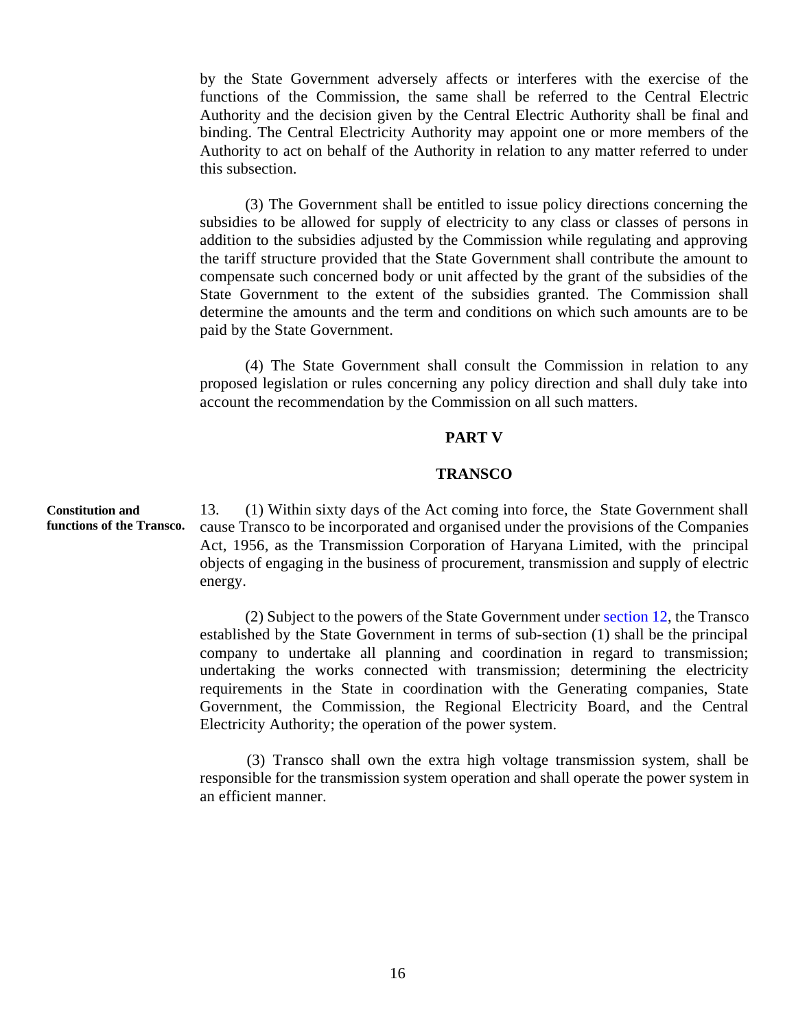by the State Government adversely affects or interferes with the exercise of the functions of the Commission, the same shall be referred to the Central Electric Authority and the decision given by the Central Electric Authority shall be final and binding. The Central Electricity Authority may appoint one or more members of the Authority to act on behalf of the Authority in relation to any matter referred to under this subsection.

(3) The Government shall be entitled to issue policy directions concerning the subsidies to be allowed for supply of electricity to any class or classes of persons in addition to the subsidies adjusted by the Commission while regulating and approving the tariff structure provided that the State Government shall contribute the amount to compensate such concerned body or unit affected by the grant of the subsidies of the State Government to the extent of the subsidies granted. The Commission shall determine the amounts and the term and conditions on which such amounts are to be paid by the State Government.

(4) The State Government shall consult the Commission in relation to any proposed legislation or rules concerning any policy direction and shall duly take into account the recommendation by the Commission on all such matters.

# **PART V**

## **TRANSCO**

**Constitution and**  13. (1) Within sixty days of the Act coming into force, the State Government shall cause Transco to be incorporated and organised under the provisions of the Companies Act, 1956, as the Transmission Corporation of Haryana Limited, with the principal objects of engaging in the business of procurement, transmission and supply of electric energy.

> (2) Subject to the powers of the State Government under section 12, the Transco established by the State Government in terms of sub-section (1) shall be the principal company to undertake all planning and coordination in regard to transmission; undertaking the works connected with transmission; determining the electricity requirements in the State in coordination with the Generating companies, State Government, the Commission, the Regional Electricity Board, and the Central Electricity Authority; the operation of the power system.

> (3) Transco shall own the extra high voltage transmission system, shall be responsible for the transmission system operation and shall operate the power system in an efficient manner.

**functions of the Transco.**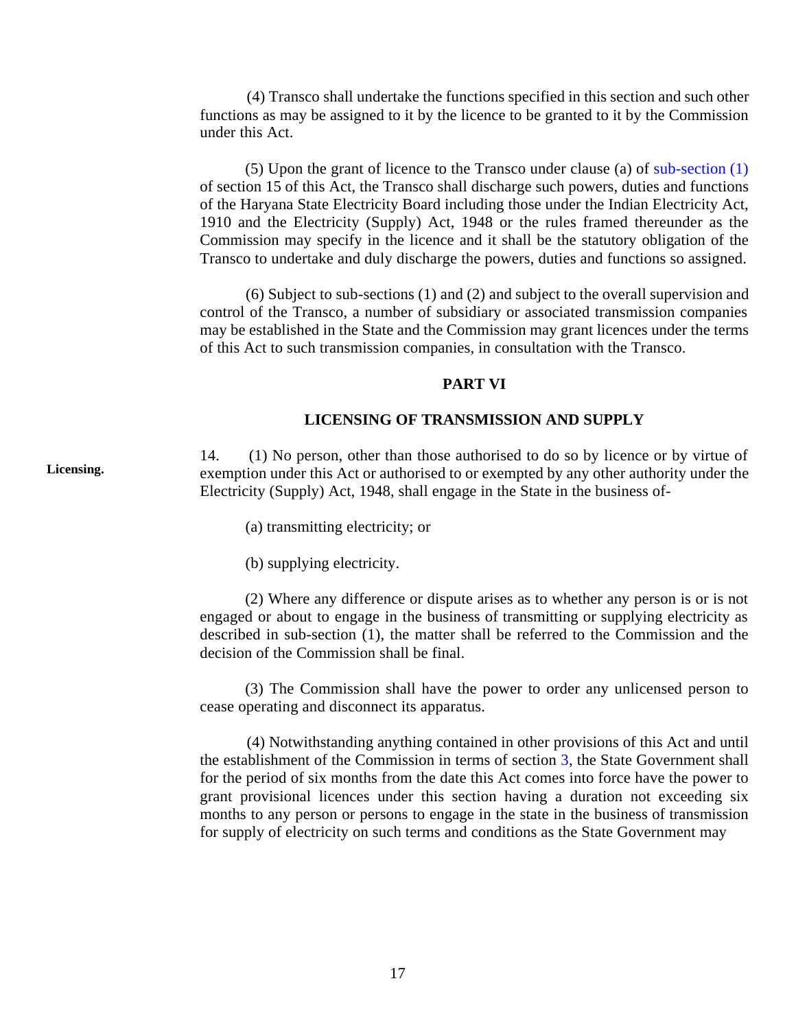(4) Transco shall undertake the functions specified in this section and such other functions as may be assigned to it by the licence to be granted to it by the Commission under this Act.

(5) Upon the grant of licence to the Transco under clause (a) of sub-section (1) of section 15 of this Act, the Transco shall discharge such powers, duties and functions of the Haryana State Electricity Board including those under the Indian Electricity Act, 1910 and the Electricity (Supply) Act, 1948 or the rules framed thereunder as the Commission may specify in the licence and it shall be the statutory obligation of the Transco to undertake and duly discharge the powers, duties and functions so assigned.

(6) Subject to sub-sections (1) and (2) and subject to the overall supervision and control of the Transco, a number of subsidiary or associated transmission companies may be established in the State and the Commission may grant licences under the terms of this Act to such transmission companies, in consultation with the Transco.

#### **PART VI**

#### **LICENSING OF TRANSMISSION AND SUPPLY**

 $\frac{14}{\text{eV}}$  $(1)$  No person, other than those authorised to do so by licence or by virtue of exemption under this Act or authorised to or exempted by any other authority under the Electricity (Supply) Act, 1948, shall engage in the State in the business of

(a) transmitting electricity; or

(b) supplying electricity.

(2) Where any difference or dispute arises as to whether any person is or is not engaged or about to engage in the business of transmitting or supplying electricity as described in sub-section (1), the matter shall be referred to the Commission and the decision of the Commission shall be final.

(3) The Commission shall have the power to order any unlicensed person to cease operating and disconnect its apparatus.

(4) Notwithstanding anything contained in other provisions of this Act and until the establishment of the Commission in terms of section 3, the State Government shall for the period of six months from the date this Act comes into force have the power to grant provisional licences under this section having a duration not exceeding six months to any person or persons to engage in the state in the business of transmission for supply of electricity on such terms and conditions as the State Government may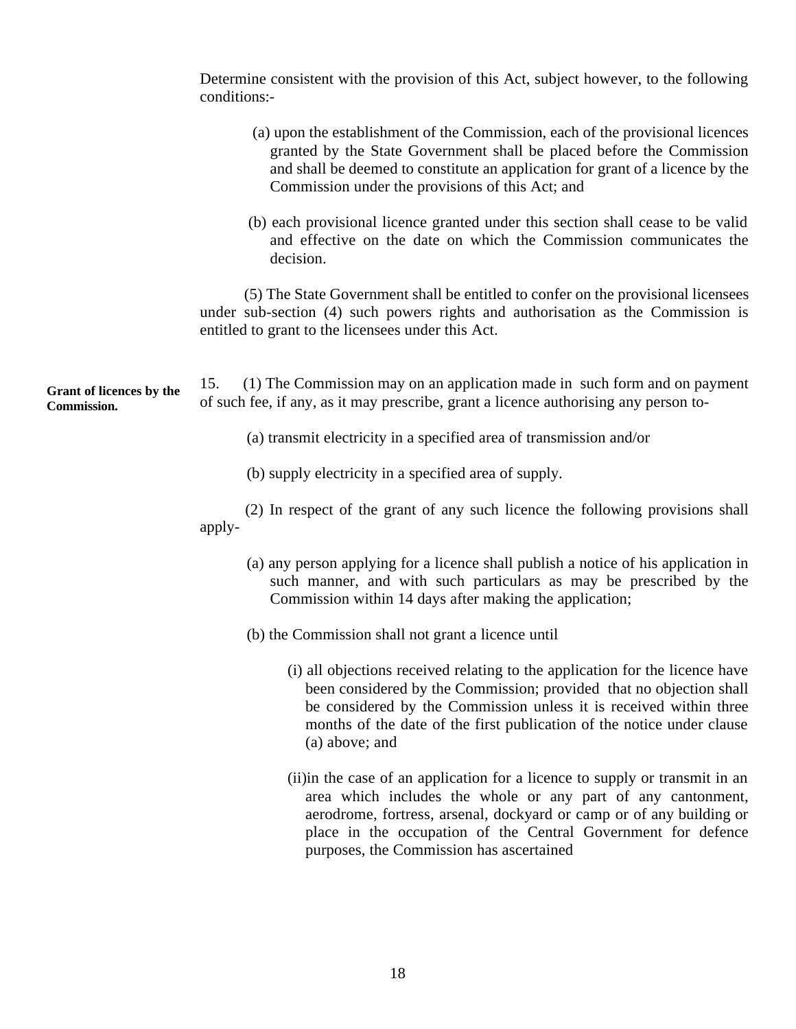Determine consistent with the provision of this Act, subject however, to the following conditions:

| (a) upon the establishment of the Commission, each of the provisional licences |
|--------------------------------------------------------------------------------|
| granted by the State Government shall be placed before the Commission          |
| and shall be deemed to constitute an application for grant of a licence by the |
| Commission under the provisions of this Act; and                               |

(b) each provisional licence granted under this section shall cease to be valid and effective on the date on which the Commission communicates the decision.

(5) The State Government shall be entitled to confer on the provisional licensees under sub-section (4) such powers rights and authorisation as the Commission is entitled to grant to the licensees under this Act.

| <b>Grant of licences by the</b><br><b>Commission.</b> | 15. (1) The Commission may on an application made in such form and on payment        |
|-------------------------------------------------------|--------------------------------------------------------------------------------------|
|                                                       | of such fee, if any, as it may prescribe, grant a licence authorising any person to- |
|                                                       |                                                                                      |

- (a) transmit electricity in a specified area of transmission and/or
- (b) supply electricity in a specified area of supply.

(2) In respect of the grant of any such licence the following provisions shall apply

- (a) any person applying for a licence shall publish a notice of his application in such manner, and with such particulars as may be prescribed by the Commission within 14 days after making the application;
- (b) the Commission shall not grant a licence until
	- (i) all objections received relating to the application for the licence have been considered by the Commission; provided that no objection shall be considered by the Commission unless it is received within three months of the date of the first publication of the notice under clause (a) above; and
	- (ii)in the case of an application for a licence to supply or transmit in an area which includes the whole or any part of any cantonment, aerodrome, fortress, arsenal, dockyard or camp or of any building or place in the occupation of the Central Government for defence purposes, the Commission has ascertained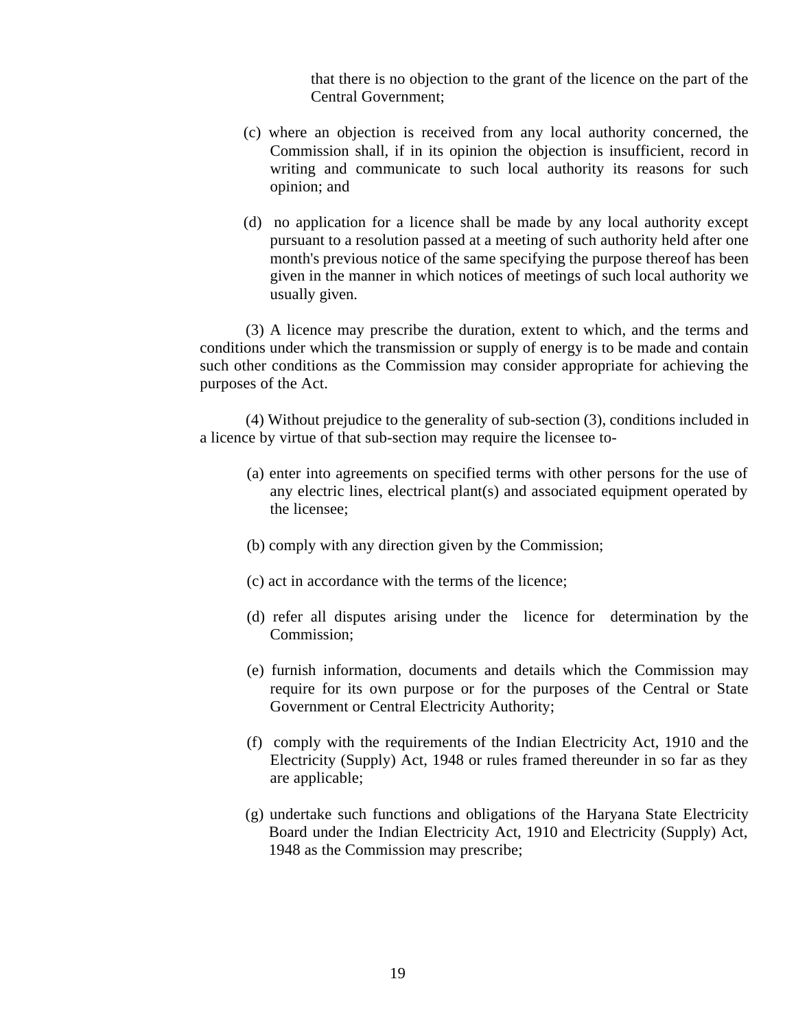that there is no objection to the grant of the licence on the part of the Central Government;

- (c) where an objection is received from any local authority concerned, the Commission shall, if in its opinion the objection is insufficient, record in writing and communicate to such local authority its reasons for such opinion; and
- (d) no application for a licence shall be made by any local authority except pursuant to a resolution passed at a meeting of such authority held after one month's previous notice of the same specifying the purpose thereof has been given in the manner in which notices of meetings of such local authority we usually given.

(3) A licence may prescribe the duration, extent to which, and the terms and conditions under which the transmission or supply of energy is to be made and contain such other conditions as the Commission may consider appropriate for achieving the purposes of the Act.

(4) Without prejudice to the generality of sub-section (3), conditions included in a licence by virtue of that sub-section may require the licensee to

- (a) enter into agreements on specified terms with other persons for the use of any electric lines, electrical plant(s) and associated equipment operated by the licensee;
- (b) comply with any direction given by the Commission;
- (c) act in accordance with the terms of the licence;
- (d) refer all disputes arising under the licence for determination by the Commission;
- (e) furnish information, documents and details which the Commission may require for its own purpose or for the purposes of the Central or State Government or Central Electricity Authority;
- (f) comply with the requirements of the Indian Electricity Act, 1910 and the Electricity (Supply) Act, 1948 or rules framed thereunder in so far as they are applicable;
- (g) undertake such functions and obligations of the Haryana State Electricity Board under the Indian Electricity Act, 1910 and Electricity (Supply) Act, 1948 as the Commission may prescribe;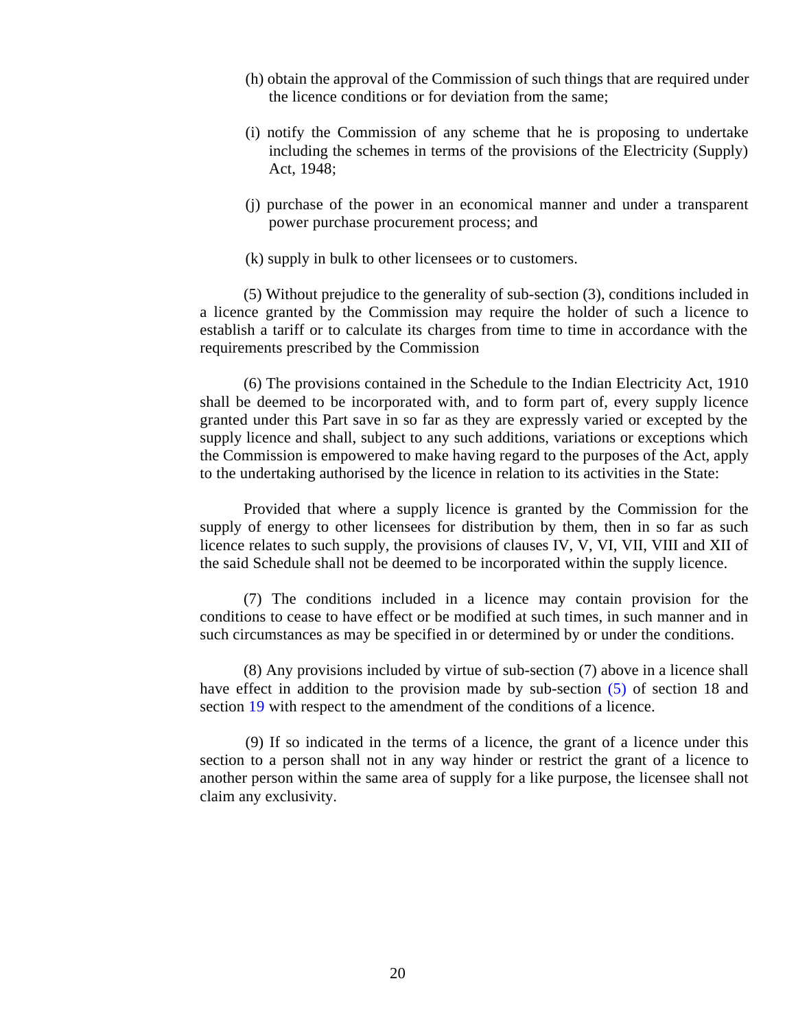- (h) obtain the approval of the Commission of such things that are required under the licence conditions or for deviation from the same;
- (i) notify the Commission of any scheme that he is proposing to undertake including the schemes in terms of the provisions of the Electricity (Supply) Act, 1948;
- (j) purchase of the power in an economical manner and under a transparent power purchase procurement process; and
- (k) supply in bulk to other licensees or to customers.

(5) Without prejudice to the generality of sub-section (3), conditions included in a licence granted by the Commission may require the holder of such a licence to establish a tariff or to calculate its charges from time to time in accordance with the requirements prescribed by the Commission

(6) The provisions contained in the Schedule to the Indian Electricity Act, 1910 shall be deemed to be incorporated with, and to form part of, every supply licence granted under this Part save in so far as they are expressly varied or excepted by the supply licence and shall, subject to any such additions, variations or exceptions which the Commission is empowered to make having regard to the purposes of the Act, apply to the undertaking authorised by the licence in relation to its activities in the State:

Provided that where a supply licence is granted by the Commission for the supply of energy to other licensees for distribution by them, then in so far as such licence relates to such supply, the provisions of clauses IV, V, VI, VII, VIII and XII of the said Schedule shall not be deemed to be incorporated within the supply licence.

(7) The conditions included in a licence may contain provision for the conditions to cease to have effect or be modified at such times, in such manner and in such circumstances as may be specified in or determined by or under the conditions.

(8) Any provisions included by virtue of sub-section (7) above in a licence shall have effect in addition to the provision made by sub-section (5) of section 18 and section 19 with respect to the amendment of the conditions of a licence.

(9) If so indicated in the terms of a licence, the grant of a licence under this section to a person shall not in any way hinder or restrict the grant of a licence to another person within the same area of supply for a like purpose, the licensee shall not claim any exclusivity.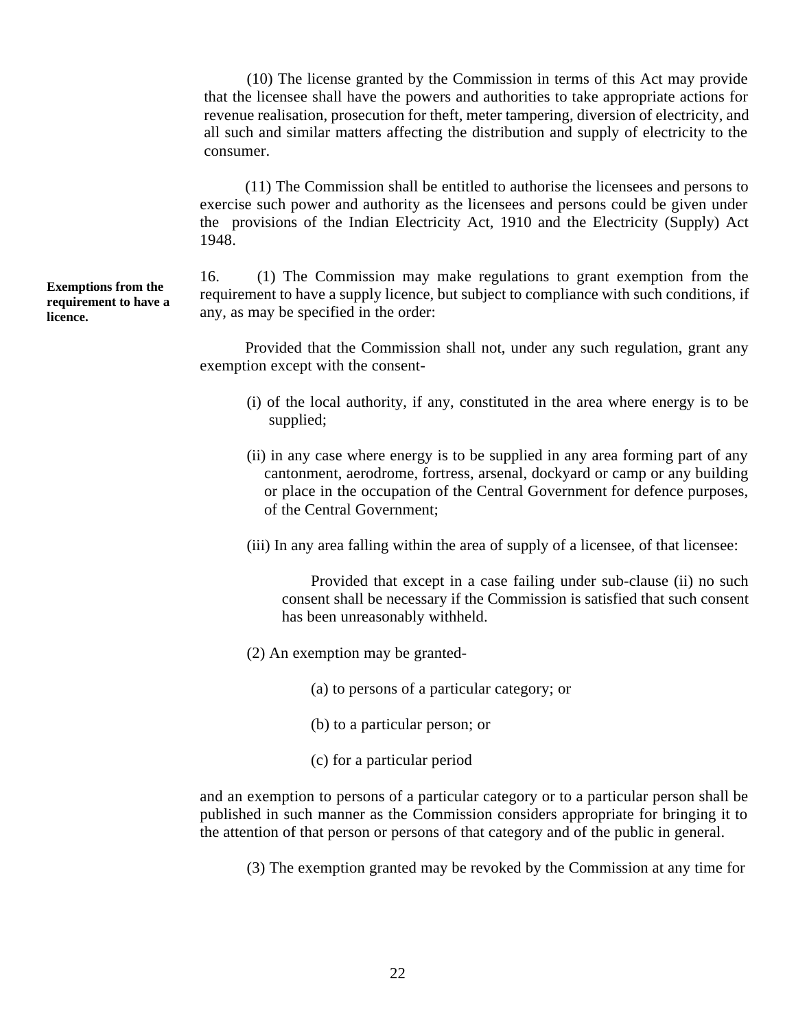(10) The license granted by the Commission in terms of this Act may provide that the licensee shall have the powers and authorities to take appropriate actions for revenue realisation, prosecution for theft, meter tampering, diversion of electricity, and all such and similar matters affecting the distribution and supply of electricity to the consumer.

(11) The Commission shall be entitled to authorise the licensees and persons to exercise such power and authority as the licensees and persons could be given under the provisions of the Indian Electricity Act, 1910 and the Electricity (Supply) Act 1948.

16. (1) The Commission may make regulations to grant exemption from the requirement to have a supply licence, but subject to compliance with such conditions, if any, as may be specified in the order:

Provided that the Commission shall not, under any such regulation, grant any exemption except with the consent

- (i) of the local authority, if any, constituted in the area where energy is to be supplied;
- (ii) in any case where energy is to be supplied in any area forming part of any cantonment, aerodrome, fortress, arsenal, dockyard or camp or any building or place in the occupation of the Central Government for defence purposes, of the Central Government;
- (iii) In any area falling within the area of supply of a licensee, of that licensee:

Provided that except in a case failing under sub-clause (ii) no such consent shall be necessary if the Commission is satisfied that such consent has been unreasonably withheld.

- (2) An exemption may be granted
	- (a) to persons of a particular category; or
	- (b) to a particular person; or
	- (c) for a particular period

and an exemption to persons of a particular category or to a particular person shall be published in such manner as the Commission considers appropriate for bringing it to the attention of that person or persons of that category and of the public in general.

(3) The exemption granted may be revoked by the Commission at any time for

**Exemptions from the** 16. **requirement to have a licence.**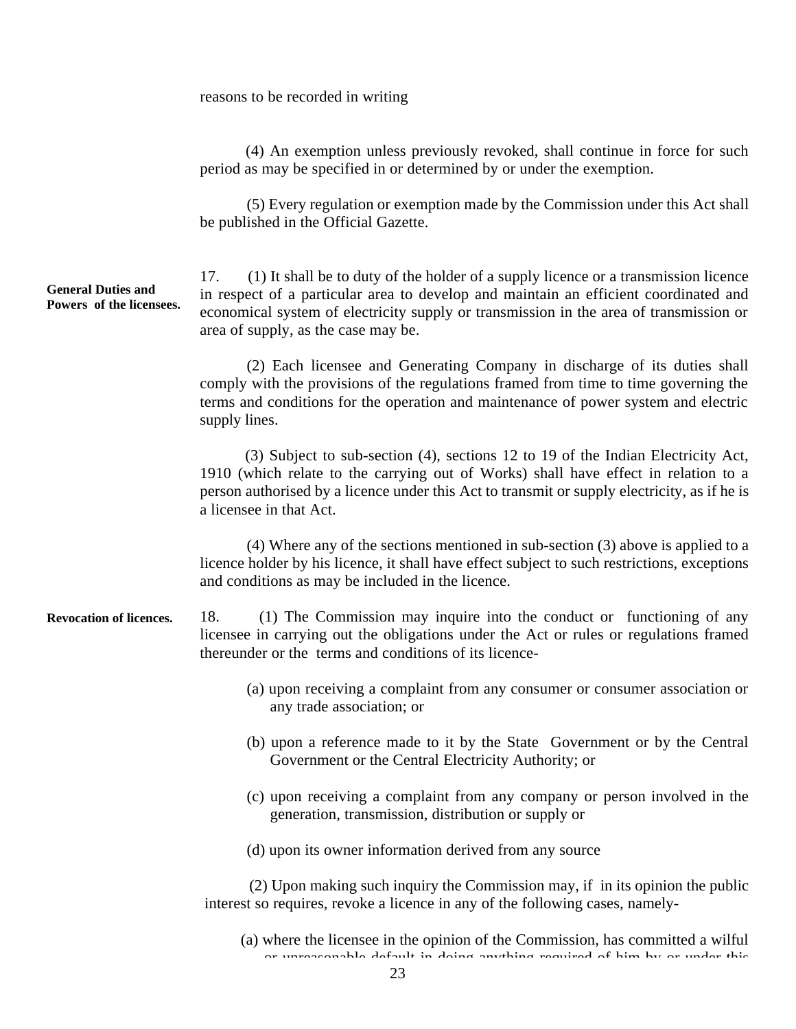#### reasons to be recorded in writing

(4) An exemption unless previously revoked, shall continue in force for such period as may be specified in or determined by or under the exemption.

(5) Every regulation or exemption made by the Commission under this Act shall be published in the Official Gazette.

**General Duties and Powers of the licensees.**  17. (1) It shall be to duty of the holder of a supply licence or a transmission licence in respect of a particular area to develop and maintain an efficient coordinated and economical system of electricity supply or transmission in the area of transmission or area of supply, as the case may be.

> (2) Each licensee and Generating Company in discharge of its duties shall comply with the provisions of the regulations framed from time to time governing the terms and conditions for the operation and maintenance of power system and electric supply lines.

> (3) Subject to sub-section (4), sections 12 to 19 of the Indian Electricity Act, 1910 (which relate to the carrying out of Works) shall have effect in relation to a person authorised by a licence under this Act to transmit or supply electricity, as if he is a licensee in that Act.

> (4) Where any of the sections mentioned in sub-section (3) above is applied to a licence holder by his licence, it shall have effect subject to such restrictions, exceptions and conditions as may be included in the licence.

**Revocation of licences.**  18. (1) The Commission may inquire into the conduct or functioning of any licensee in carrying out the obligations under the Act or rules or regulations framed thereunder or the terms and conditions of its licence

- (a) upon receiving a complaint from any consumer or consumer association or any trade association; or
- (b) upon a reference made to it by the State Government or by the Central Government or the Central Electricity Authority; or
- (c) upon receiving a complaint from any company or person involved in the generation, transmission, distribution or supply or
- (d) upon its owner information derived from any source

 (2) Upon making such inquiry the Commission may, if in its opinion the public interest so requires, revoke a licence in any of the following cases, namely

<sup>(</sup>a) where the licensee in the opinion of the Commission, has committed a wilful or unreasonable default in doing anything required of him by or under this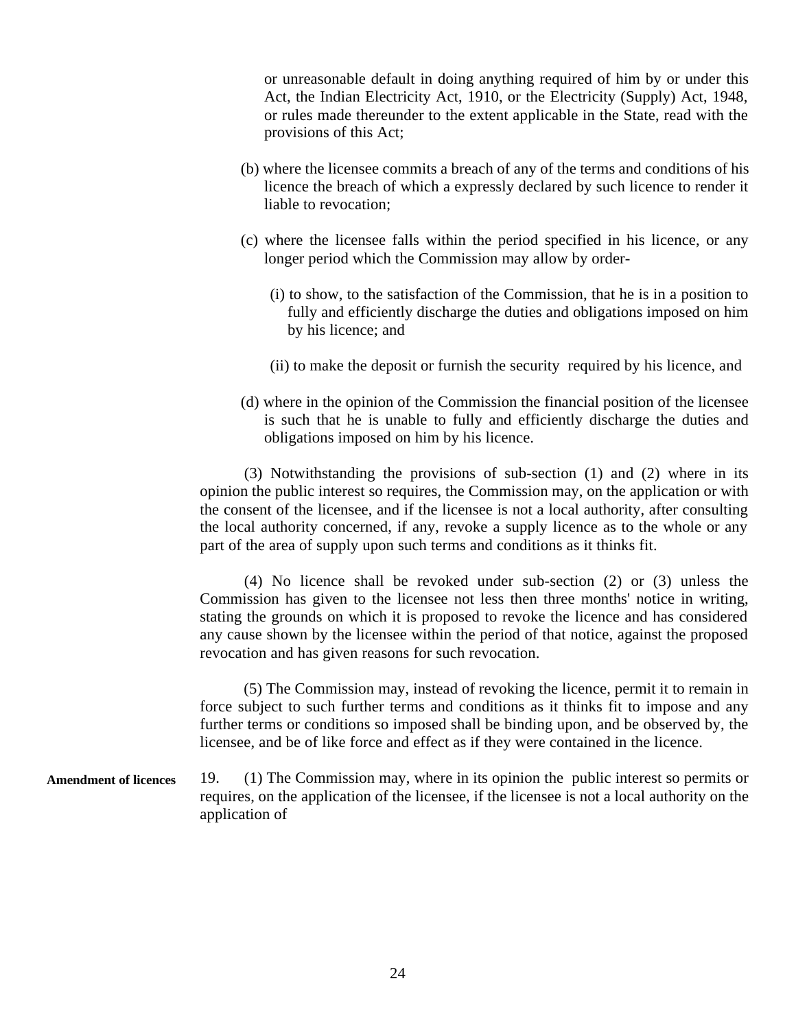or unreasonable default in doing anything required of him by or under this Act, the Indian Electricity Act, 1910, or the Electricity (Supply) Act, 1948, or rules made thereunder to the extent applicable in the State, read with the provisions of this Act;

- (b) where the licensee commits a breach of any of the terms and conditions of his licence the breach of which a expressly declared by such licence to render it liable to revocation;
- (c) where the licensee falls within the period specified in his licence, or any longer period which the Commission may allow by order
	- (i) to show, to the satisfaction of the Commission, that he is in a position to fully and efficiently discharge the duties and obligations imposed on him by his licence; and
	- (ii) to make the deposit or furnish the security required by his licence, and
- (d) where in the opinion of the Commission the financial position of the licensee is such that he is unable to fully and efficiently discharge the duties and obligations imposed on him by his licence.

(3) Notwithstanding the provisions of sub-section (1) and (2) where in its opinion the public interest so requires, the Commission may, on the application or with the consent of the licensee, and if the licensee is not a local authority, after consulting the local authority concerned, if any, revoke a supply licence as to the whole or any part of the area of supply upon such terms and conditions as it thinks fit.

(4) No licence shall be revoked under sub-section (2) or (3) unless the Commission has given to the licensee not less then three months' notice in writing, stating the grounds on which it is proposed to revoke the licence and has considered any cause shown by the licensee within the period of that notice, against the proposed revocation and has given reasons for such revocation.

 (5) The Commission may, instead of revoking the licence, permit it to remain in force subject to such further terms and conditions as it thinks fit to impose and any further terms or conditions so imposed shall be binding upon, and be observed by, the licensee, and be of like force and effect as if they were contained in the licence.

**Amendment of licences**  19. (1) The Commission may, where in its opinion the public interest so permits or requires, on the application of the licensee, if the licensee is not a local authority on the application of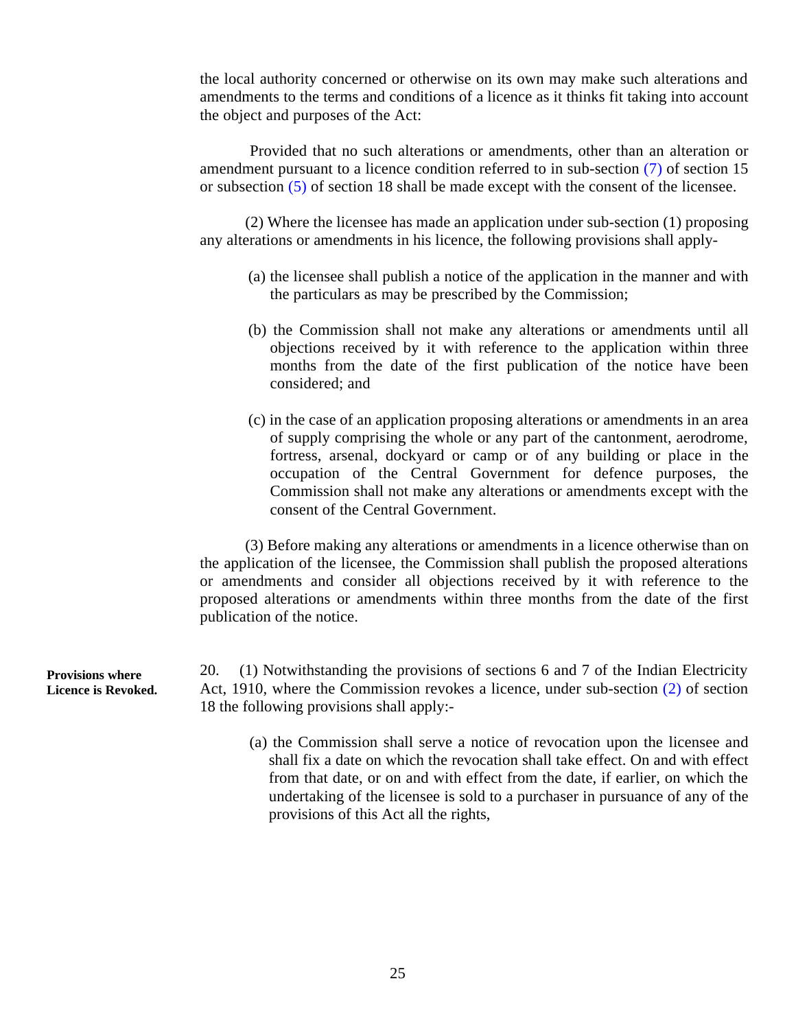the local authority concerned or otherwise on its own may make such alterations and amendments to the terms and conditions of a licence as it thinks fit taking into account the object and purposes of the Act:

Provided that no such alterations or amendments, other than an alteration or amendment pursuant to a licence condition referred to in sub-section (7) of section 15 or subsection (5) of section 18 shall be made except with the consent of the licensee.

(2) Where the licensee has made an application under sub-section (1) proposing any alterations or amendments in his licence, the following provisions shall apply

- (a) the licensee shall publish a notice of the application in the manner and with the particulars as may be prescribed by the Commission;
- (b) the Commission shall not make any alterations or amendments until all objections received by it with reference to the application within three months from the date of the first publication of the notice have been considered; and
- (c) in the case of an application proposing alterations or amendments in an area of supply comprising the whole or any part of the cantonment, aerodrome, fortress, arsenal, dockyard or camp or of any building or place in the occupation of the Central Government for defence purposes, the Commission shall not make any alterations or amendments except with the consent of the Central Government.

(3) Before making any alterations or amendments in a licence otherwise than on the application of the licensee, the Commission shall publish the proposed alterations or amendments and consider all objections received by it with reference to the proposed alterations or amendments within three months from the date of the first publication of the notice.

Provisions where 20. **Licence is Revoked.**   $(1)$  Notwithstanding the provisions of sections 6 and 7 of the Indian Electricity Act, 1910, where the Commission revokes a licence, under sub-section (2) of section 18 the following provisions shall apply:

> (a) the Commission shall serve a notice of revocation upon the licensee and shall fix a date on which the revocation shall take effect. On and with effect from that date, or on and with effect from the date, if earlier, on which the undertaking of the licensee is sold to a purchaser in pursuance of any of the provisions of this Act all the rights,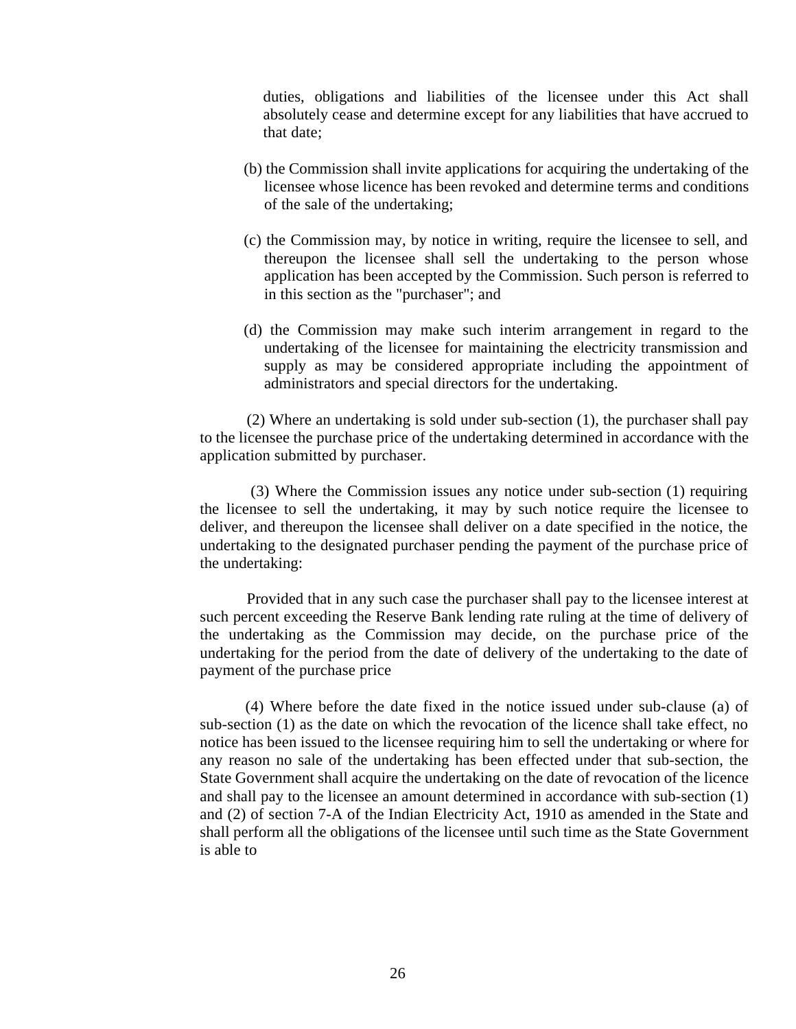duties, obligations and liabilities of the licensee under this Act shall absolutely cease and determine except for any liabilities that have accrued to that date;

- (b) the Commission shall invite applications for acquiring the undertaking of the licensee whose licence has been revoked and determine terms and conditions of the sale of the undertaking;
- (c) the Commission may, by notice in writing, require the licensee to sell, and thereupon the licensee shall sell the undertaking to the person whose application has been accepted by the Commission. Such person is referred to in this section as the "purchaser"; and
- (d) the Commission may make such interim arrangement in regard to the undertaking of the licensee for maintaining the electricity transmission and supply as may be considered appropriate including the appointment of administrators and special directors for the undertaking.

(2) Where an undertaking is sold under sub-section (1), the purchaser shall pay to the licensee the purchase price of the undertaking determined in accordance with the application submitted by purchaser.

 (3) Where the Commission issues any notice under sub-section (1) requiring the licensee to sell the undertaking, it may by such notice require the licensee to deliver, and thereupon the licensee shall deliver on a date specified in the notice, the undertaking to the designated purchaser pending the payment of the purchase price of the undertaking:

Provided that in any such case the purchaser shall pay to the licensee interest at such percent exceeding the Reserve Bank lending rate ruling at the time of delivery of the undertaking as the Commission may decide, on the purchase price of the undertaking for the period from the date of delivery of the undertaking to the date of payment of the purchase price

(4) Where before the date fixed in the notice issued under sub-clause (a) of sub-section (1) as the date on which the revocation of the licence shall take effect, no notice has been issued to the licensee requiring him to sell the undertaking or where for any reason no sale of the undertaking has been effected under that sub-section, the State Government shall acquire the undertaking on the date of revocation of the licence and shall pay to the licensee an amount determined in accordance with sub-section (1) and (2) of section 7-A of the Indian Electricity Act, 1910 as amended in the State and shall perform all the obligations of the licensee until such time as the State Government is able to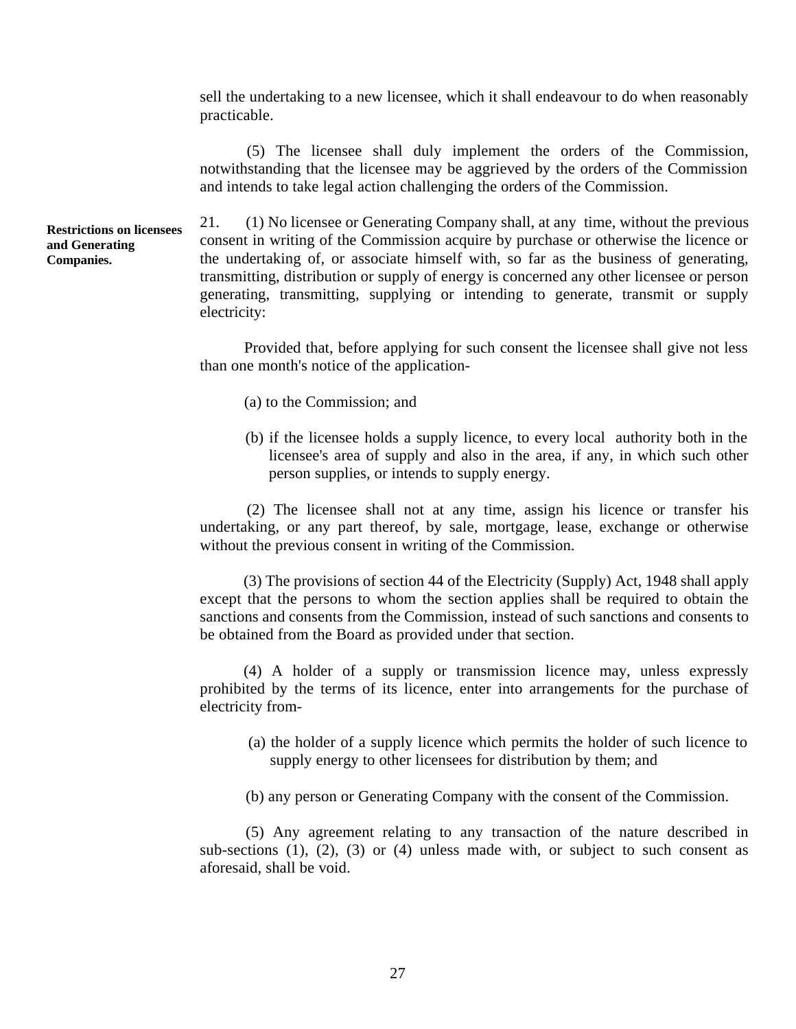sell the undertaking to a new licensee, which it shall endeavour to do when reasonably practicable.

(5) The licensee shall duly implement the orders of the Commission, notwithstanding that the licensee may be aggrieved by the orders of the Commission and intends to take legal action challenging the orders of the Commission.

 **Restrictions on licensees and Generating Companies.** 

21. (1) No licensee or Generating Company shall, at any time, without the previous consent in writing of the Commission acquire by purchase or otherwise the licence or the undertaking of, or associate himself with, so far as the business of generating, transmitting, distribution or supply of energy is concerned any other licensee or person generating, transmitting, supplying or intending to generate, transmit or supply electricity:

Provided that, before applying for such consent the licensee shall give not less than one month's notice of the application

- (a) to the Commission; and
- (b) if the licensee holds a supply licence, to every local authority both in the licensee's area of supply and also in the area, if any, in which such other person supplies, or intends to supply energy.

(2) The licensee shall not at any time, assign his licence or transfer his undertaking, or any part thereof, by sale, mortgage, lease, exchange or otherwise without the previous consent in writing of the Commission.

(3) The provisions of section 44 of the Electricity (Supply) Act, 1948 shall apply except that the persons to whom the section applies shall be required to obtain the sanctions and consents from the Commission, instead of such sanctions and consents to be obtained from the Board as provided under that section.

 electricity from (4) A holder of a supply or transmission licence may, unless expressly prohibited by the terms of its licence, enter into arrangements for the purchase of

- (a) the holder of a supply licence which permits the holder of such licence to supply energy to other licensees for distribution by them; and
- (b) any person or Generating Company with the consent of the Commission.

(5) Any agreement relating to any transaction of the nature described in sub-sections  $(1)$ ,  $(2)$ ,  $(3)$  or  $(4)$  unless made with, or subject to such consent as aforesaid, shall be void.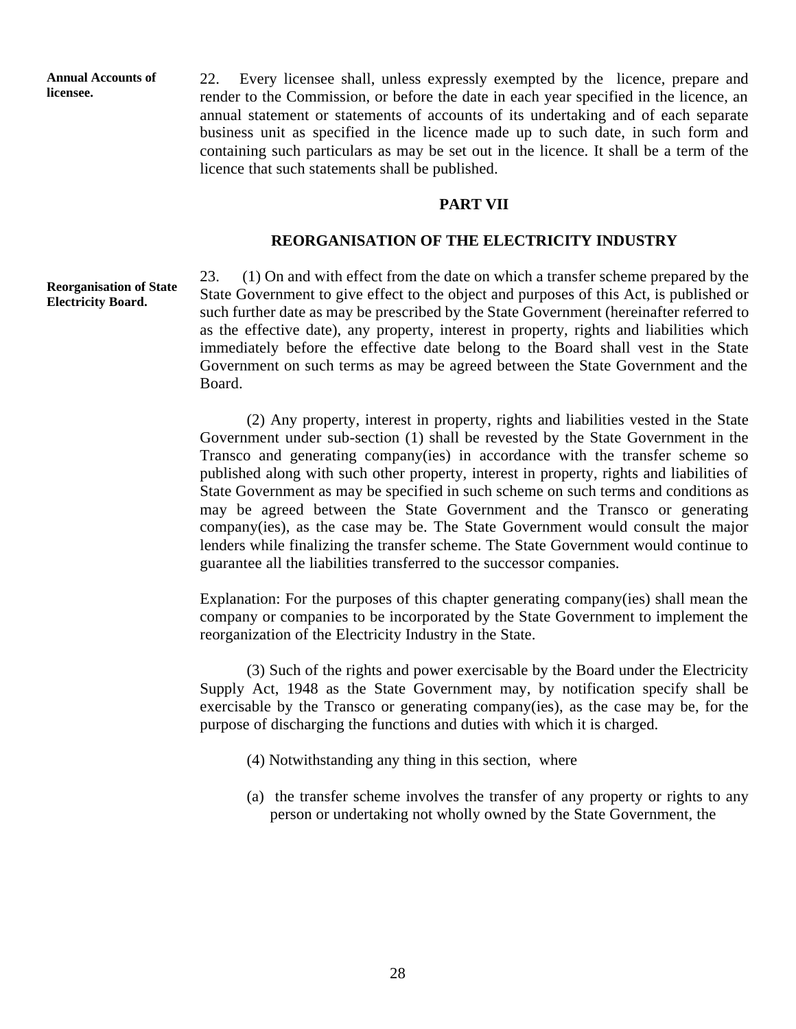**Annual Accounts of licensee.** 

22. Every licensee shall, unless expressly exempted by the licence, prepare and render to the Commission, or before the date in each year specified in the licence, an annual statement or statements of accounts of its undertaking and of each separate business unit as specified in the licence made up to such date, in such form and containing such particulars as may be set out in the licence. It shall be a term of the licence that such statements shall be published.

#### **PART VII**

#### **REORGANISATION OF THE ELECTRICITY INDUSTRY**

#### **Reorganisation of State Electricity Board.**

23. (1) On and with effect from the date on which a transfer scheme prepared by the State Government to give effect to the object and purposes of this Act, is published or such further date as may be prescribed by the State Government (hereinafter referred to as the effective date), any property, interest in property, rights and liabilities which immediately before the effective date belong to the Board shall vest in the State Government on such terms as may be agreed between the State Government and the Board.

(2) Any property, interest in property, rights and liabilities vested in the State Government under sub-section (1) shall be revested by the State Government in the Transco and generating company(ies) in accordance with the transfer scheme so published along with such other property, interest in property, rights and liabilities of State Government as may be specified in such scheme on such terms and conditions as may be agreed between the State Government and the Transco or generating company(ies), as the case may be. The State Government would consult the major lenders while finalizing the transfer scheme. The State Government would continue to guarantee all the liabilities transferred to the successor companies.

Explanation: For the purposes of this chapter generating company(ies) shall mean the company or companies to be incorporated by the State Government to implement the reorganization of the Electricity Industry in the State.

(3) Such of the rights and power exercisable by the Board under the Electricity Supply Act, 1948 as the State Government may, by notification specify shall be exercisable by the Transco or generating company(ies), as the case may be, for the purpose of discharging the functions and duties with which it is charged.

- (4) Notwithstanding any thing in this section, where
- (a) the transfer scheme involves the transfer of any property or rights to any person or undertaking not wholly owned by the State Government, the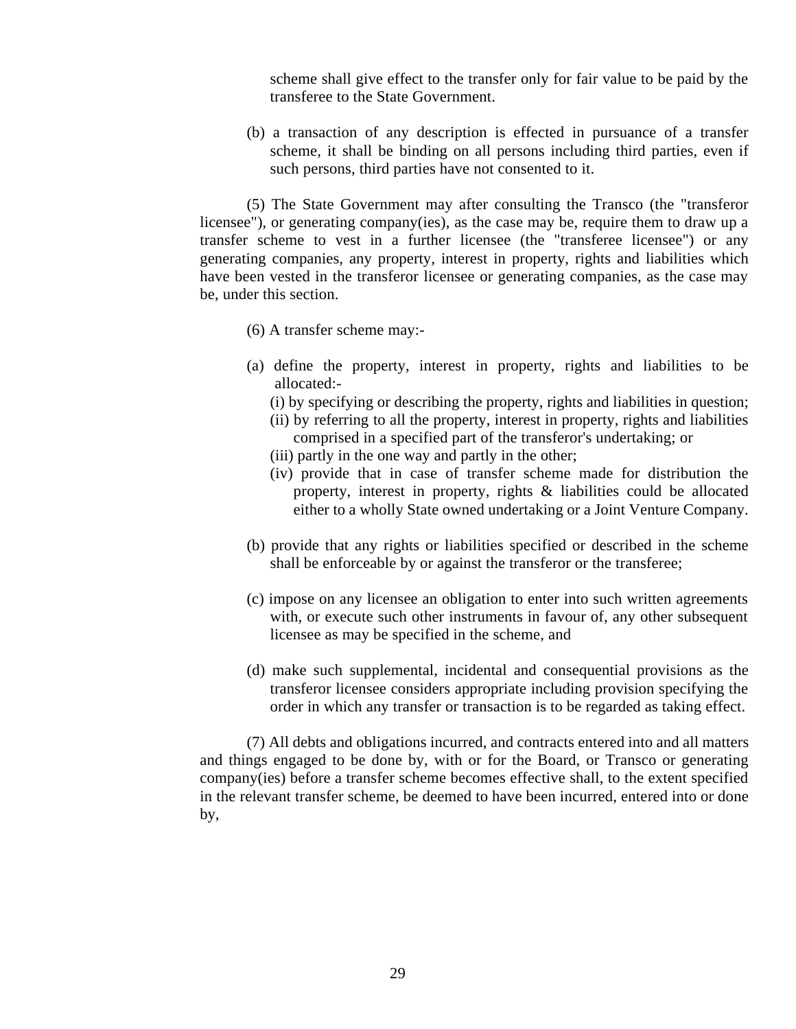scheme shall give effect to the transfer only for fair value to be paid by the transferee to the State Government.

(b) a transaction of any description is effected in pursuance of a transfer scheme, it shall be binding on all persons including third parties, even if such persons, third parties have not consented to it.

(5) The State Government may after consulting the Transco (the "transferor licensee"), or generating company(ies), as the case may be, require them to draw up a transfer scheme to vest in a further licensee (the "transferee licensee") or any generating companies, any property, interest in property, rights and liabilities which have been vested in the transferor licensee or generating companies, as the case may be, under this section.

- (6) A transfer scheme may:
- (a) define the property, interest in property, rights and liabilities to be allocated:
	- (i) by specifying or describing the property, rights and liabilities in question; (ii) by referring to all the property, interest in property, rights and liabilities comprised in a specified part of the transferor's undertaking; or
	- (iii) partly in the one way and partly in the other;
	- (iv) provide that in case of transfer scheme made for distribution the property, interest in property, rights & liabilities could be allocated either to a wholly State owned undertaking or a Joint Venture Company.
- (b) provide that any rights or liabilities specified or described in the scheme shall be enforceable by or against the transferor or the transferee;
- (c) impose on any licensee an obligation to enter into such written agreements with, or execute such other instruments in favour of, any other subsequent licensee as may be specified in the scheme, and
- (d) make such supplemental, incidental and consequential provisions as the transferor licensee considers appropriate including provision specifying the order in which any transfer or transaction is to be regarded as taking effect.

(7) All debts and obligations incurred, and contracts entered into and all matters and things engaged to be done by, with or for the Board, or Transco or generating company(ies) before a transfer scheme becomes effective shall, to the extent specified in the relevant transfer scheme, be deemed to have been incurred, entered into or done by,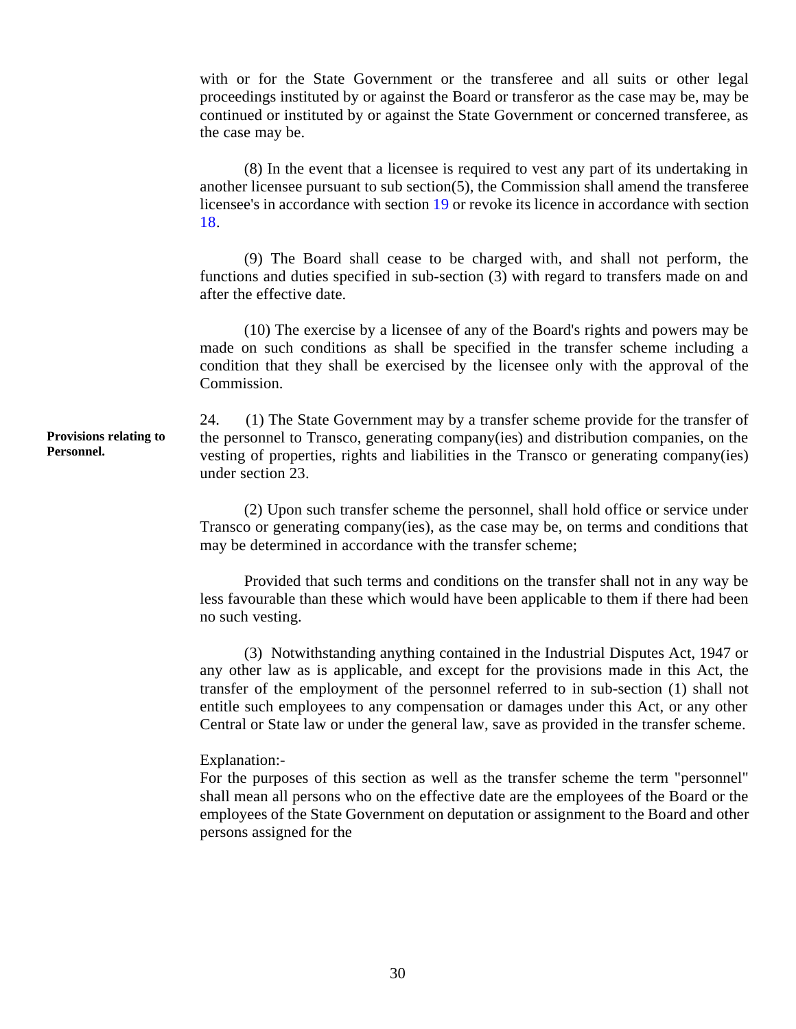with or for the State Government or the transferee and all suits or other legal proceedings instituted by or against the Board or transferor as the case may be, may be continued or instituted by or against the State Government or concerned transferee, as the case may be.

(8) In the event that a licensee is required to vest any part of its undertaking in another licensee pursuant to sub section(5), the Commission shall amend the transferee licensee's in accordance with section 19 or revoke its licence in accordance with section 18.

(9) The Board shall cease to be charged with, and shall not perform, the functions and duties specified in sub-section (3) with regard to transfers made on and after the effective date.

(10) The exercise by a licensee of any of the Board's rights and powers may be made on such conditions as shall be specified in the transfer scheme including a condition that they shall be exercised by the licensee only with the approval of the Commission.

24. (1) The State Government may by a transfer scheme provide for the transfer of the personnel to Transco, generating company(ies) and distribution companies, on the vesting of properties, rights and liabilities in the Transco or generating company(ies) under section 23.

(2) Upon such transfer scheme the personnel, shall hold office or service under Transco or generating company(ies), as the case may be, on terms and conditions that may be determined in accordance with the transfer scheme;

Provided that such terms and conditions on the transfer shall not in any way be less favourable than these which would have been applicable to them if there had been no such vesting.

(3) Notwithstanding anything contained in the Industrial Disputes Act, 1947 or any other law as is applicable, and except for the provisions made in this Act, the transfer of the employment of the personnel referred to in sub-section (1) shall not entitle such employees to any compensation or damages under this Act, or any other Central or State law or under the general law, save as provided in the transfer scheme.

#### Explanation:

For the purposes of this section as well as the transfer scheme the term "personnel" shall mean all persons who on the effective date are the employees of the Board or the employees of the State Government on deputation or assignment to the Board and other persons assigned for the

**Provisions relating to Personnel.**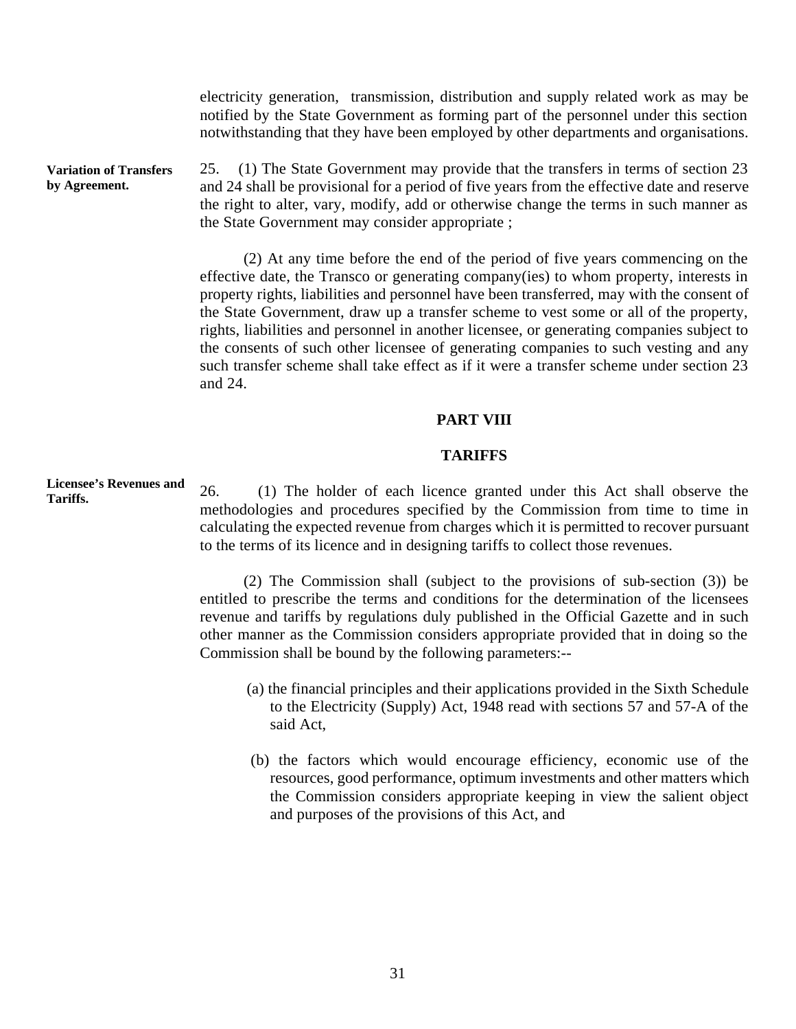electricity generation, transmission, distribution and supply related work as may be notified by the State Government as forming part of the personnel under this section notwithstanding that they have been employed by other departments and organisations.

**Variation of Transfers by Agreement.**  25. (1) The State Government may provide that the transfers in terms of section 23 and 24 shall be provisional for a period of five years from the effective date and reserve the right to alter, vary, modify, add or otherwise change the terms in such manner as the State Government may consider appropriate ;

> (2) At any time before the end of the period of five years commencing on the effective date, the Transco or generating company(ies) to whom property, interests in property rights, liabilities and personnel have been transferred, may with the consent of the State Government, draw up a transfer scheme to vest some or all of the property, rights, liabilities and personnel in another licensee, or generating companies subject to the consents of such other licensee of generating companies to such vesting and any such transfer scheme shall take effect as if it were a transfer scheme under section 23 and 24.

## **PART VIII**

#### **TARIFFS**

26. (1) The holder of each licence granted under this Act shall observe the methodologies and procedures specified by the Commission from time to time in calculating the expected revenue from charges which it is permitted to recover pursuant to the terms of its licence and in designing tariffs to collect those revenues.

(2) The Commission shall (subject to the provisions of sub-section (3)) be entitled to prescribe the terms and conditions for the determination of the licensees revenue and tariffs by regulations duly published in the Official Gazette and in such other manner as the Commission considers appropriate provided that in doing so the Commission shall be bound by the following parameters:-

- (a) the financial principles and their applications provided in the Sixth Schedule to the Electricity (Supply) Act, 1948 read with sections 57 and 57-A of the said Act,
- (b) the factors which would encourage efficiency, economic use of the resources, good performance, optimum investments and other matters which the Commission considers appropriate keeping in view the salient object and purposes of the provisions of this Act, and

**Licensee's Revenues and Tariffs.**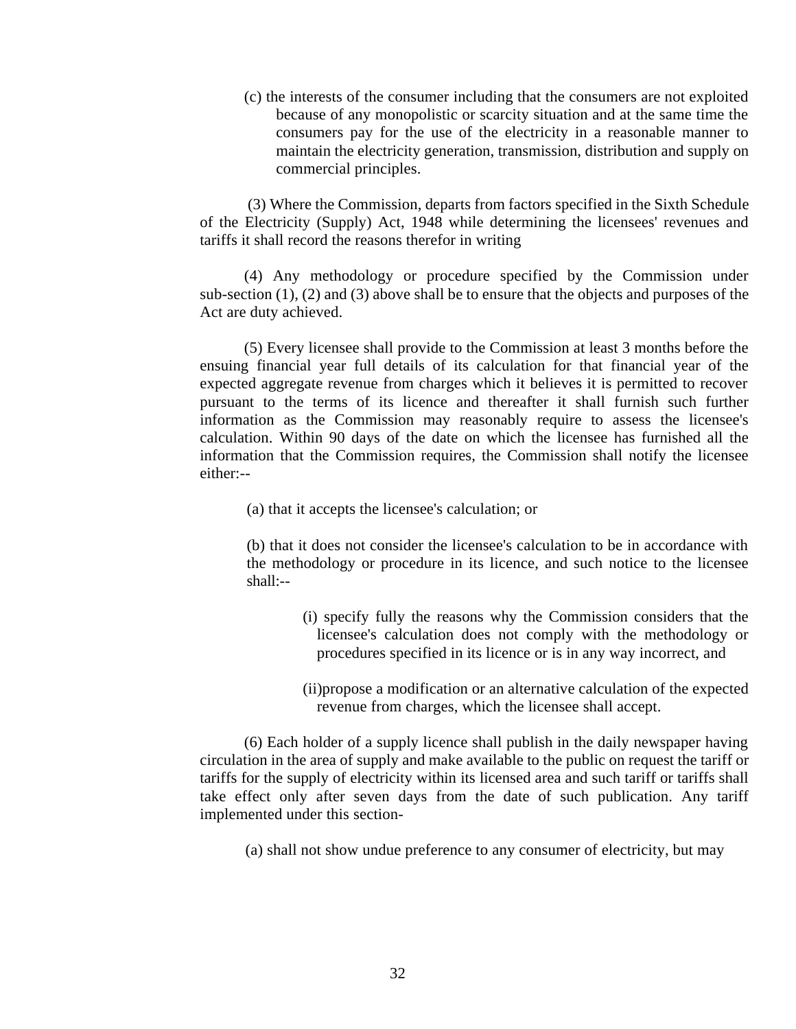(c) the interests of the consumer including that the consumers are not exploited because of any monopolistic or scarcity situation and at the same time the consumers pay for the use of the electricity in a reasonable manner to maintain the electricity generation, transmission, distribution and supply on commercial principles.

(3) Where the Commission, departs from factors specified in the Sixth Schedule of the Electricity (Supply) Act, 1948 while determining the licensees' revenues and tariffs it shall record the reasons therefor in writing

(4) Any methodology or procedure specified by the Commission under sub-section (1), (2) and (3) above shall be to ensure that the objects and purposes of the Act are duty achieved.

(5) Every licensee shall provide to the Commission at least 3 months before the ensuing financial year full details of its calculation for that financial year of the expected aggregate revenue from charges which it believes it is permitted to recover pursuant to the terms of its licence and thereafter it shall furnish such further information as the Commission may reasonably require to assess the licensee's calculation. Within 90 days of the date on which the licensee has furnished all the information that the Commission requires, the Commission shall notify the licensee either:-

(a) that it accepts the licensee's calculation; or

(b) that it does not consider the licensee's calculation to be in accordance with the methodology or procedure in its licence, and such notice to the licensee shall:-

- (i) specify fully the reasons why the Commission considers that the licensee's calculation does not comply with the methodology or procedures specified in its licence or is in any way incorrect, and
- (ii)propose a modification or an alternative calculation of the expected revenue from charges, which the licensee shall accept.

(6) Each holder of a supply licence shall publish in the daily newspaper having circulation in the area of supply and make available to the public on request the tariff or tariffs for the supply of electricity within its licensed area and such tariff or tariffs shall take effect only after seven days from the date of such publication. Any tariff implemented under this section

(a) shall not show undue preference to any consumer of electricity, but may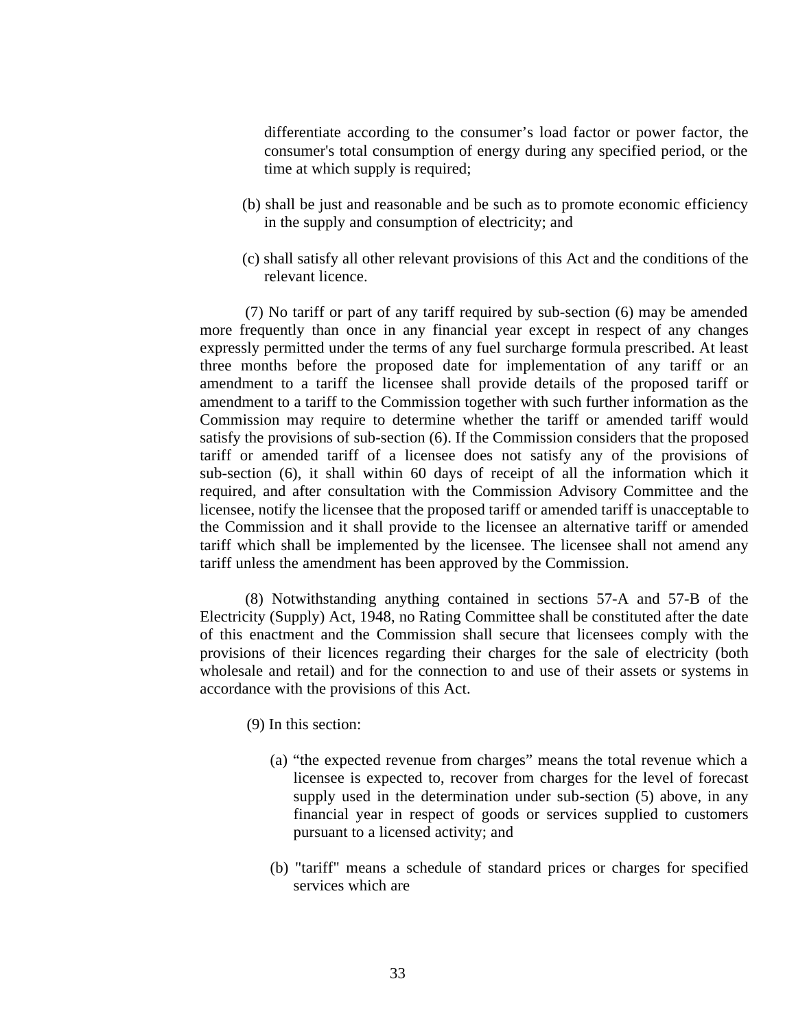differentiate according to the consumer's load factor or power factor, the consumer's total consumption of energy during any specified period, or the time at which supply is required;

- (b) shall be just and reasonable and be such as to promote economic efficiency in the supply and consumption of electricity; and
- (c) shall satisfy all other relevant provisions of this Act and the conditions of the relevant licence.

(7) No tariff or part of any tariff required by sub-section (6) may be amended more frequently than once in any financial year except in respect of any changes expressly permitted under the terms of any fuel surcharge formula prescribed. At least three months before the proposed date for implementation of any tariff or an amendment to a tariff the licensee shall provide details of the proposed tariff or amendment to a tariff to the Commission together with such further information as the Commission may require to determine whether the tariff or amended tariff would satisfy the provisions of sub-section (6). If the Commission considers that the proposed tariff or amended tariff of a licensee does not satisfy any of the provisions of sub-section (6), it shall within 60 days of receipt of all the information which it required, and after consultation with the Commission Advisory Committee and the licensee, notify the licensee that the proposed tariff or amended tariff is unacceptable to the Commission and it shall provide to the licensee an alternative tariff or amended tariff which shall be implemented by the licensee. The licensee shall not amend any tariff unless the amendment has been approved by the Commission.

(8) Notwithstanding anything contained in sections 57-A and 57-B of the Electricity (Supply) Act, 1948, no Rating Committee shall be constituted after the date of this enactment and the Commission shall secure that licensees comply with the provisions of their licences regarding their charges for the sale of electricity (both wholesale and retail) and for the connection to and use of their assets or systems in accordance with the provisions of this Act.

- (9) In this section:
	- supply used in the determination under sub-section (5) above, in any (a) "the expected revenue from charges" means the total revenue which a licensee is expected to, recover from charges for the level of forecast financial year in respect of goods or services supplied to customers pursuant to a licensed activity; and
	- (b) "tariff" means a schedule of standard prices or charges for specified services which are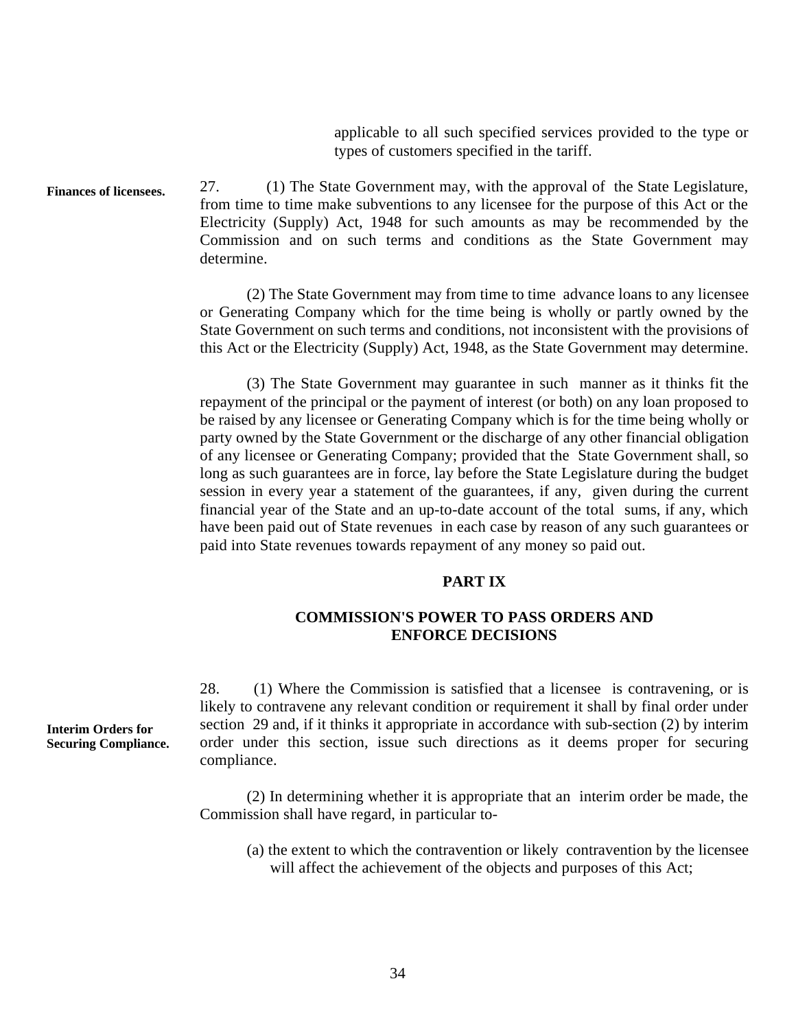applicable to all such specified services provided to the type or types of customers specified in the tariff.

**Finances of licensees.**  27. (1) The State Government may, with the approval of the State Legislature, from time to time make subventions to any licensee for the purpose of this Act or the Electricity (Supply) Act, 1948 for such amounts as may be recommended by the Commission and on such terms and conditions as the State Government may determine.

> (2) The State Government may from time to time advance loans to any licensee or Generating Company which for the time being is wholly or partly owned by the State Government on such terms and conditions, not inconsistent with the provisions of this Act or the Electricity (Supply) Act, 1948, as the State Government may determine.

> session in every year a statement of the guarantees, if any, given during the current (3) The State Government may guarantee in such manner as it thinks fit the repayment of the principal or the payment of interest (or both) on any loan proposed to be raised by any licensee or Generating Company which is for the time being wholly or party owned by the State Government or the discharge of any other financial obligation of any licensee or Generating Company; provided that the State Government shall, so long as such guarantees are in force, lay before the State Legislature during the budget financial year of the State and an up-to-date account of the total sums, if any, which have been paid out of State revenues in each case by reason of any such guarantees or paid into State revenues towards repayment of any money so paid out.

# **PART IX**

# **COMMISSION'S POWER TO PASS ORDERS AND ENFORCE DECISIONS**

28. (1) Where the Commission is satisfied that a licensee is contravening, or is likely to contravene any relevant condition or requirement it shall by final order under section 29 and, if it thinks it appropriate in accordance with sub-section (2) by interim order under this section, issue such directions as it deems proper for securing compliance.

(2) In determining whether it is appropriate that an interim order be made, the Commission shall have regard, in particular to

(a) the extent to which the contravention or likely contravention by the licensee will affect the achievement of the objects and purposes of this Act;

**Interim Orders for Securing Compliance.**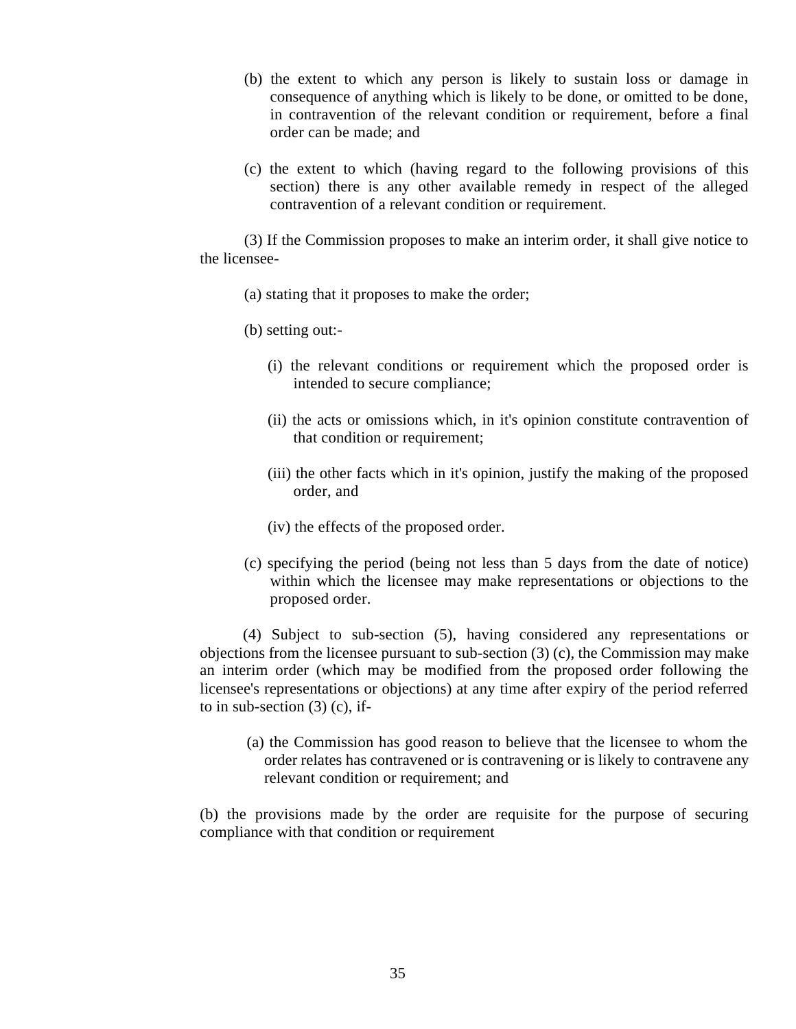- (b) the extent to which any person is likely to sustain loss or damage in consequence of anything which is likely to be done, or omitted to be done, in contravention of the relevant condition or requirement, before a final order can be made; and
- (c) the extent to which (having regard to the following provisions of this section) there is any other available remedy in respect of the alleged contravention of a relevant condition or requirement.

(3) If the Commission proposes to make an interim order, it shall give notice to the licensee

- (a) stating that it proposes to make the order;
- (b) setting out:
	- (i) the relevant conditions or requirement which the proposed order is intended to secure compliance;
	- (ii) the acts or omissions which, in it's opinion constitute contravention of that condition or requirement;
	- (iii) the other facts which in it's opinion, justify the making of the proposed order, and
	- (iv) the effects of the proposed order.
- (c) specifying the period (being not less than 5 days from the date of notice) within which the licensee may make representations or objections to the proposed order.

(4) Subject to sub-section (5), having considered any representations or objections from the licensee pursuant to sub-section (3) (c), the Commission may make an interim order (which may be modified from the proposed order following the licensee's representations or objections) at any time after expiry of the period referred to in sub-section  $(3)$  (c), if-

(a) the Commission has good reason to believe that the licensee to whom the order relates has contravened or is contravening or is likely to contravene any relevant condition or requirement; and

(b) the provisions made by the order are requisite for the purpose of securing compliance with that condition or requirement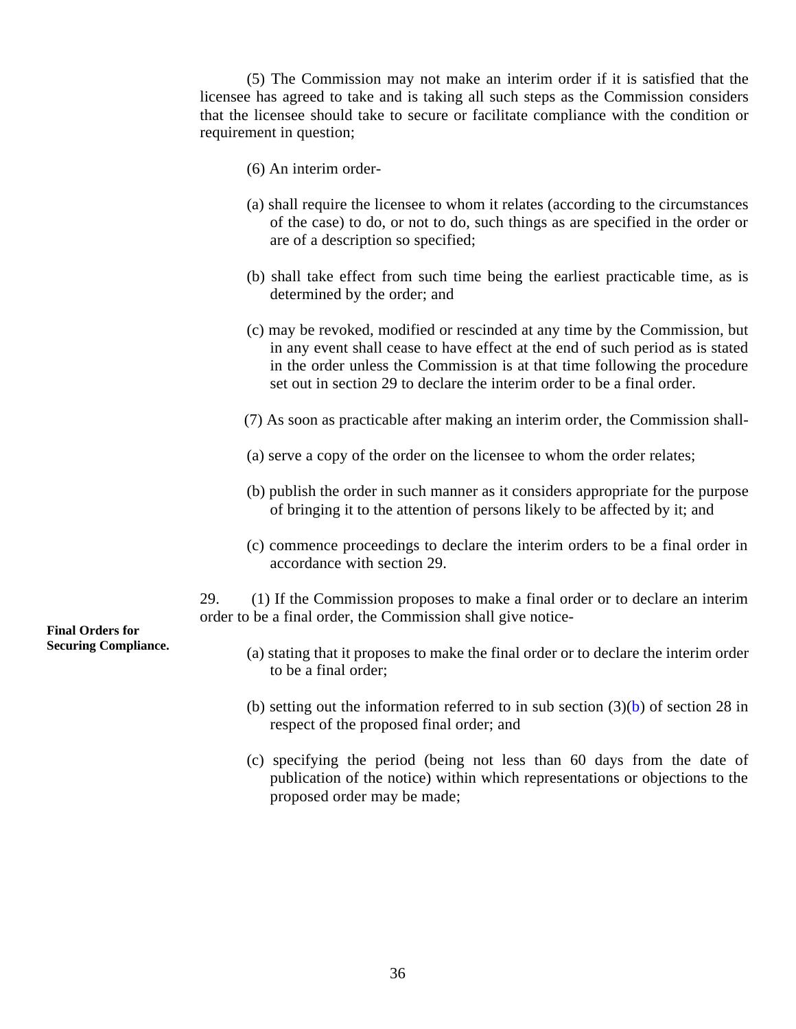(5) The Commission may not make an interim order if it is satisfied that the licensee has agreed to take and is taking all such steps as the Commission considers that the licensee should take to secure or facilitate compliance with the condition or requirement in question;

- (6) An interim order
- (a) shall require the licensee to whom it relates (according to the circumstances of the case) to do, or not to do, such things as are specified in the order or are of a description so specified;
- (b) shall take effect from such time being the earliest practicable time, as is determined by the order; and
- (c) may be revoked, modified or rescinded at any time by the Commission, but in any event shall cease to have effect at the end of such period as is stated in the order unless the Commission is at that time following the procedure set out in section 29 to declare the interim order to be a final order.
- (7) As soon as practicable after making an interim order, the Commission shall
- (a) serve a copy of the order on the licensee to whom the order relates;
- (b) publish the order in such manner as it considers appropriate for the purpose of bringing it to the attention of persons likely to be affected by it; and
- (c) commence proceedings to declare the interim orders to be a final order in accordance with section 29.

29. (1) If the Commission proposes to make a final order or to declare an interim order to be a final order, the Commission shall give notice

- (a) stating that it proposes to make the final order or to declare the interim order to be a final order;
- (b) setting out the information referred to in sub section  $(3)(b)$  of section 28 in respect of the proposed final order; and
- (c) specifying the period (being not less than 60 days from the date of publication of the notice) within which representations or objections to the proposed order may be made;

**Final Orders for Securing Compliance.**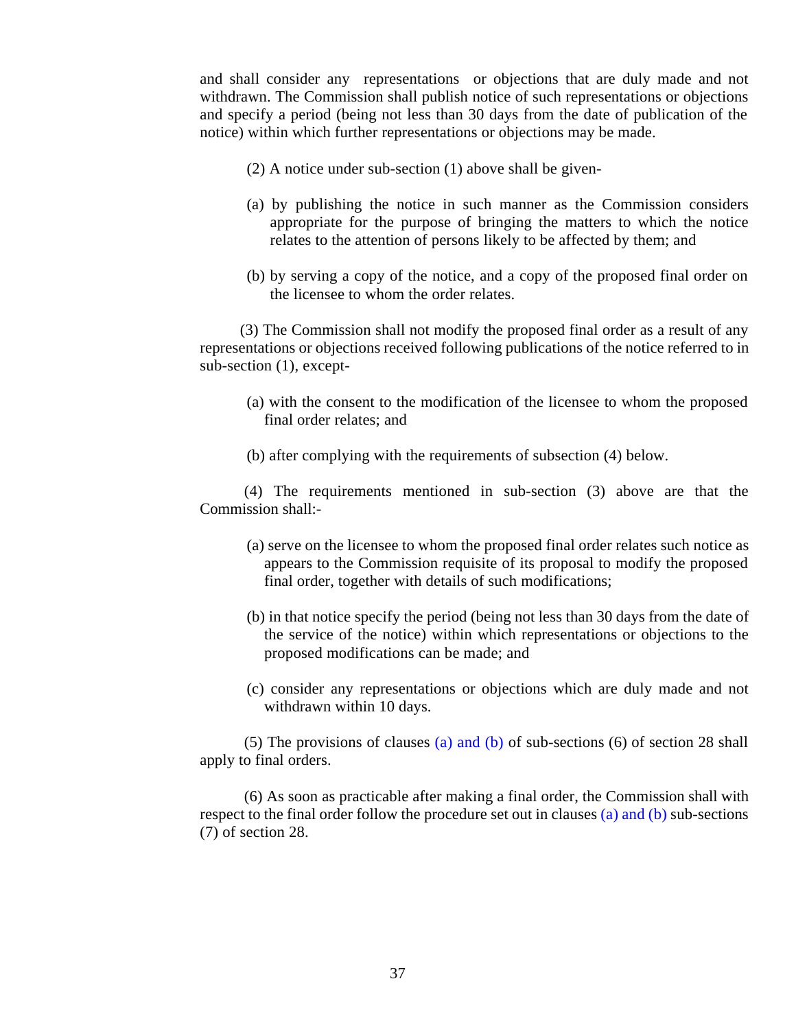and shall consider any representations or objections that are duly made and not withdrawn. The Commission shall publish notice of such representations or objections and specify a period (being not less than 30 days from the date of publication of the notice) within which further representations or objections may be made.

- (2) A notice under sub-section (1) above shall be given
- (a) by publishing the notice in such manner as the Commission considers appropriate for the purpose of bringing the matters to which the notice relates to the attention of persons likely to be affected by them; and
- (b) by serving a copy of the notice, and a copy of the proposed final order on the licensee to whom the order relates.

 (3) The Commission shall not modify the proposed final order as a result of any representations or objections received following publications of the notice referred to in sub-section (1), except

(a) with the consent to the modification of the licensee to whom the proposed final order relates; and

(b) after complying with the requirements of subsection (4) below.

(4) The requirements mentioned in sub-section (3) above are that the Commission shall:

- (a) serve on the licensee to whom the proposed final order relates such notice as appears to the Commission requisite of its proposal to modify the proposed final order, together with details of such modifications;
- (b) in that notice specify the period (being not less than 30 days from the date of the service of the notice) within which representations or objections to the proposed modifications can be made; and
- (c) consider any representations or objections which are duly made and not withdrawn within 10 days.

(5) The provisions of clauses (a) and (b) of sub-sections (6) of section 28 shall apply to final orders.

(6) As soon as practicable after making a final order, the Commission shall with respect to the final order follow the procedure set out in clauses (a) and (b) sub-sections (7) of section 28.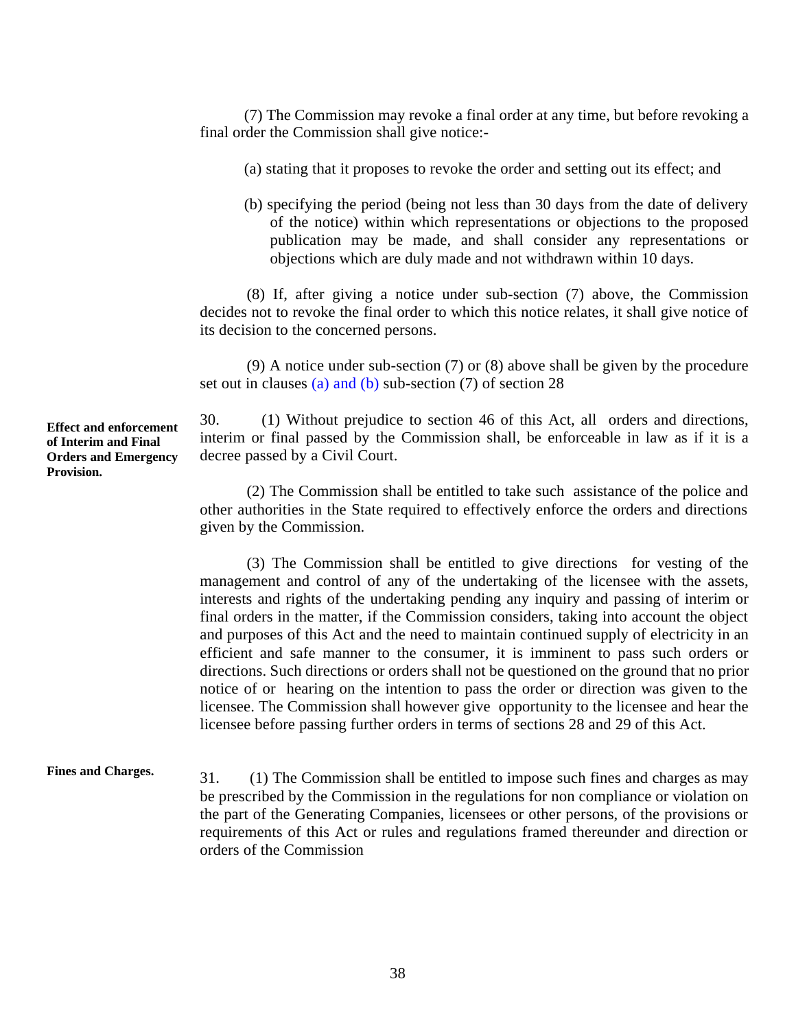(7) The Commission may revoke a final order at any time, but before revoking a final order the Commission shall give notice:

(a) stating that it proposes to revoke the order and setting out its effect; and

(b) specifying the period (being not less than 30 days from the date of delivery of the notice) within which representations or objections to the proposed publication may be made, and shall consider any representations or objections which are duly made and not withdrawn within 10 days.

(8) If, after giving a notice under sub-section (7) above, the Commission decides not to revoke the final order to which this notice relates, it shall give notice of its decision to the concerned persons.

(9) A notice under sub-section (7) or (8) above shall be given by the procedure set out in clauses (a) and (b) sub-section (7) of section 28

30. (1) Without prejudice to section 46 of this Act, all orders and directions, interim or final passed by the Commission shall, be enforceable in law as if it is a decree passed by a Civil Court.

(2) The Commission shall be entitled to take such assistance of the police and other authorities in the State required to effectively enforce the orders and directions given by the Commission.

(3) The Commission shall be entitled to give directions for vesting of the management and control of any of the undertaking of the licensee with the assets, interests and rights of the undertaking pending any inquiry and passing of interim or final orders in the matter, if the Commission considers, taking into account the object and purposes of this Act and the need to maintain continued supply of electricity in an efficient and safe manner to the consumer, it is imminent to pass such orders or directions. Such directions or orders shall not be questioned on the ground that no prior notice of or hearing on the intention to pass the order or direction was given to the licensee. The Commission shall however give opportunity to the licensee and hear the licensee before passing further orders in terms of sections 28 and 29 of this Act.

#### **Fines and Charges.**  31. (1) The Commission shall be entitled to impose such fines and charges as may be prescribed by the Commission in the regulations for non compliance or violation on the part of the Generating Companies, licensees or other persons, of the provisions or requirements of this Act or rules and regulations framed thereunder and direction or orders of the Commission

**Effect and enforcement of Interim and Final Orders and Emergency Provision.**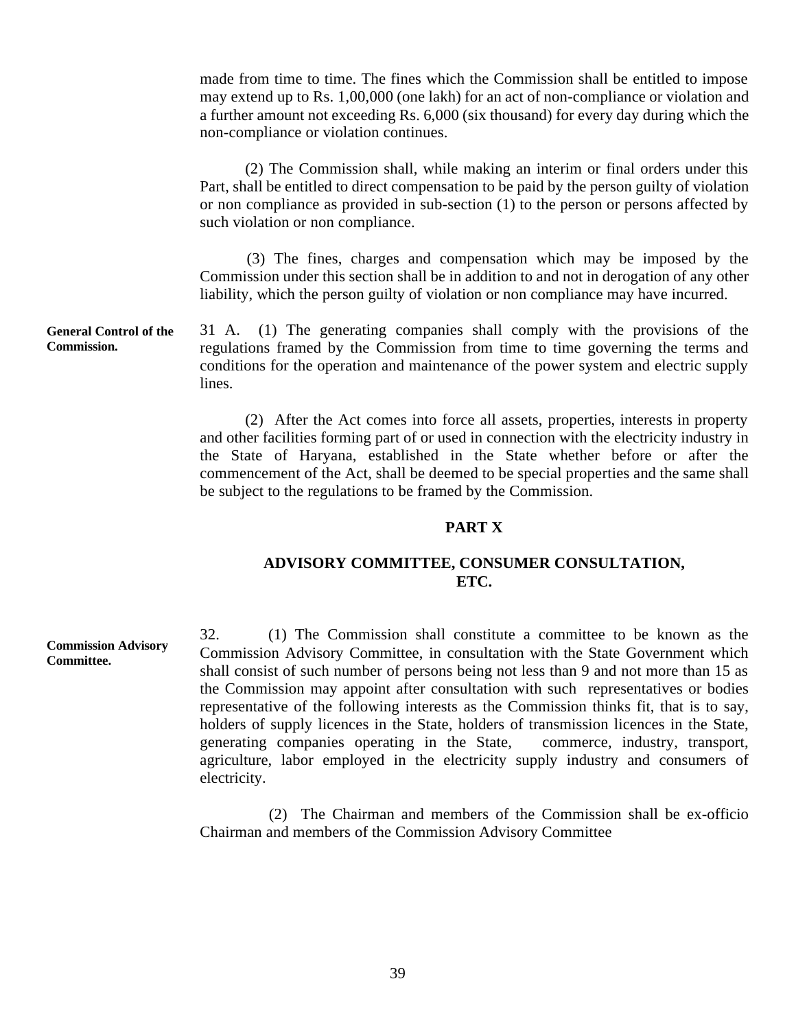made from time to time. The fines which the Commission shall be entitled to impose may extend up to Rs. 1,00,000 (one lakh) for an act of non-compliance or violation and a further amount not exceeding Rs. 6,000 (six thousand) for every day during which the non-compliance or violation continues.

(2) The Commission shall, while making an interim or final orders under this Part, shall be entitled to direct compensation to be paid by the person guilty of violation or non compliance as provided in sub-section (1) to the person or persons affected by such violation or non compliance.

(3) The fines, charges and compensation which may be imposed by the Commission under this section shall be in addition to and not in derogation of any other liability, which the person guilty of violation or non compliance may have incurred.

**General Control of the**  31 A. (1) The generating companies shall comply with the provisions of the regulations framed by the Commission from time to time governing the terms and conditions for the operation and maintenance of the power system and electric supply lines.

> (2) After the Act comes into force all assets, properties, interests in property and other facilities forming part of or used in connection with the electricity industry in the State of Haryana, established in the State whether before or after the commencement of the Act, shall be deemed to be special properties and the same shall be subject to the regulations to be framed by the Commission.

## **PART X**

# **ADVISORY COMMITTEE, CONSUMER CONSULTATION, ETC.**

32. (1) The Commission shall constitute a committee to be known as the Commission Advisory Committee, in consultation with the State Government which shall consist of such number of persons being not less than 9 and not more than 15 as the Commission may appoint after consultation with such representatives or bodies representative of the following interests as the Commission thinks fit, that is to say, holders of supply licences in the State, holders of transmission licences in the State, generating companies operating in the State, commerce, industry, transport, agriculture, labor employed in the electricity supply industry and consumers of electricity.

(2) The Chairman and members of the Commission shall be ex-officio Chairman and members of the Commission Advisory Committee

**Commission.** 

**Commission Advisory Committee.**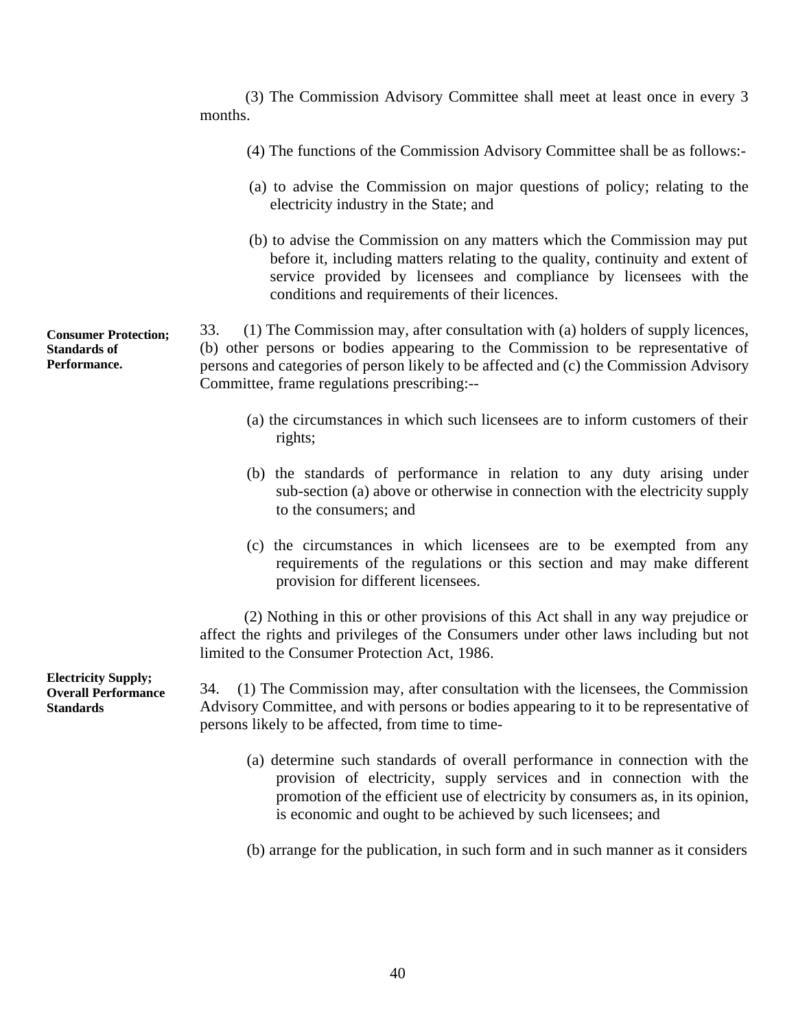(3) The Commission Advisory Committee shall meet at least once in every 3 months.

- (4) The functions of the Commission Advisory Committee shall be as follows:
- (a) to advise the Commission on major questions of policy; relating to the electricity industry in the State; and
- (b) to advise the Commission on any matters which the Commission may put before it, including matters relating to the quality, continuity and extent of service provided by licensees and compliance by licensees with the conditions and requirements of their licences.

33. (1) The Commission may, after consultation with (a) holders of supply licences, (b) other persons or bodies appearing to the Commission to be representative of persons and categories of person likely to be affected and (c) the Commission Advisory Committee, frame regulations prescribing:-

- (a) the circumstances in which such licensees are to inform customers of their rights;
- (b) the standards of performance in relation to any duty arising under sub-section (a) above or otherwise in connection with the electricity supply to the consumers; and
- (c) the circumstances in which licensees are to be exempted from any requirements of the regulations or this section and may make different provision for different licensees.

(2) Nothing in this or other provisions of this Act shall in any way prejudice or affect the rights and privileges of the Consumers under other laws including but not limited to the Consumer Protection Act, 1986.

 34. (1) The Commission may, after consultation with the licensees, the Commission Advisory Committee, and with persons or bodies appearing to it to be representative of persons likely to be affected, from time to time

- (a) determine such standards of overall performance in connection with the provision of electricity, supply services and in connection with the promotion of the efficient use of electricity by consumers as, in its opinion, is economic and ought to be achieved by such licensees; and
- (b) arrange for the publication, in such form and in such manner as it considers

**Consumer Protection; Standards of Performance.** 

**Electricity Supply; Overall Performance Standards**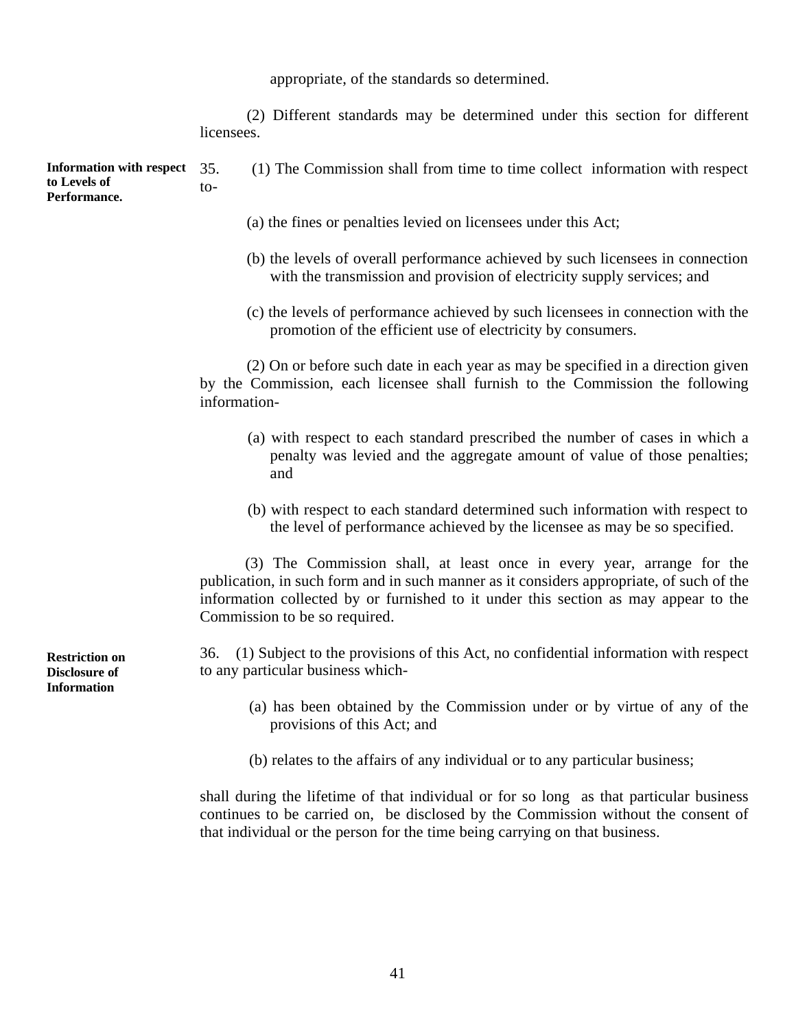appropriate, of the standards so determined.

(2) Different standards may be determined under this section for different licensees.

**Information with respect to Levels of Performance.**  35. (1) The Commission shall from time to time collect information with respect  $to$ -

- (a) the fines or penalties levied on licensees under this Act;
- (b) the levels of overall performance achieved by such licensees in connection with the transmission and provision of electricity supply services; and
- (c) the levels of performance achieved by such licensees in connection with the promotion of the efficient use of electricity by consumers.

(2) On or before such date in each year as may be specified in a direction given by the Commission, each licensee shall furnish to the Commission the following information

- (a) with respect to each standard prescribed the number of cases in which a penalty was levied and the aggregate amount of value of those penalties; and
- (b) with respect to each standard determined such information with respect to the level of performance achieved by the licensee as may be so specified.

(3) The Commission shall, at least once in every year, arrange for the publication, in such form and in such manner as it considers appropriate, of such of the information collected by or furnished to it under this section as may appear to the Commission to be so required.

 36. (1) Subject to the provisions of this Act, no confidential information with respect to any particular business which

- (a) has been obtained by the Commission under or by virtue of any of the provisions of this Act; and
- (b) relates to the affairs of any individual or to any particular business;

 continues to be carried on, be disclosed by the Commission without the consent of that individual or the person for the time being carrying on that business. shall during the lifetime of that individual or for so long as that particular business

**Restriction on Disclosure of Information**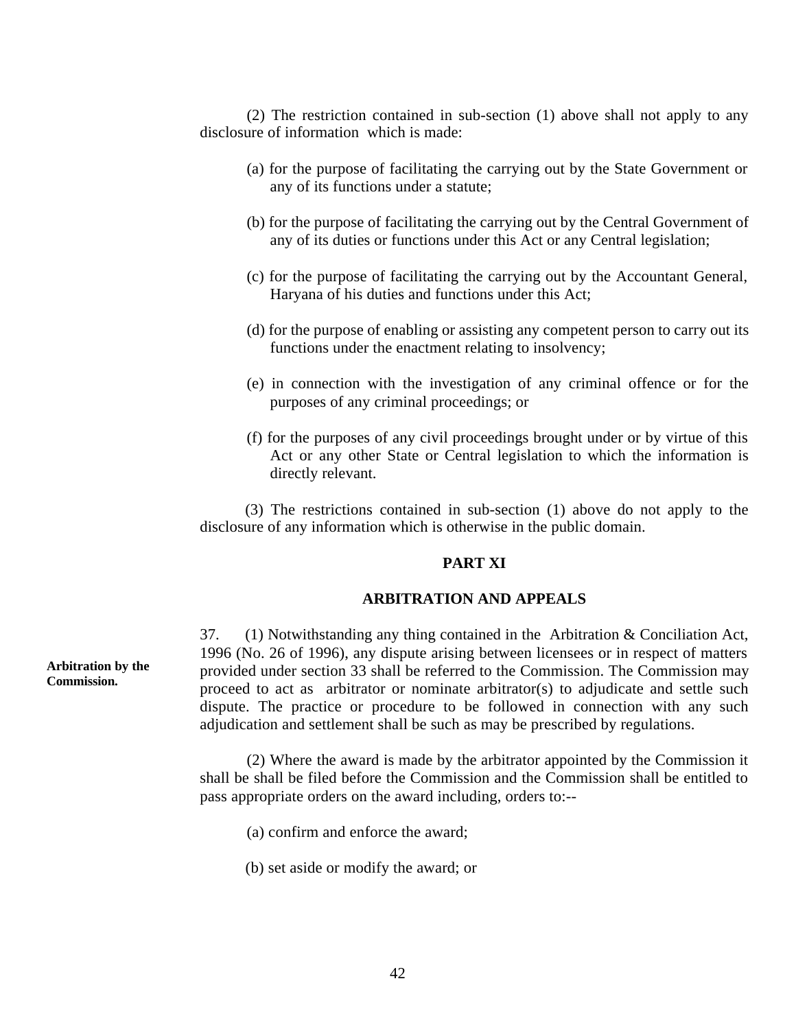(2) The restriction contained in sub-section (1) above shall not apply to any disclosure of information which is made:

- (a) for the purpose of facilitating the carrying out by the State Government or any of its functions under a statute;
- (b) for the purpose of facilitating the carrying out by the Central Government of any of its duties or functions under this Act or any Central legislation;
- (c) for the purpose of facilitating the carrying out by the Accountant General, Haryana of his duties and functions under this Act;
- (d) for the purpose of enabling or assisting any competent person to carry out its functions under the enactment relating to insolvency;
- (e) in connection with the investigation of any criminal offence or for the purposes of any criminal proceedings; or
- (f) for the purposes of any civil proceedings brought under or by virtue of this Act or any other State or Central legislation to which the information is directly relevant.

(3) The restrictions contained in sub-section (1) above do not apply to the disclosure of any information which is otherwise in the public domain.

## **PART XI**

#### **ARBITRATION AND APPEALS**

37. (1) Notwithstanding any thing contained in the Arbitration & Conciliation Act, 1996 (No. 26 of 1996), any dispute arising between licensees or in respect of matters provided under section 33 shall be referred to the Commission. The Commission may proceed to act as arbitrator or nominate arbitrator(s) to adjudicate and settle such dispute. The practice or procedure to be followed in connection with any such adjudication and settlement shall be such as may be prescribed by regulations.

(2) Where the award is made by the arbitrator appointed by the Commission it shall be shall be filed before the Commission and the Commission shall be entitled to pass appropriate orders on the award including, orders to:-

- (a) confirm and enforce the award;
- (b) set aside or modify the award; or

**Arbitration by the Commission.**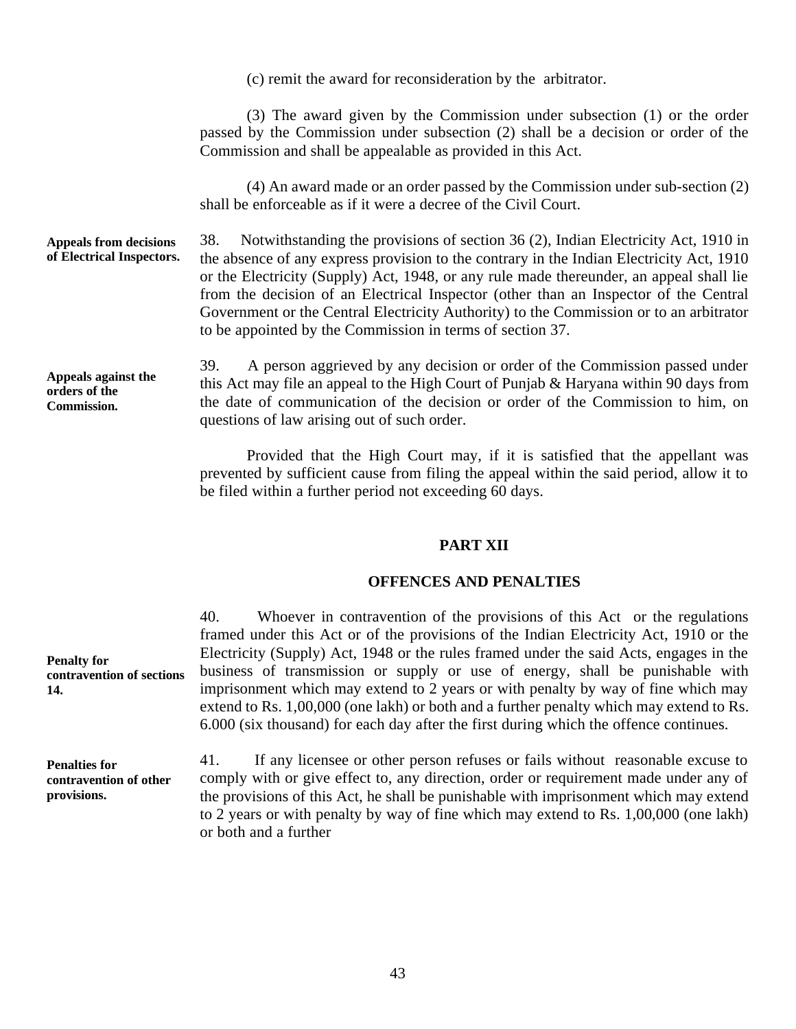(c) remit the award for reconsideration by the arbitrator.

(3) The award given by the Commission under subsection (1) or the order passed by the Commission under subsection (2) shall be a decision or order of the Commission and shall be appealable as provided in this Act.

(4) An award made or an order passed by the Commission under sub-section (2) shall be enforceable as if it were a decree of the Civil Court.

**Appeals from decisions of Electrical Inspectors.**  38. Notwithstanding the provisions of section 36 (2), Indian Electricity Act, 1910 in the absence of any express provision to the contrary in the Indian Electricity Act, 1910 or the Electricity (Supply) Act, 1948, or any rule made thereunder, an appeal shall lie from the decision of an Electrical Inspector (other than an Inspector of the Central Government or the Central Electricity Authority) to the Commission or to an arbitrator to be appointed by the Commission in terms of section 37.

**Appeals against the orders of the Commission.** 

39. A person aggrieved by any decision or order of the Commission passed under this Act may file an appeal to the High Court of Punjab & Haryana within 90 days from the date of communication of the decision or order of the Commission to him, on questions of law arising out of such order.

Provided that the High Court may, if it is satisfied that the appellant was prevented by sufficient cause from filing the appeal within the said period, allow it to be filed within a further period not exceeding 60 days.

## **PART XII**

## **OFFENCES AND PENALTIES**

40. Whoever in contravention of the provisions of this Act or the regulations framed under this Act or of the provisions of the Indian Electricity Act, 1910 or the Electricity (Supply) Act, 1948 or the rules framed under the said Acts, engages in the business of transmission or supply or use of energy, shall be punishable with imprisonment which may extend to 2 years or with penalty by way of fine which may extend to Rs. 1,00,000 (one lakh) or both and a further penalty which may extend to Rs. 6.000 (six thousand) for each day after the first during which the offence continues.

41. If any licensee or other person refuses or fails without reasonable excuse to comply with or give effect to, any direction, order or requirement made under any of the provisions of this Act, he shall be punishable with imprisonment which may extend to 2 years or with penalty by way of fine which may extend to Rs. 1,00,000 (one lakh) or both and a further

**Penalty for contravention of sections 14.** 

**Penalties for contravention of other provisions.**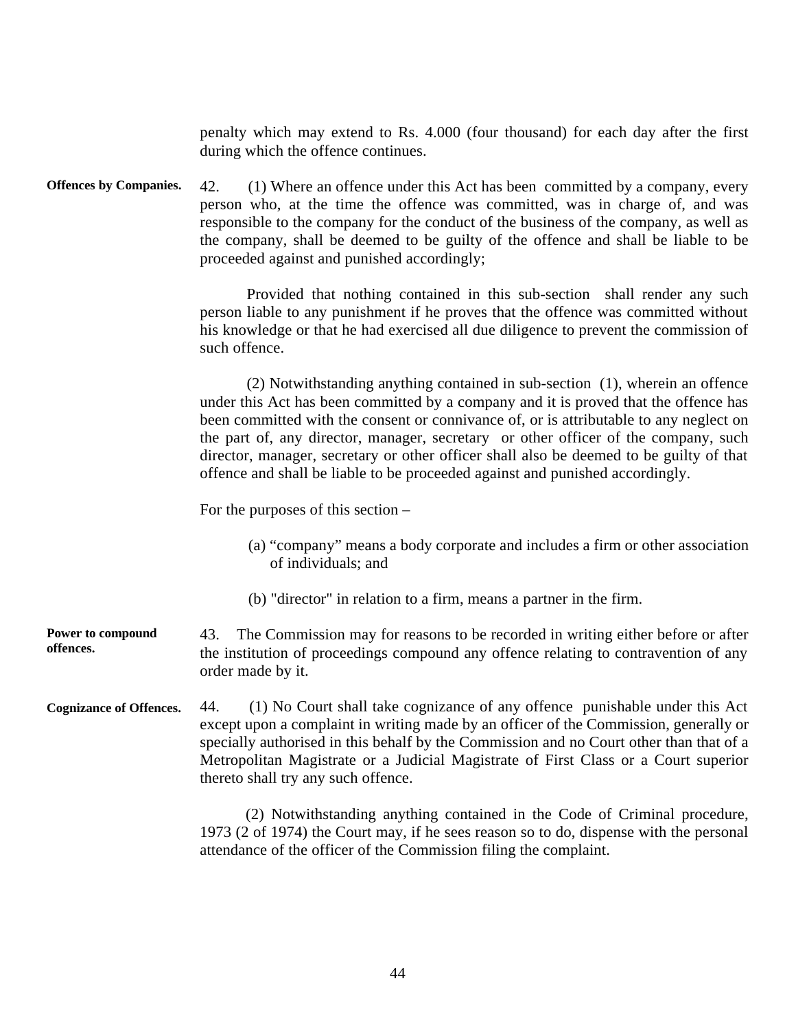penalty which may extend to Rs. 4.000 (four thousand) for each day after the first during which the offence continues.

**Offences by Companies.**  42. (1) Where an offence under this Act has been committed by a company, every person who, at the time the offence was committed, was in charge of, and was responsible to the company for the conduct of the business of the company, as well as the company, shall be deemed to be guilty of the offence and shall be liable to be proceeded against and punished accordingly;

> Provided that nothing contained in this sub-section shall render any such person liable to any punishment if he proves that the offence was committed without his knowledge or that he had exercised all due diligence to prevent the commission of such offence.

> (2) Notwithstanding anything contained in sub-section (1), wherein an offence under this Act has been committed by a company and it is proved that the offence has been committed with the consent or connivance of, or is attributable to any neglect on the part of, any director, manager, secretary or other officer of the company, such director, manager, secretary or other officer shall also be deemed to be guilty of that offence and shall be liable to be proceeded against and punished accordingly.

For the purposes of this section –

- (a) "company" means a body corporate and includes a firm or other association of individuals; and
- (b) "director" in relation to a firm, means a partner in the firm.

 43. The Commission may for reasons to be recorded in writing either before or after **Power to compound offences.**  the institution of proceedings compound any offence relating to contravention of any order made by it.

**Cognizance of Offences.**  44. (1) No Court shall take cognizance of any offence punishable under this Act except upon a complaint in writing made by an officer of the Commission, generally or specially authorised in this behalf by the Commission and no Court other than that of a Metropolitan Magistrate or a Judicial Magistrate of First Class or a Court superior thereto shall try any such offence.

> (2) Notwithstanding anything contained in the Code of Criminal procedure, 1973 (2 of 1974) the Court may, if he sees reason so to do, dispense with the personal attendance of the officer of the Commission filing the complaint.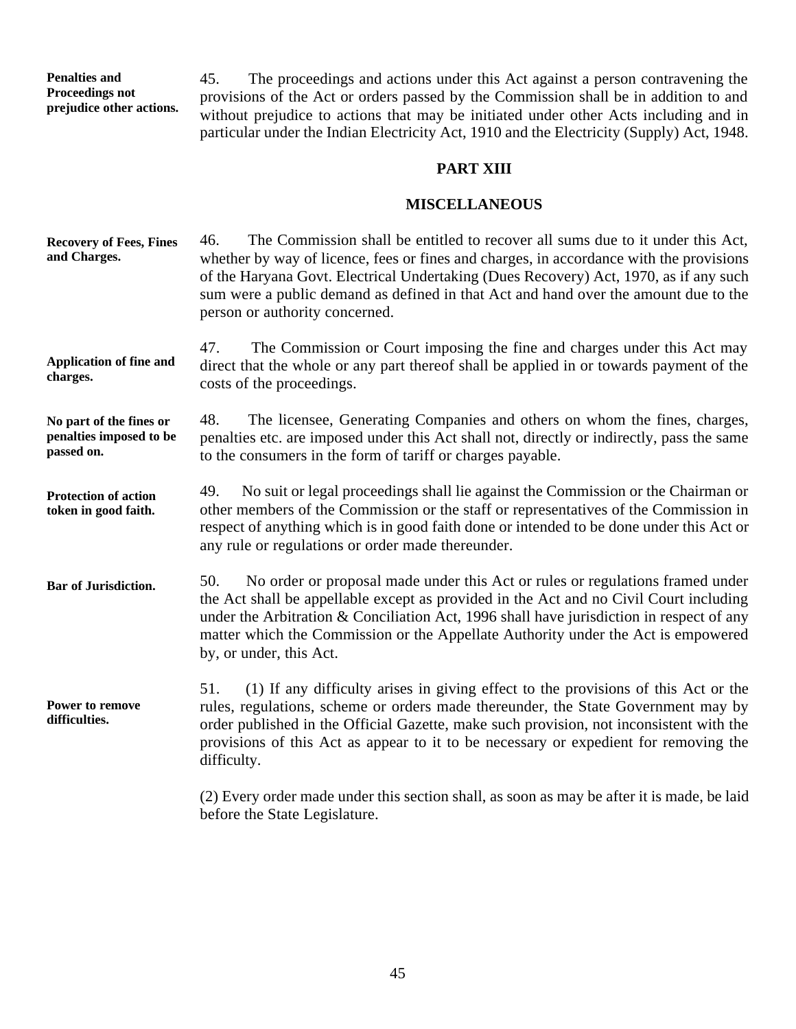**Penalties and Proceedings not prejudice other actions.** 

45. The proceedings and actions under this Act against a person contravening the provisions of the Act or orders passed by the Commission shall be in addition to and without prejudice to actions that may be initiated under other Acts including and in particular under the Indian Electricity Act, 1910 and the Electricity (Supply) Act, 1948.

# **PART XIII**

# **MISCELLANEOUS**

| <b>Recovery of Fees, Fines</b><br>and Charges.                   | The Commission shall be entitled to recover all sums due to it under this Act,<br>46.<br>whether by way of licence, fees or fines and charges, in accordance with the provisions<br>of the Haryana Govt. Electrical Undertaking (Dues Recovery) Act, 1970, as if any such<br>sum were a public demand as defined in that Act and hand over the amount due to the<br>person or authority concerned. |
|------------------------------------------------------------------|----------------------------------------------------------------------------------------------------------------------------------------------------------------------------------------------------------------------------------------------------------------------------------------------------------------------------------------------------------------------------------------------------|
| <b>Application of fine and</b><br>charges.                       | 47.<br>The Commission or Court imposing the fine and charges under this Act may<br>direct that the whole or any part thereof shall be applied in or towards payment of the<br>costs of the proceedings.                                                                                                                                                                                            |
| No part of the fines or<br>penalties imposed to be<br>passed on. | 48.<br>The licensee, Generating Companies and others on whom the fines, charges,<br>penalties etc. are imposed under this Act shall not, directly or indirectly, pass the same<br>to the consumers in the form of tariff or charges payable.                                                                                                                                                       |
| <b>Protection of action</b><br>token in good faith.              | No suit or legal proceedings shall lie against the Commission or the Chairman or<br>49.<br>other members of the Commission or the staff or representatives of the Commission in<br>respect of anything which is in good faith done or intended to be done under this Act or<br>any rule or regulations or order made thereunder.                                                                   |
| <b>Bar of Jurisdiction.</b>                                      | No order or proposal made under this Act or rules or regulations framed under<br>50.<br>the Act shall be appellable except as provided in the Act and no Civil Court including<br>under the Arbitration & Conciliation Act, 1996 shall have jurisdiction in respect of any<br>matter which the Commission or the Appellate Authority under the Act is empowered<br>by, or under, this Act.         |
| <b>Power to remove</b><br>difficulties.                          | 51.<br>(1) If any difficulty arises in giving effect to the provisions of this Act or the<br>rules, regulations, scheme or orders made thereunder, the State Government may by<br>order published in the Official Gazette, make such provision, not inconsistent with the<br>provisions of this Act as appear to it to be necessary or expedient for removing the<br>difficulty.                   |
|                                                                  | (2) Every order made under this section shall, as soon as may be after it is made, be laid                                                                                                                                                                                                                                                                                                         |

before the State Legislature.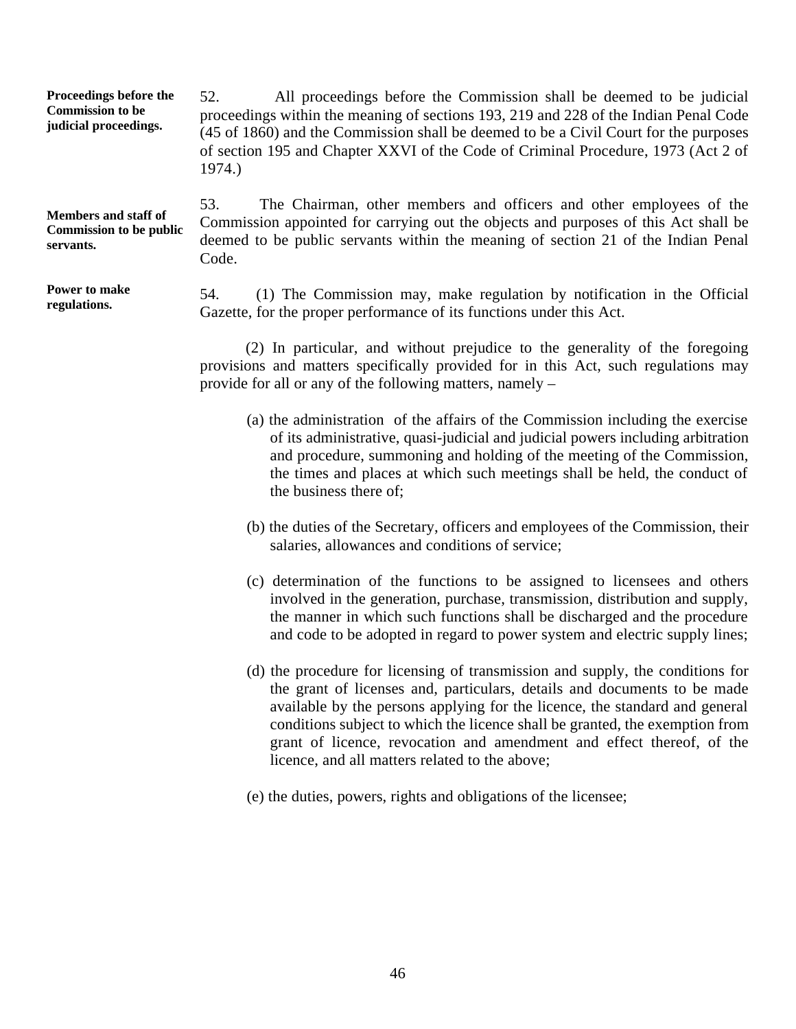**Proceedings before the Commission to be judicial proceedings.**  52. All proceedings before the Commission shall be deemed to be judicial proceedings within the meaning of sections 193, 219 and 228 of the Indian Penal Code (45 of 1860) and the Commission shall be deemed to be a Civil Court for the purposes of section 195 and Chapter XXVI of the Code of Criminal Procedure, 1973 (Act 2 of 1974.)

**Members and staff of Commission to be public servants.** 

**Power to make regulations.** 

53. The Chairman, other members and officers and other employees of the Commission appointed for carrying out the objects and purposes of this Act shall be deemed to be public servants within the meaning of section 21 of the Indian Penal Code.

54. (1) The Commission may, make regulation by notification in the Official Gazette, for the proper performance of its functions under this Act.

(2) In particular, and without prejudice to the generality of the foregoing provisions and matters specifically provided for in this Act, such regulations may provide for all or any of the following matters, namely –

- (a) the administration of the affairs of the Commission including the exercise of its administrative, quasi-judicial and judicial powers including arbitration and procedure, summoning and holding of the meeting of the Commission, the times and places at which such meetings shall be held, the conduct of the business there of;
- (b) the duties of the Secretary, officers and employees of the Commission, their salaries, allowances and conditions of service;
- (c) determination of the functions to be assigned to licensees and others involved in the generation, purchase, transmission, distribution and supply, the manner in which such functions shall be discharged and the procedure and code to be adopted in regard to power system and electric supply lines;
- (d) the procedure for licensing of transmission and supply, the conditions for the grant of licenses and, particulars, details and documents to be made available by the persons applying for the licence, the standard and general conditions subject to which the licence shall be granted, the exemption from grant of licence, revocation and amendment and effect thereof, of the licence, and all matters related to the above;
- (e) the duties, powers, rights and obligations of the licensee;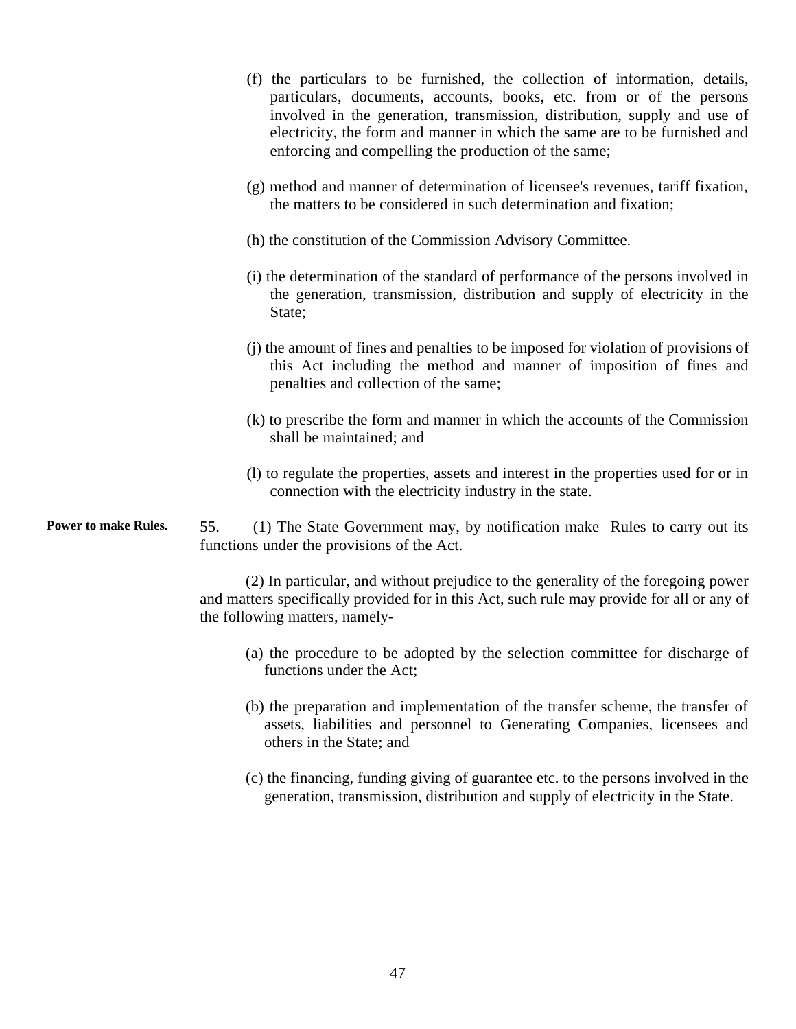**Power to make Rules.**  (f) the particulars to be furnished, the collection of information, details, particulars, documents, accounts, books, etc. from or of the persons involved in the generation, transmission, distribution, supply and use of electricity, the form and manner in which the same are to be furnished and enforcing and compelling the production of the same; (g) method and manner of determination of licensee's revenues, tariff fixation, the matters to be considered in such determination and fixation; (h) the constitution of the Commission Advisory Committee. (i) the determination of the standard of performance of the persons involved in the generation, transmission, distribution and supply of electricity in the State: (j) the amount of fines and penalties to be imposed for violation of provisions of this Act including the method and manner of imposition of fines and penalties and collection of the same; (k) to prescribe the form and manner in which the accounts of the Commission shall be maintained; and (l) to regulate the properties, assets and interest in the properties used for or in connection with the electricity industry in the state. 55. (1) The State Government may, by notification make Rules to carry out its functions under the provisions of the Act.

> (2) In particular, and without prejudice to the generality of the foregoing power and matters specifically provided for in this Act, such rule may provide for all or any of the following matters, namely

- (a) the procedure to be adopted by the selection committee for discharge of functions under the Act;
- (b) the preparation and implementation of the transfer scheme, the transfer of assets, liabilities and personnel to Generating Companies, licensees and others in the State; and
- (c) the financing, funding giving of guarantee etc. to the persons involved in the generation, transmission, distribution and supply of electricity in the State.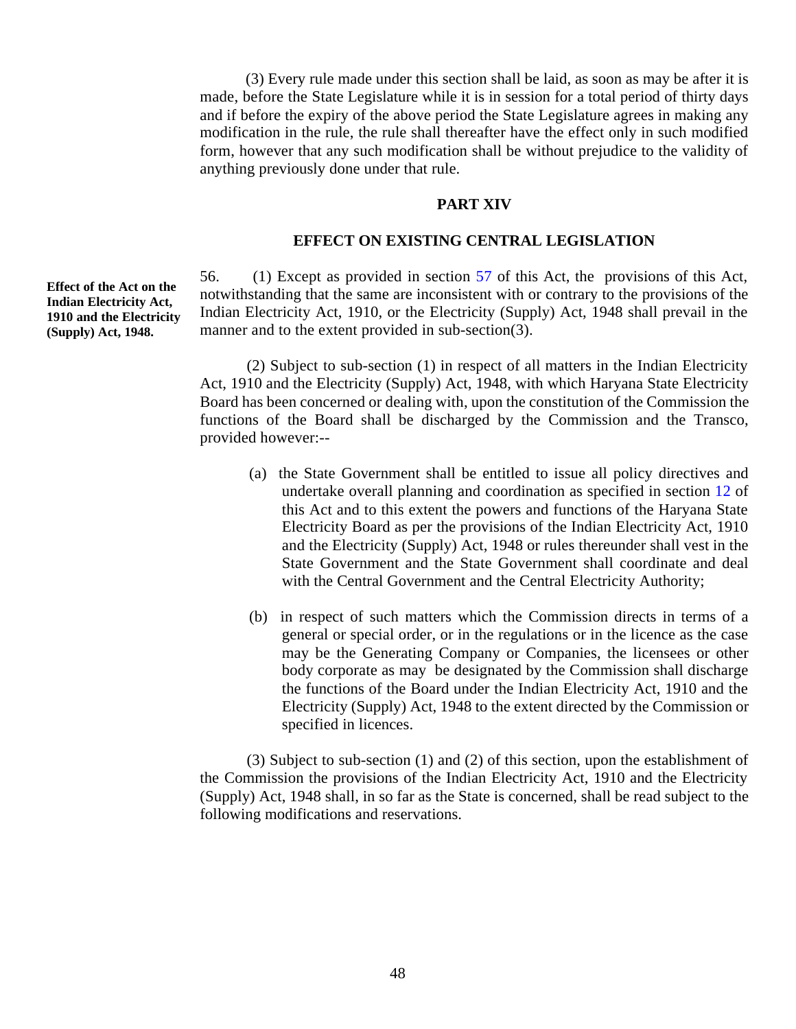(3) Every rule made under this section shall be laid, as soon as may be after it is made, before the State Legislature while it is in session for a total period of thirty days and if before the expiry of the above period the State Legislature agrees in making any modification in the rule, the rule shall thereafter have the effect only in such modified form, however that any such modification shall be without prejudice to the validity of anything previously done under that rule.

#### **PART XIV**

#### **EFFECT ON EXISTING CENTRAL LEGISLATION**

 $(1)$  Except as provided in section 57 of this Act, the provisions of this Act, notwithstanding that the same are inconsistent with or contrary to the provisions of the Indian Electricity Act, 1910, or the Electricity (Supply) Act, 1948 shall prevail in the manner and to the extent provided in sub-section(3).

(2) Subject to sub-section (1) in respect of all matters in the Indian Electricity Act, 1910 and the Electricity (Supply) Act, 1948, with which Haryana State Electricity Board has been concerned or dealing with, upon the constitution of the Commission the functions of the Board shall be discharged by the Commission and the Transco, provided however:-

- (a) the State Government shall be entitled to issue all policy directives and undertake overall planning and coordination as specified in section 12 of this Act and to this extent the powers and functions of the Haryana State Electricity Board as per the provisions of the Indian Electricity Act, 1910 and the Electricity (Supply) Act, 1948 or rules thereunder shall vest in the State Government and the State Government shall coordinate and deal with the Central Government and the Central Electricity Authority;
- (b) in respect of such matters which the Commission directs in terms of a general or special order, or in the regulations or in the licence as the case may be the Generating Company or Companies, the licensees or other body corporate as may be designated by the Commission shall discharge the functions of the Board under the Indian Electricity Act, 1910 and the Electricity (Supply) Act, 1948 to the extent directed by the Commission or specified in licences.

(3) Subject to sub-section (1) and (2) of this section, upon the establishment of the Commission the provisions of the Indian Electricity Act, 1910 and the Electricity (Supply) Act, 1948 shall, in so far as the State is concerned, shall be read subject to the following modifications and reservations.

 **Effect of the Act on the Indian Electricity Act, 1910 and the Electricity (Supply) Act, 1948.**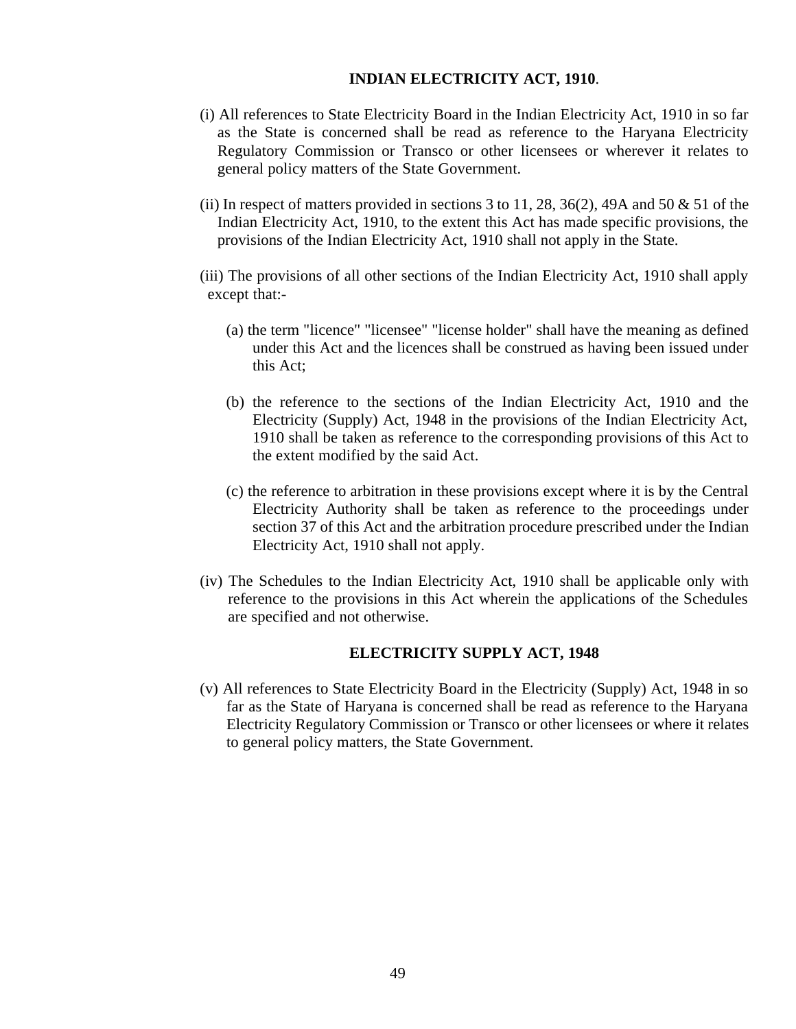# **INDIAN ELECTRICITY ACT, 1910**.

- (i) All references to State Electricity Board in the Indian Electricity Act, 1910 in so far as the State is concerned shall be read as reference to the Haryana Electricity Regulatory Commission or Transco or other licensees or wherever it relates to general policy matters of the State Government.
- (ii) In respect of matters provided in sections 3 to 11, 28, 36(2), 49A and 50  $\&$  51 of the Indian Electricity Act, 1910, to the extent this Act has made specific provisions, the provisions of the Indian Electricity Act, 1910 shall not apply in the State.

(iii) The provisions of all other sections of the Indian Electricity Act, 1910 shall apply except that:

- (a) the term "licence" "licensee" "license holder" shall have the meaning as defined under this Act and the licences shall be construed as having been issued under this Act;
- (b) the reference to the sections of the Indian Electricity Act, 1910 and the Electricity (Supply) Act, 1948 in the provisions of the Indian Electricity Act, 1910 shall be taken as reference to the corresponding provisions of this Act to the extent modified by the said Act.
- (c) the reference to arbitration in these provisions except where it is by the Central Electricity Authority shall be taken as reference to the proceedings under section 37 of this Act and the arbitration procedure prescribed under the Indian Electricity Act, 1910 shall not apply.
- (iv) The Schedules to the Indian Electricity Act, 1910 shall be applicable only with reference to the provisions in this Act wherein the applications of the Schedules are specified and not otherwise.

# **ELECTRICITY SUPPLY ACT, 1948**

(v) All references to State Electricity Board in the Electricity (Supply) Act, 1948 in so far as the State of Haryana is concerned shall be read as reference to the Haryana Electricity Regulatory Commission or Transco or other licensees or where it relates to general policy matters, the State Government.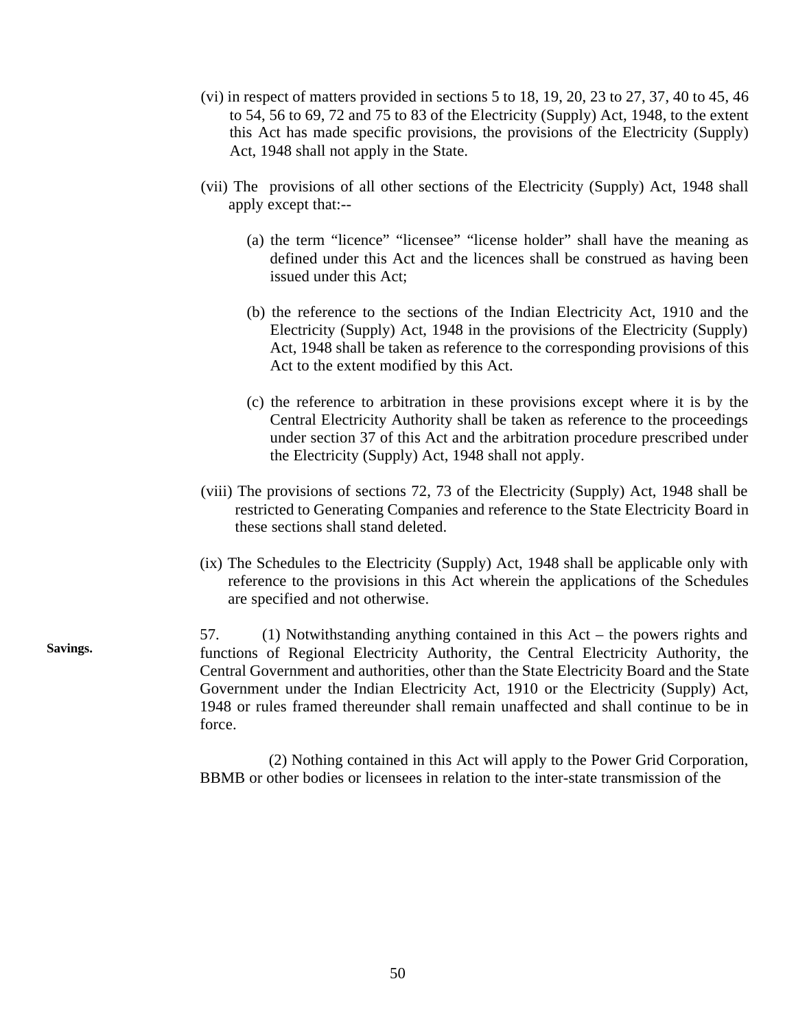- (vi) in respect of matters provided in sections  $5$  to  $18$ ,  $19$ ,  $20$ ,  $23$  to  $27$ ,  $37$ ,  $40$  to  $45$ ,  $46$ to 54, 56 to 69, 72 and 75 to 83 of the Electricity (Supply) Act, 1948, to the extent this Act has made specific provisions, the provisions of the Electricity (Supply) Act, 1948 shall not apply in the State.
- (vii) The provisions of all other sections of the Electricity (Supply) Act, 1948 shall apply except that:-
	- (a) the term "licence" "licensee" "license holder" shall have the meaning as defined under this Act and the licences shall be construed as having been issued under this Act;
	- (b) the reference to the sections of the Indian Electricity Act, 1910 and the Electricity (Supply) Act, 1948 in the provisions of the Electricity (Supply) Act, 1948 shall be taken as reference to the corresponding provisions of this Act to the extent modified by this Act.
	- (c) the reference to arbitration in these provisions except where it is by the Central Electricity Authority shall be taken as reference to the proceedings under section 37 of this Act and the arbitration procedure prescribed under the Electricity (Supply) Act, 1948 shall not apply.
- (viii) The provisions of sections 72, 73 of the Electricity (Supply) Act, 1948 shall be restricted to Generating Companies and reference to the State Electricity Board in these sections shall stand deleted.
- (ix) The Schedules to the Electricity (Supply) Act, 1948 shall be applicable only with reference to the provisions in this Act wherein the applications of the Schedules are specified and not otherwise.

Savings. 57.  $(1)$  Notwithstanding anything contained in this Act – the powers rights and functions of Regional Electricity Authority, the Central Electricity Authority, the Central Government and authorities, other than the State Electricity Board and the State Government under the Indian Electricity Act, 1910 or the Electricity (Supply) Act, 1948 or rules framed thereunder shall remain unaffected and shall continue to be in force.

> (2) Nothing contained in this Act will apply to the Power Grid Corporation, BBMB or other bodies or licensees in relation to the inter-state transmission of the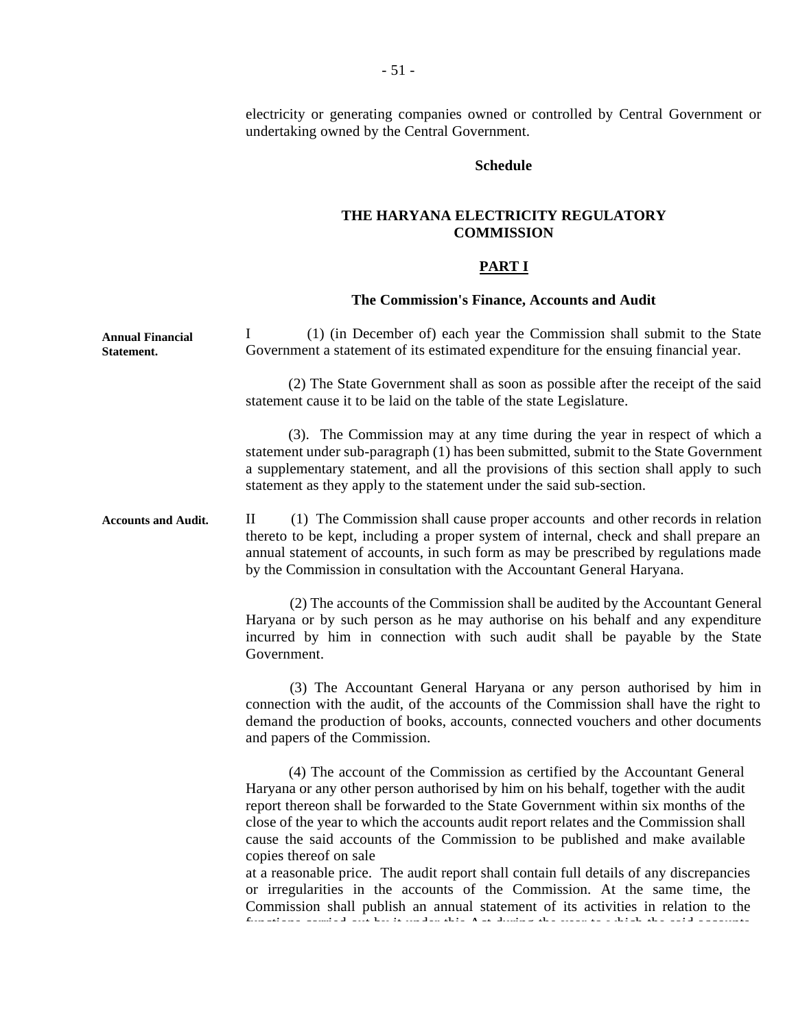electricity or generating companies owned or controlled by Central Government or undertaking owned by the Central Government.

# **Schedule**

# **THE HARYANA ELECTRICITY REGULATORY COMMISSION**

# **PART I**

# **The Commission's Finance, Accounts and Audit**

| <b>Annual Financial</b><br>Statement. | (1) (in December of) each year the Commission shall submit to the State<br>$\bf{l}$<br>Government a statement of its estimated expenditure for the ensuing financial year.                                                                                                                                                                                                                                                                                                                                                                                                                                                                                                                        |
|---------------------------------------|---------------------------------------------------------------------------------------------------------------------------------------------------------------------------------------------------------------------------------------------------------------------------------------------------------------------------------------------------------------------------------------------------------------------------------------------------------------------------------------------------------------------------------------------------------------------------------------------------------------------------------------------------------------------------------------------------|
|                                       | (2) The State Government shall as soon as possible after the receipt of the said<br>statement cause it to be laid on the table of the state Legislature.                                                                                                                                                                                                                                                                                                                                                                                                                                                                                                                                          |
|                                       | (3). The Commission may at any time during the year in respect of which a<br>statement under sub-paragraph (1) has been submitted, submit to the State Government<br>a supplementary statement, and all the provisions of this section shall apply to such<br>statement as they apply to the statement under the said sub-section.                                                                                                                                                                                                                                                                                                                                                                |
| <b>Accounts and Audit.</b>            | (1) The Commission shall cause proper accounts and other records in relation<br>$\mathbf{I}$<br>thereto to be kept, including a proper system of internal, check and shall prepare an<br>annual statement of accounts, in such form as may be prescribed by regulations made<br>by the Commission in consultation with the Accountant General Haryana.                                                                                                                                                                                                                                                                                                                                            |
|                                       | (2) The accounts of the Commission shall be audited by the Accountant General<br>Haryana or by such person as he may authorise on his behalf and any expenditure<br>incurred by him in connection with such audit shall be payable by the State<br>Government.                                                                                                                                                                                                                                                                                                                                                                                                                                    |
|                                       | (3) The Accountant General Haryana or any person authorised by him in<br>connection with the audit, of the accounts of the Commission shall have the right to<br>demand the production of books, accounts, connected vouchers and other documents<br>and papers of the Commission.                                                                                                                                                                                                                                                                                                                                                                                                                |
|                                       | (4) The account of the Commission as certified by the Accountant General<br>Haryana or any other person authorised by him on his behalf, together with the audit<br>report thereon shall be forwarded to the State Government within six months of the<br>close of the year to which the accounts audit report relates and the Commission shall<br>cause the said accounts of the Commission to be published and make available<br>copies thereof on sale                                                                                                                                                                                                                                         |
|                                       | at a reasonable price. The audit report shall contain full details of any discrepancies<br>or irregularities in the accounts of the Commission. At the same time, the<br>Commission shall publish an annual statement of its activities in relation to the<br>$\mathbf{H}^{\mathcal{A}}_{\mathcal{A}} = \left\{ \mathbf{H}^{\mathcal{A}}_{\mathcal{A}} \mathbf{H}^{\mathcal{A}}_{\mathcal{A}} \right\} \left[ \mathbf{A}^{\mathcal{A}}_{\mathcal{A}} \mathbf{H}^{\mathcal{A}}_{\mathcal{A}} \mathbf{H}^{\mathcal{A}}_{\mathcal{A}} \mathbf{H}^{\mathcal{A}}_{\mathcal{A}} \right] = \mathbf{H}^{\mathcal{A}}_{\mathcal{A}} \mathbf{H}^{\mathcal{A}}_{\mathcal{A}}$<br><b>Ford Country Project</b> |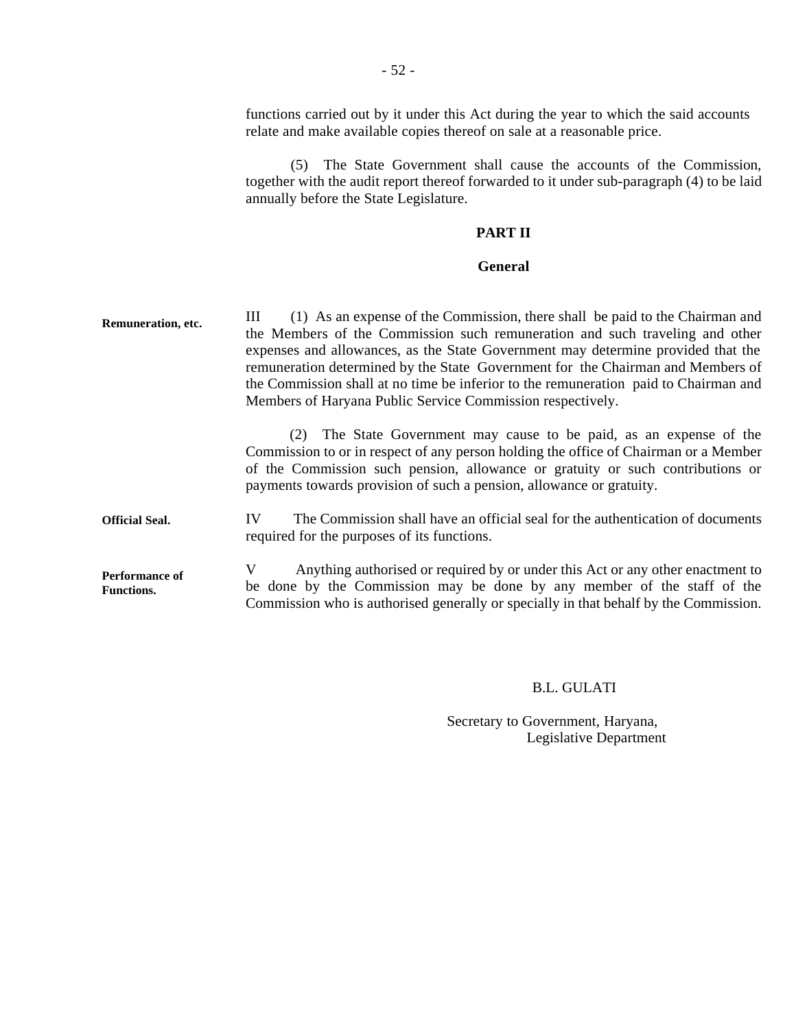**Remuneration, etc. Official Seal. Performance of Functions.**  functions carried out by it under this Act during the year to which the said accounts relate and make available copies thereof on sale at a reasonable price. (5) The State Government shall cause the accounts of the Commission, together with the audit report thereof forwarded to it under sub-paragraph (4) to be laid annually before the State Legislature. **PART II General**  III (1) As an expense of the Commission, there shall be paid to the Chairman and the Members of the Commission such remuneration and such traveling and other expenses and allowances, as the State Government may determine provided that the remuneration determined by the State Government for the Chairman and Members of the Commission shall at no time be inferior to the remuneration paid to Chairman and Members of Haryana Public Service Commission respectively. (2) The State Government may cause to be paid, as an expense of the Commission to or in respect of any person holding the office of Chairman or a Member of the Commission such pension, allowance or gratuity or such contributions or payments towards provision of such a pension, allowance or gratuity. IV The Commission shall have an official seal for the authentication of documents required for the purposes of its functions. V Anything authorised or required by or under this Act or any other enactment to be done by the Commission may be done by any member of the staff of the Commission who is authorised generally or specially in that behalf by the Commission.

## B.L. GULATI

Secretary to Government, Haryana, Legislative Department